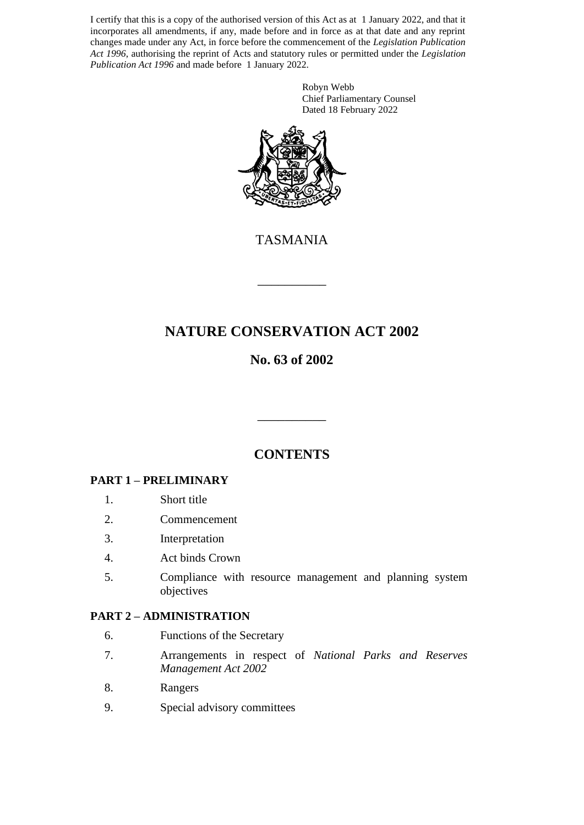I certify that this is a copy of the authorised version of this Act as at 1 January 2022, and that it incorporates all amendments, if any, made before and in force as at that date and any reprint changes made under any Act, in force before the commencement of the *Legislation Publication Act 1996*, authorising the reprint of Acts and statutory rules or permitted under the *Legislation Publication Act 1996* and made before 1 January 2022.

> Robyn Webb Chief Parliamentary Counsel Dated 18 February 2022



TASMANIA

\_\_\_\_\_\_\_\_\_\_

# **NATURE CONSERVATION ACT 2002**

# **No. 63 of 2002**

# **CONTENTS**

\_\_\_\_\_\_\_\_\_\_

# **PART 1 – PRELIMINARY**

- 1. Short title
- 2. Commencement
- 3. Interpretation
- 4. Act binds Crown
- 5. Compliance with resource management and planning system objectives

### **PART 2 – ADMINISTRATION**

- 6. Functions of the Secretary
- 7. Arrangements in respect of *National Parks and Reserves Management Act 2002*
- 8. Rangers
- 9. Special advisory committees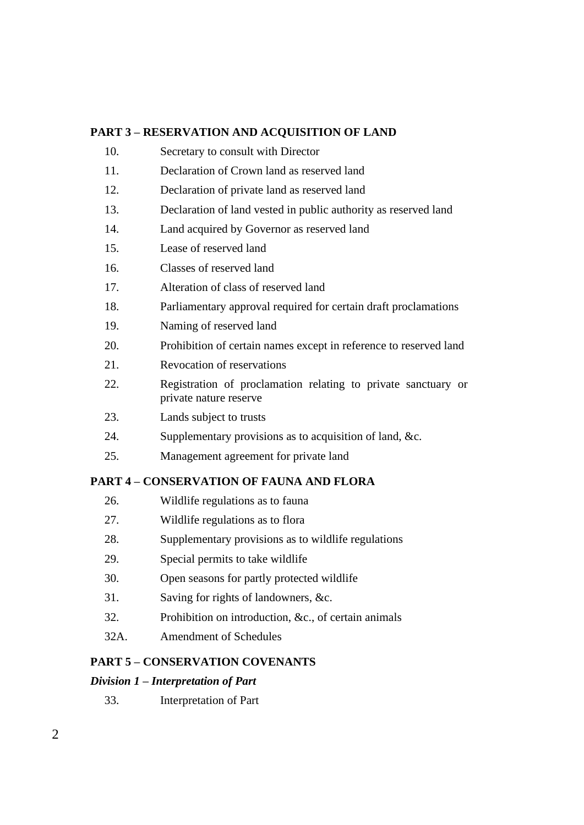# **PART 3 – RESERVATION AND ACQUISITION OF LAND**

- 10. Secretary to consult with Director
- 11. Declaration of Crown land as reserved land
- 12. Declaration of private land as reserved land
- 13. Declaration of land vested in public authority as reserved land
- 14. Land acquired by Governor as reserved land
- 15. Lease of reserved land
- 16. Classes of reserved land
- 17. Alteration of class of reserved land
- 18. Parliamentary approval required for certain draft proclamations
- 19. Naming of reserved land
- 20. Prohibition of certain names except in reference to reserved land
- 21. Revocation of reservations
- 22. Registration of proclamation relating to private sanctuary or private nature reserve
- 23. Lands subject to trusts
- 24. Supplementary provisions as to acquisition of land, &c.
- 25. Management agreement for private land

### **PART 4 – CONSERVATION OF FAUNA AND FLORA**

- 26. Wildlife regulations as to fauna
- 27. Wildlife regulations as to flora
- 28. Supplementary provisions as to wildlife regulations
- 29. Special permits to take wildlife
- 30. Open seasons for partly protected wildlife
- 31. Saving for rights of landowners, &c.
- 32. Prohibition on introduction, &c., of certain animals
- 32A. Amendment of Schedules

# **PART 5 – CONSERVATION COVENANTS**

### *Division 1 – Interpretation of Part*

33. Interpretation of Part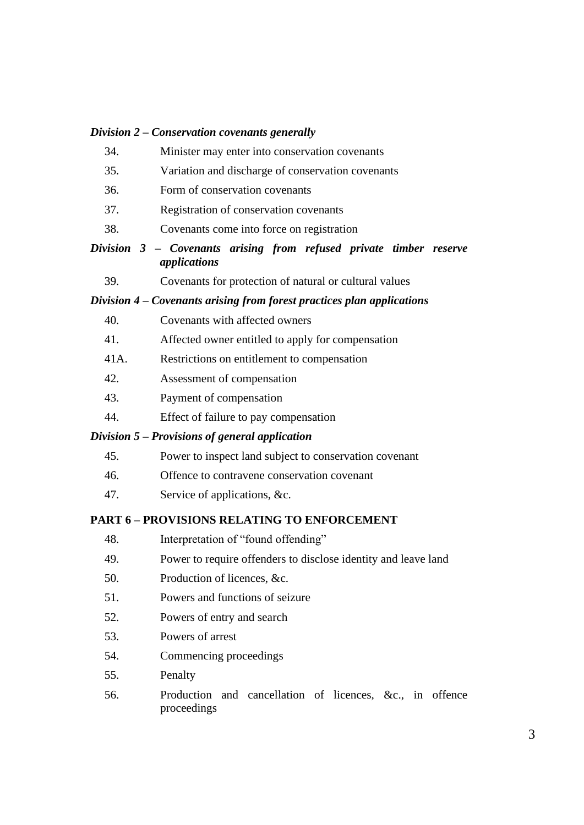#### *Division 2 – Conservation covenants generally*

- 34. Minister may enter into conservation covenants
- 35. Variation and discharge of conservation covenants
- 36. Form of conservation covenants
- 37. Registration of conservation covenants
- 38. Covenants come into force on registration
- *Division 3 – Covenants arising from refused private timber reserve applications*
	- 39. Covenants for protection of natural or cultural values

#### *Division 4 – Covenants arising from forest practices plan applications*

- 40. Covenants with affected owners
- 41. Affected owner entitled to apply for compensation
- 41A. Restrictions on entitlement to compensation
- 42. Assessment of compensation
- 43. Payment of compensation
- 44. Effect of failure to pay compensation

#### *Division 5 – Provisions of general application*

- 45. Power to inspect land subject to conservation covenant
- 46. Offence to contravene conservation covenant
- 47. Service of applications, &c.

#### **PART 6 – PROVISIONS RELATING TO ENFORCEMENT**

- 48. Interpretation of "found offending"
- 49. Power to require offenders to disclose identity and leave land
- 50. Production of licences, &c.
- 51. Powers and functions of seizure
- 52. Powers of entry and search
- 53. Powers of arrest
- 54. Commencing proceedings
- 55. Penalty
- 56. Production and cancellation of licences, &c., in offence proceedings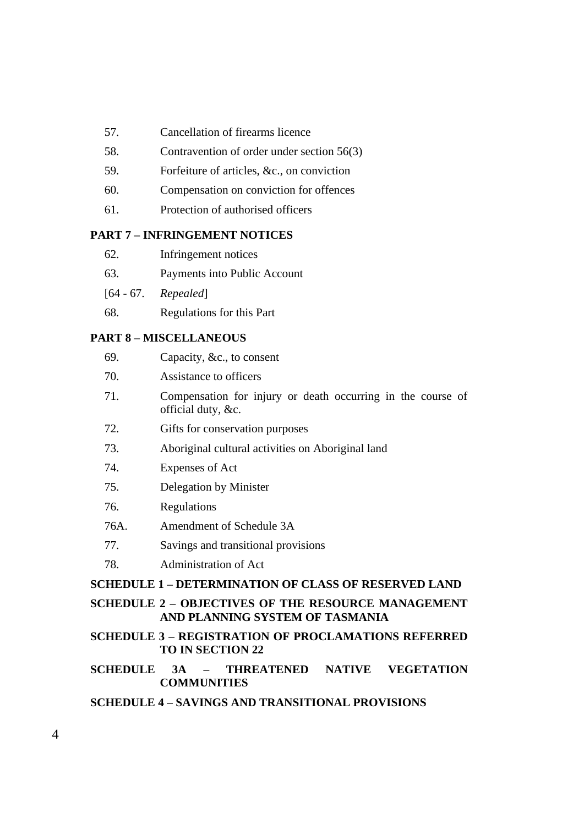- 57. Cancellation of firearms licence
- 58. Contravention of order under section 56(3)
- 59. Forfeiture of articles, &c., on conviction
- 60. Compensation on conviction for offences
- 61. Protection of authorised officers

#### **PART 7 – INFRINGEMENT NOTICES**

- 62. Infringement notices
- 63. Payments into Public Account
- [64 67. *Repealed*]
- 68. Regulations for this Part

#### **PART 8 – MISCELLANEOUS**

| 69.                                                         | Capacity, &c., to consent                                                         |  |  |
|-------------------------------------------------------------|-----------------------------------------------------------------------------------|--|--|
| 70.                                                         | Assistance to officers                                                            |  |  |
| 71.                                                         | Compensation for injury or death occurring in the course of<br>official duty, &c. |  |  |
| 72.                                                         | Gifts for conservation purposes                                                   |  |  |
| 73.                                                         | Aboriginal cultural activities on Aboriginal land                                 |  |  |
| 74.                                                         | Expenses of Act                                                                   |  |  |
| 75.                                                         | Delegation by Minister                                                            |  |  |
| 76.                                                         | Regulations                                                                       |  |  |
| 76A.                                                        | Amendment of Schedule 3A                                                          |  |  |
| 77.                                                         | Savings and transitional provisions                                               |  |  |
| 78.                                                         | Administration of Act                                                             |  |  |
| <b>SCHEDULE 1 – DETERMINATION OF CLASS OF RESERVED LAND</b> |                                                                                   |  |  |
| <b>SCHEDULE 2 - OBJECTIVES OF THE RESOURCE MANAGEMENT</b>   |                                                                                   |  |  |

# **AND PLANNING SYSTEM OF TASMANIA**

**SCHEDULE 3 – REGISTRATION OF PROCLAMATIONS REFERRED TO IN SECTION 22**

# **SCHEDULE 3A – THREATENED NATIVE VEGETATION COMMUNITIES**

### **SCHEDULE 4 – SAVINGS AND TRANSITIONAL PROVISIONS**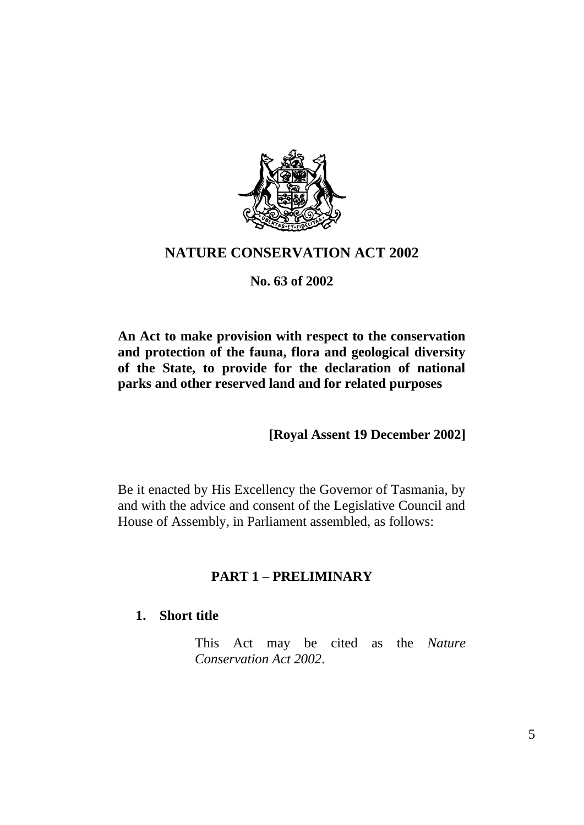

# **NATURE CONSERVATION ACT 2002**

# **No. 63 of 2002**

**An Act to make provision with respect to the conservation and protection of the fauna, flora and geological diversity of the State, to provide for the declaration of national parks and other reserved land and for related purposes**

**[Royal Assent 19 December 2002]**

Be it enacted by His Excellency the Governor of Tasmania, by and with the advice and consent of the Legislative Council and House of Assembly, in Parliament assembled, as follows:

# **PART 1 – PRELIMINARY**

# **1. Short title**

This Act may be cited as the *Nature Conservation Act 2002*.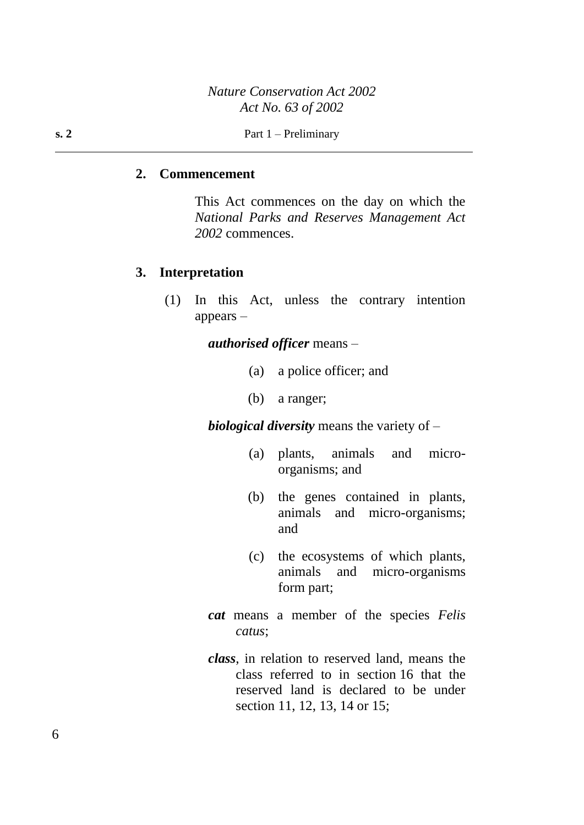### **2. Commencement**

This Act commences on the day on which the *National Parks and Reserves Management Act 2002* commences.

### **3. Interpretation**

(1) In this Act, unless the contrary intention appears –

*authorised officer* means –

- (a) a police officer; and
- (b) a ranger;

*biological diversity* means the variety of –

- (a) plants, animals and microorganisms; and
- (b) the genes contained in plants, animals and micro-organisms; and
- (c) the ecosystems of which plants, animals and micro-organisms form part;
- *cat* means a member of the species *Felis catus*;
- *class*, in relation to reserved land, means the class referred to in section 16 that the reserved land is declared to be under section 11, 12, 13, 14 or 15;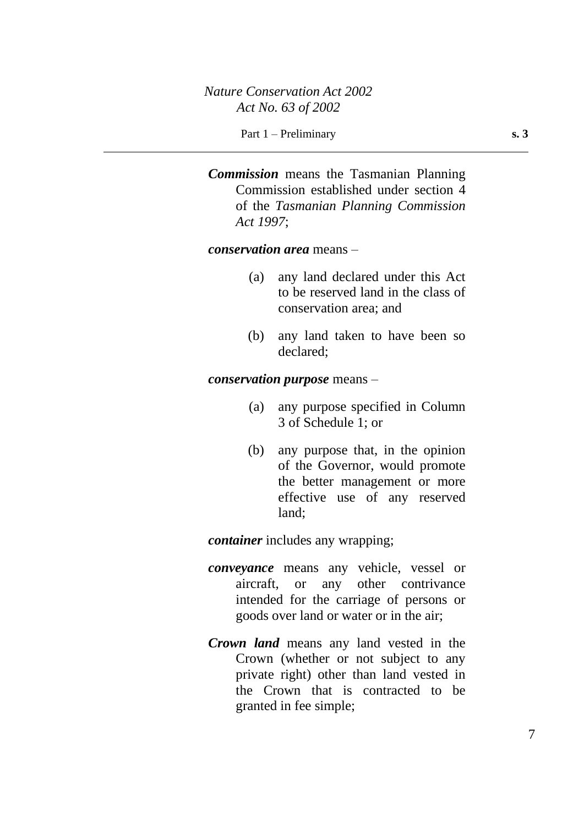*Commission* means the Tasmanian Planning Commission established under section 4 of the *Tasmanian Planning Commission Act 1997*;

*conservation area* means –

- (a) any land declared under this Act to be reserved land in the class of conservation area; and
- (b) any land taken to have been so declared;

*conservation purpose* means –

- (a) any purpose specified in Column 3 of Schedule 1; or
- (b) any purpose that, in the opinion of the Governor, would promote the better management or more effective use of any reserved land;

*container* includes any wrapping;

- *conveyance* means any vehicle, vessel or aircraft, or any other contrivance intended for the carriage of persons or goods over land or water or in the air;
- *Crown land* means any land vested in the Crown (whether or not subject to any private right) other than land vested in the Crown that is contracted to be granted in fee simple;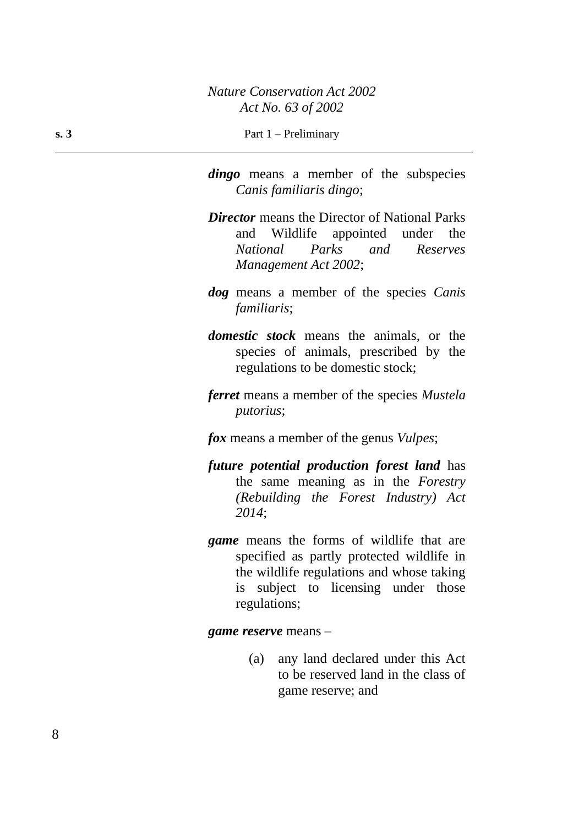*dingo* means a member of the subspecies *Canis familiaris dingo*;

- *Director* means the Director of National Parks and Wildlife appointed under the *National Parks and Reserves Management Act 2002*;
- *dog* means a member of the species *Canis familiaris*;
- *domestic stock* means the animals, or the species of animals, prescribed by the regulations to be domestic stock;
- *ferret* means a member of the species *Mustela putorius*;

*fox* means a member of the genus *Vulpes*;

- *future potential production forest land* has the same meaning as in the *Forestry (Rebuilding the Forest Industry) Act 2014*;
- *game* means the forms of wildlife that are specified as partly protected wildlife in the wildlife regulations and whose taking is subject to licensing under those regulations;

*game reserve* means –

(a) any land declared under this Act to be reserved land in the class of game reserve; and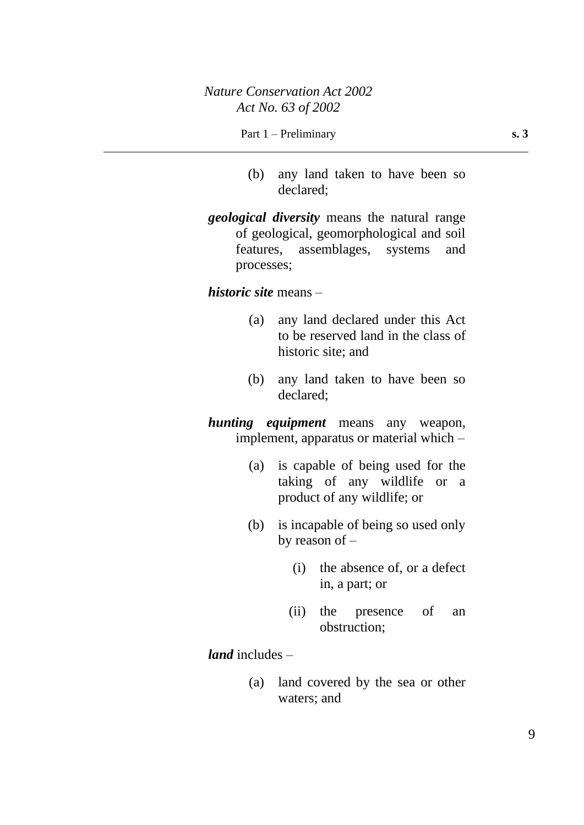#### Part 1 – Preliminary **s. 3**

- (b) any land taken to have been so declared;
- *geological diversity* means the natural range of geological, geomorphological and soil features, assemblages, systems and processes;

### *historic site* means –

- (a) any land declared under this Act to be reserved land in the class of historic site; and
- (b) any land taken to have been so declared;

*hunting equipment* means any weapon, implement, apparatus or material which –

- (a) is capable of being used for the taking of any wildlife or a product of any wildlife; or
- (b) is incapable of being so used only by reason of –
	- (i) the absence of, or a defect in, a part; or
	- (ii) the presence of an obstruction;

# *land* includes –

(a) land covered by the sea or other waters; and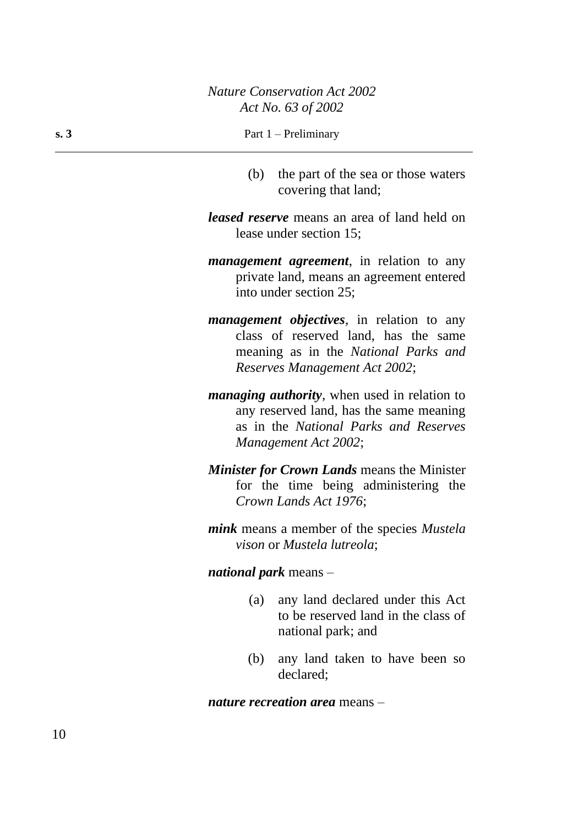(b) the part of the sea or those waters covering that land;

*leased reserve* means an area of land held on lease under section 15;

- *management agreement*, in relation to any private land, means an agreement entered into under section 25;
- *management objectives*, in relation to any class of reserved land, has the same meaning as in the *National Parks and Reserves Management Act 2002*;
- *managing authority*, when used in relation to any reserved land, has the same meaning as in the *National Parks and Reserves Management Act 2002*;
- *Minister for Crown Lands* means the Minister for the time being administering the *Crown Lands Act 1976*;
- *mink* means a member of the species *Mustela vison* or *Mustela lutreola*;

#### *national park* means –

- (a) any land declared under this Act to be reserved land in the class of national park; and
- (b) any land taken to have been so declared;

*nature recreation area* means –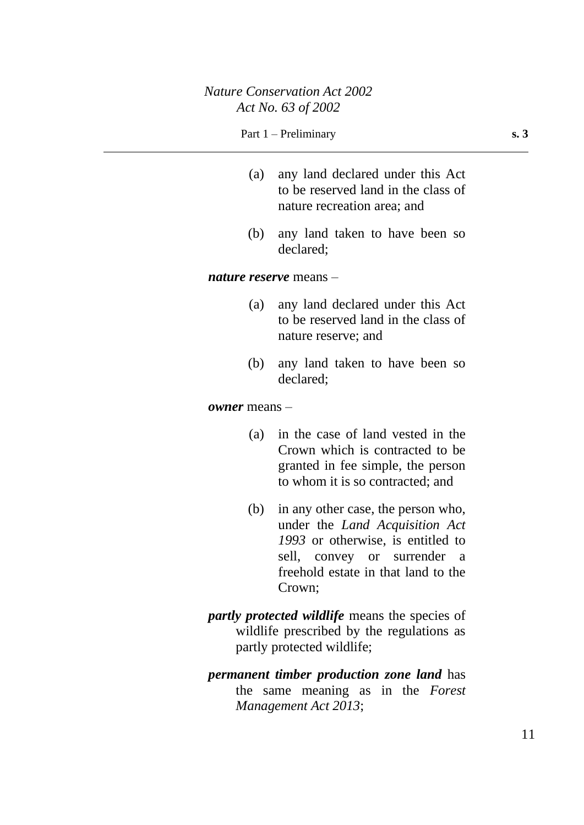#### Part 1 – Preliminary **s. 3**

- (a) any land declared under this Act to be reserved land in the class of nature recreation area; and
- (b) any land taken to have been so declared;

#### *nature reserve* means –

- (a) any land declared under this Act to be reserved land in the class of nature reserve; and
- (b) any land taken to have been so declared;

#### *owner* means –

- (a) in the case of land vested in the Crown which is contracted to be granted in fee simple, the person to whom it is so contracted; and
- (b) in any other case, the person who, under the *Land Acquisition Act 1993* or otherwise, is entitled to sell, convey or surrender a freehold estate in that land to the Crown;
- *partly protected wildlife* means the species of wildlife prescribed by the regulations as partly protected wildlife;
- *permanent timber production zone land* has the same meaning as in the *Forest Management Act 2013*;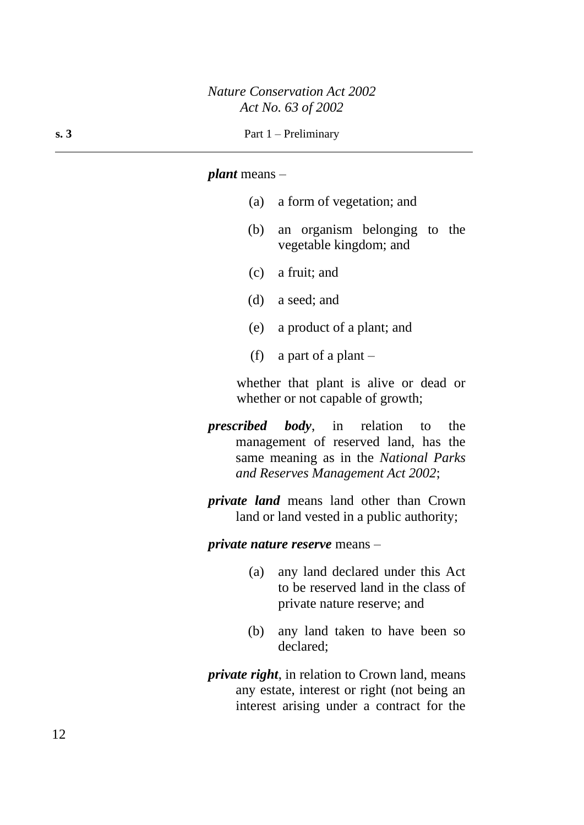#### *plant* means –

- (a) a form of vegetation; and
- (b) an organism belonging to the vegetable kingdom; and
- (c) a fruit; and
- (d) a seed; and
- (e) a product of a plant; and
- (f) a part of a plant  $-$

whether that plant is alive or dead or whether or not capable of growth;

- *prescribed body*, in relation to the management of reserved land, has the same meaning as in the *National Parks and Reserves Management Act 2002*;
- *private land* means land other than Crown land or land vested in a public authority;

*private nature reserve* means –

- (a) any land declared under this Act to be reserved land in the class of private nature reserve; and
- (b) any land taken to have been so declared;
- *private right*, in relation to Crown land, means any estate, interest or right (not being an interest arising under a contract for the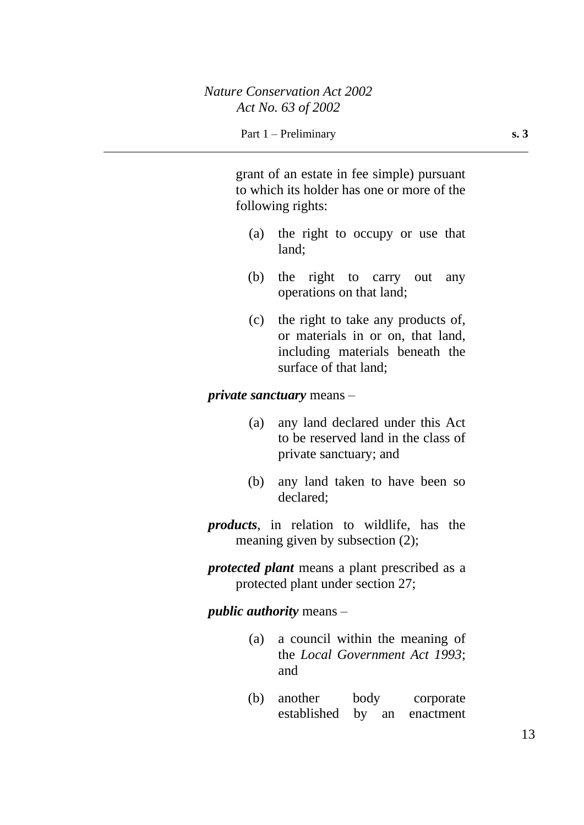grant of an estate in fee simple) pursuant to which its holder has one or more of the following rights:

- (a) the right to occupy or use that land;
- (b) the right to carry out any operations on that land;
- (c) the right to take any products of, or materials in or on, that land, including materials beneath the surface of that land;

### *private sanctuary* means –

- (a) any land declared under this Act to be reserved land in the class of private sanctuary; and
- (b) any land taken to have been so declared;
- *products*, in relation to wildlife, has the meaning given by subsection (2);
- *protected plant* means a plant prescribed as a protected plant under section 27;

*public authority* means –

- (a) a council within the meaning of the *Local Government Act 1993*; and
- (b) another body corporate established by an enactment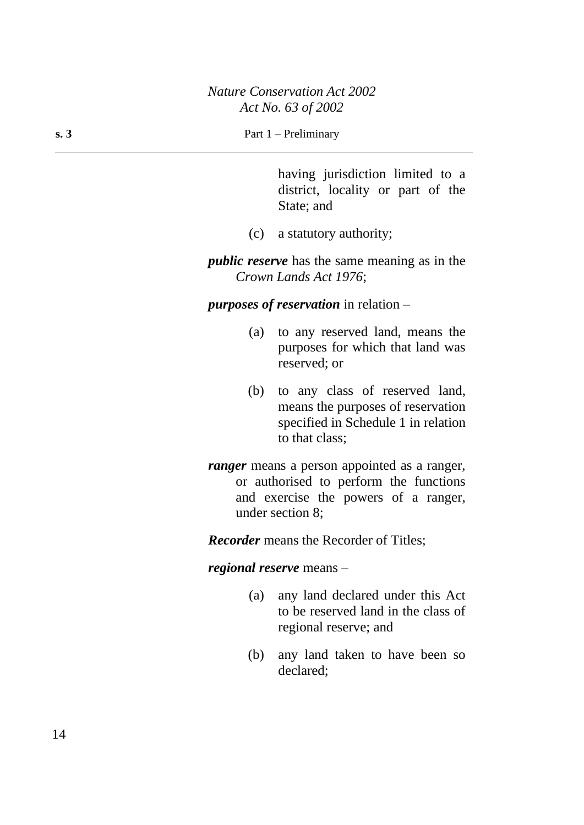having jurisdiction limited to a district, locality or part of the State; and

(c) a statutory authority;

*public reserve* has the same meaning as in the *Crown Lands Act 1976*;

### *purposes of reservation* in relation –

- (a) to any reserved land, means the purposes for which that land was reserved; or
- (b) to any class of reserved land, means the purposes of reservation specified in Schedule 1 in relation to that class;
- *ranger* means a person appointed as a ranger, or authorised to perform the functions and exercise the powers of a ranger, under section 8;

*Recorder* means the Recorder of Titles;

# *regional reserve* means –

- (a) any land declared under this Act to be reserved land in the class of regional reserve; and
- (b) any land taken to have been so declared;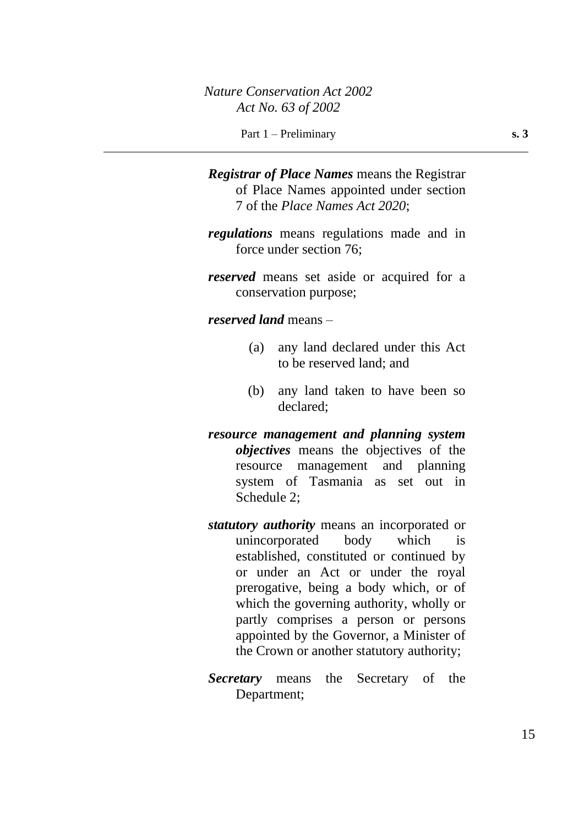*Registrar of Place Names* means the Registrar of Place Names appointed under section 7 of the *Place Names Act 2020*;

*regulations* means regulations made and in force under section 76;

*reserved* means set aside or acquired for a conservation purpose;

*reserved land* means –

- (a) any land declared under this Act to be reserved land; and
- (b) any land taken to have been so declared;
- *resource management and planning system objectives* means the objectives of the resource management and planning system of Tasmania as set out in Schedule 2:
- *statutory authority* means an incorporated or unincorporated body which is established, constituted or continued by or under an Act or under the royal prerogative, being a body which, or of which the governing authority, wholly or partly comprises a person or persons appointed by the Governor, a Minister of the Crown or another statutory authority;
- *Secretary* means the Secretary of the Department;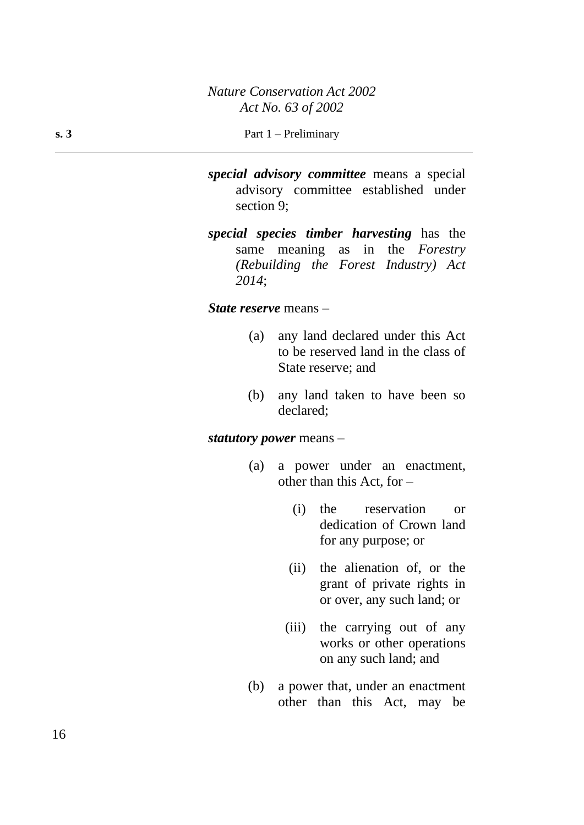#### **s. 3** Part 1 – Preliminary

- *special advisory committee* means a special advisory committee established under section 9;
- *special species timber harvesting* has the same meaning as in the *Forestry (Rebuilding the Forest Industry) Act 2014*;

#### *State reserve* means –

- (a) any land declared under this Act to be reserved land in the class of State reserve; and
- (b) any land taken to have been so declared;

#### *statutory power* means –

- (a) a power under an enactment, other than this Act, for –
	- (i) the reservation or dedication of Crown land for any purpose; or
	- (ii) the alienation of, or the grant of private rights in or over, any such land; or
	- (iii) the carrying out of any works or other operations on any such land; and
- (b) a power that, under an enactment other than this Act, may be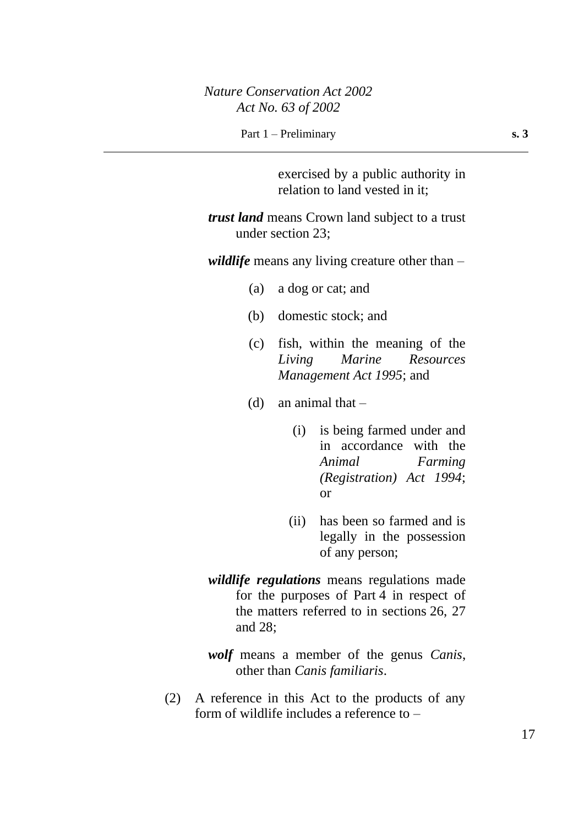Part 1 – Preliminary **s. 3** 

exercised by a public authority in relation to land vested in it;

*trust land* means Crown land subject to a trust under section 23;

*wildlife* means any living creature other than –

- (a) a dog or cat; and
- (b) domestic stock; and
- (c) fish, within the meaning of the *Living Marine Resources Management Act 1995*; and
- (d) an animal that  $-$ 
	- (i) is being farmed under and in accordance with the *Animal Farming (Registration) Act 1994*; or
	- (ii) has been so farmed and is legally in the possession of any person;
- *wildlife regulations* means regulations made for the purposes of Part 4 in respect of the matters referred to in sections 26, 27 and 28;

*wolf* means a member of the genus *Canis*, other than *Canis familiaris*.

(2) A reference in this Act to the products of any form of wildlife includes a reference to –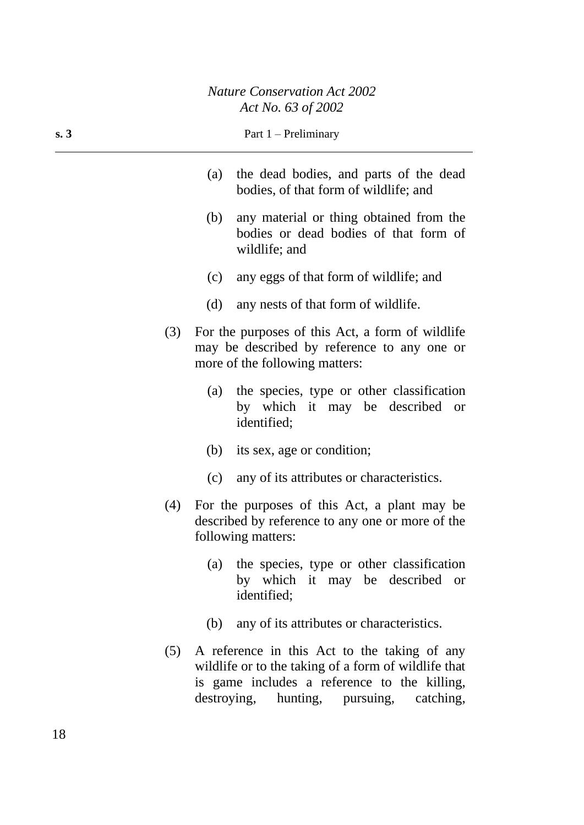|     | $AU$ IVO. US OJ 2002           |                                                                                                          |
|-----|--------------------------------|----------------------------------------------------------------------------------------------------------|
| s.3 | Part $1$ – Preliminary         |                                                                                                          |
|     | (a)                            | the dead bodies, and parts of the dead<br>bodies, of that form of wildlife; and                          |
|     | (b)<br>wildlife; and           | any material or thing obtained from the<br>bodies or dead bodies of that form of                         |
|     | (c)                            | any eggs of that form of wildlife; and                                                                   |
|     | (d)                            | any nests of that form of wildlife.                                                                      |
| (3) | more of the following matters: | For the purposes of this Act, a form of wildlife<br>may be described by reference to any one or          |
|     | (a)<br>identified;             | the species, type or other classification<br>by which it may be described<br><b>or</b>                   |
|     | (b) its sex, age or condition; |                                                                                                          |
|     | (c)                            | any of its attributes or characteristics.                                                                |
| (4) | following matters:             | For the purposes of this Act, a plant may be<br>described by reference to any one or more of the         |
|     | (a)<br>identified;             | the species, type or other classification<br>by which it may be described or                             |
|     | (b)                            | any of its attributes or characteristics.                                                                |
|     |                                | (5) A reference in this Act to the taking of any<br>wildlife or to the taking of a form of wildlife that |

is game includes a reference to the killing, destroying, hunting, pursuing, catching,

hunting, pursuing, catching,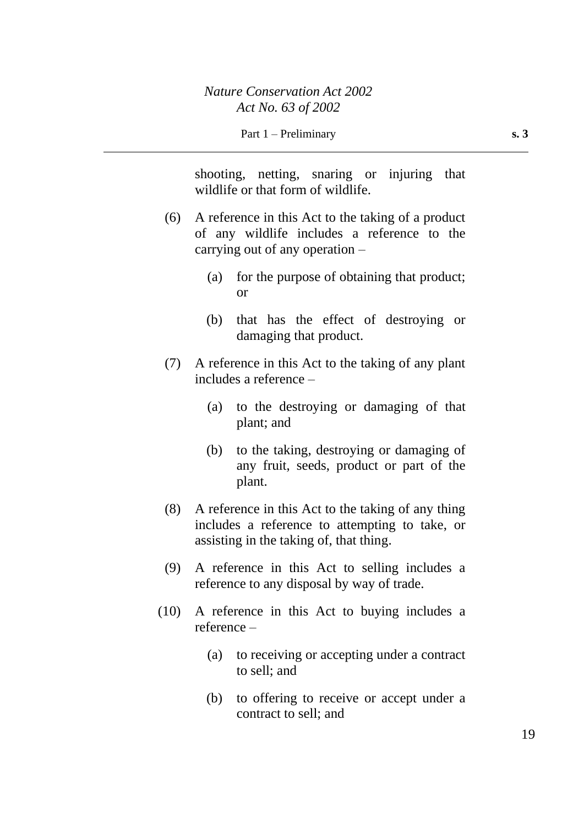shooting, netting, snaring or injuring that wildlife or that form of wildlife.

- (6) A reference in this Act to the taking of a product of any wildlife includes a reference to the carrying out of any operation –
	- (a) for the purpose of obtaining that product; or
	- (b) that has the effect of destroying or damaging that product.
- (7) A reference in this Act to the taking of any plant includes a reference –
	- (a) to the destroying or damaging of that plant; and
	- (b) to the taking, destroying or damaging of any fruit, seeds, product or part of the plant.
- (8) A reference in this Act to the taking of any thing includes a reference to attempting to take, or assisting in the taking of, that thing.
- (9) A reference in this Act to selling includes a reference to any disposal by way of trade.
- (10) A reference in this Act to buying includes a reference –
	- (a) to receiving or accepting under a contract to sell; and
	- (b) to offering to receive or accept under a contract to sell; and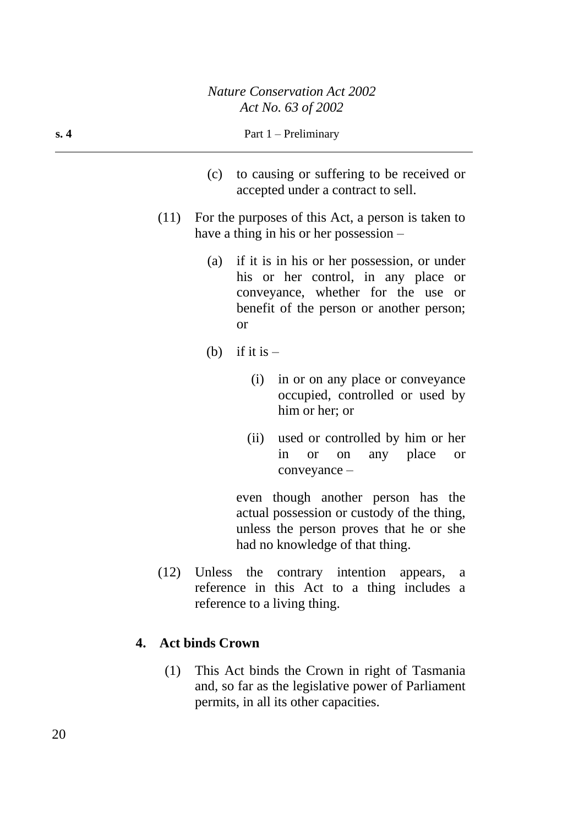| s.4  | Part $1$ – Preliminary                                                                                                                                                                                           |
|------|------------------------------------------------------------------------------------------------------------------------------------------------------------------------------------------------------------------|
|      | (c) to causing or suffering to be received or<br>accepted under a contract to sell.                                                                                                                              |
| (11) | For the purposes of this Act, a person is taken to<br>have a thing in his or her possession $-$                                                                                                                  |
|      | if it is in his or her possession, or under<br>(a)<br>his or her control, in any place<br><b>or</b><br>conveyance, whether for the use<br><sub>or</sub><br>benefit of the person or another person;<br><b>or</b> |
|      | if it is $-$<br>(b)                                                                                                                                                                                              |
|      | in or on any place or conveyance<br>(i)<br>occupied, controlled or used by<br>him or her; or                                                                                                                     |
|      | used or controlled by him or her<br>(ii)<br>any place<br>in<br><b>or</b><br>on<br><b>or</b><br>conveyance -                                                                                                      |
|      | even though another person has the<br>actual possession or custody of the thing,<br>unless the person proves that he or she<br>had no knowledge of that thing.                                                   |
|      | (12) Unless the contrary intention appears,<br>a<br>reference in this Act to a thing includes a<br>reference to a living thing.                                                                                  |

# **4. Act binds Crown**

(1) This Act binds the Crown in right of Tasmania and, so far as the legislative power of Parliament permits, in all its other capacities.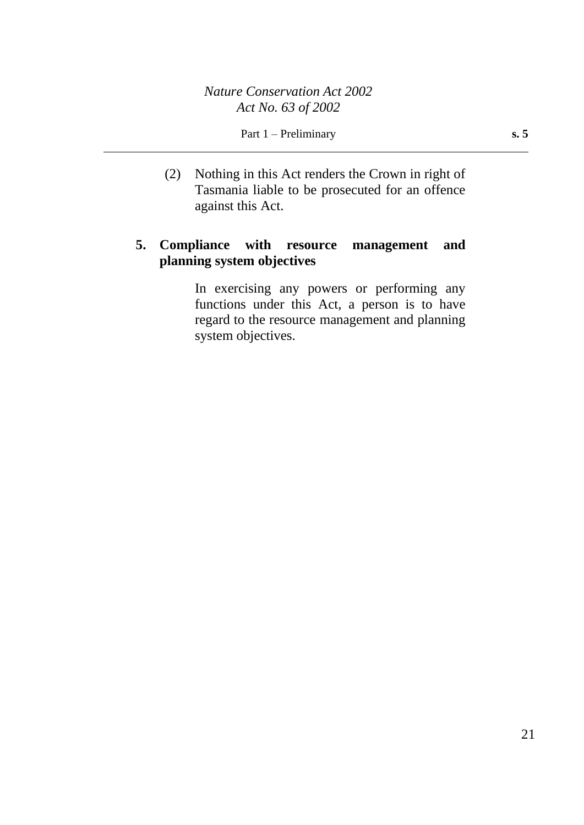(2) Nothing in this Act renders the Crown in right of Tasmania liable to be prosecuted for an offence against this Act.

# **5. Compliance with resource management and planning system objectives**

In exercising any powers or performing any functions under this Act, a person is to have regard to the resource management and planning system objectives.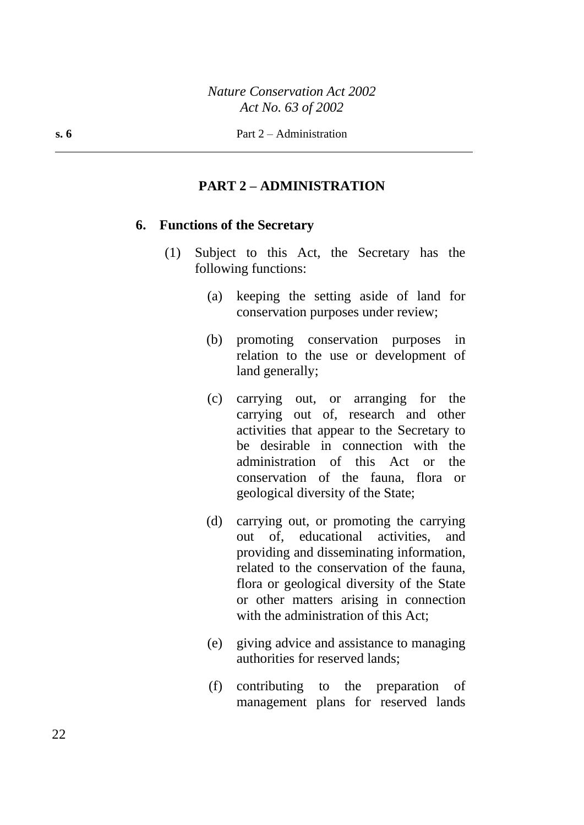### **PART 2 – ADMINISTRATION**

### **6. Functions of the Secretary**

- (1) Subject to this Act, the Secretary has the following functions:
	- (a) keeping the setting aside of land for conservation purposes under review;
	- (b) promoting conservation purposes in relation to the use or development of land generally;
	- (c) carrying out, or arranging for the carrying out of, research and other activities that appear to the Secretary to be desirable in connection with the administration of this Act or the conservation of the fauna, flora or geological diversity of the State;
	- (d) carrying out, or promoting the carrying out of, educational activities, and providing and disseminating information, related to the conservation of the fauna, flora or geological diversity of the State or other matters arising in connection with the administration of this Act:
	- (e) giving advice and assistance to managing authorities for reserved lands;
	- (f) contributing to the preparation of management plans for reserved lands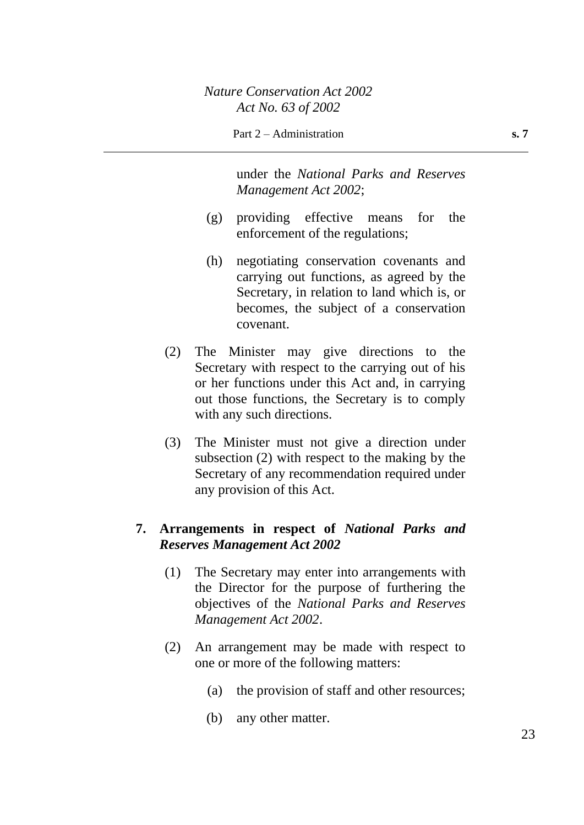under the *National Parks and Reserves Management Act 2002*;

- (g) providing effective means for the enforcement of the regulations;
- (h) negotiating conservation covenants and carrying out functions, as agreed by the Secretary, in relation to land which is, or becomes, the subject of a conservation covenant.
- (2) The Minister may give directions to the Secretary with respect to the carrying out of his or her functions under this Act and, in carrying out those functions, the Secretary is to comply with any such directions.
- (3) The Minister must not give a direction under subsection (2) with respect to the making by the Secretary of any recommendation required under any provision of this Act.

# **7. Arrangements in respect of** *National Parks and Reserves Management Act 2002*

- (1) The Secretary may enter into arrangements with the Director for the purpose of furthering the objectives of the *National Parks and Reserves Management Act 2002*.
- (2) An arrangement may be made with respect to one or more of the following matters:
	- (a) the provision of staff and other resources;
	- (b) any other matter.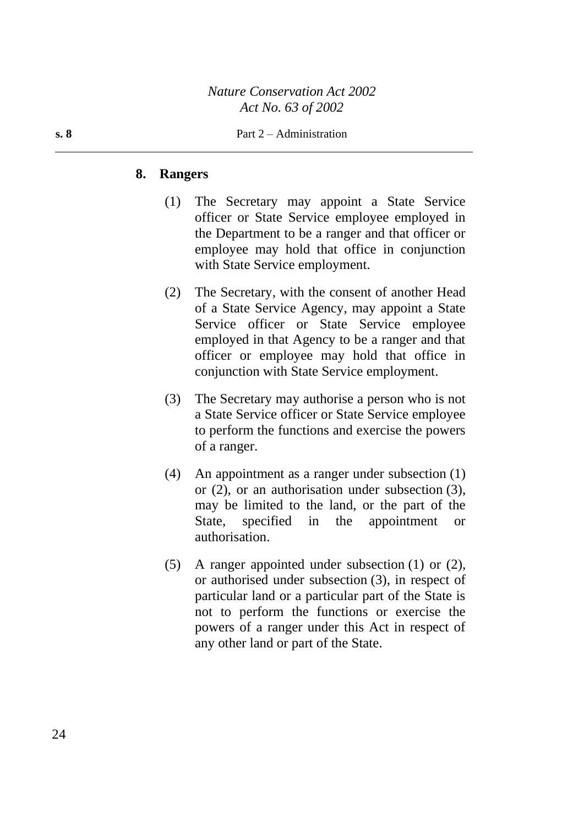#### **s. 8** Part 2 – Administration

#### **8. Rangers**

- (1) The Secretary may appoint a State Service officer or State Service employee employed in the Department to be a ranger and that officer or employee may hold that office in conjunction with State Service employment.
- (2) The Secretary, with the consent of another Head of a State Service Agency, may appoint a State Service officer or State Service employee employed in that Agency to be a ranger and that officer or employee may hold that office in conjunction with State Service employment.
- (3) The Secretary may authorise a person who is not a State Service officer or State Service employee to perform the functions and exercise the powers of a ranger.
- (4) An appointment as a ranger under subsection (1) or (2), or an authorisation under subsection (3), may be limited to the land, or the part of the State, specified in the appointment or authorisation.
- (5) A ranger appointed under subsection (1) or (2), or authorised under subsection (3), in respect of particular land or a particular part of the State is not to perform the functions or exercise the powers of a ranger under this Act in respect of any other land or part of the State.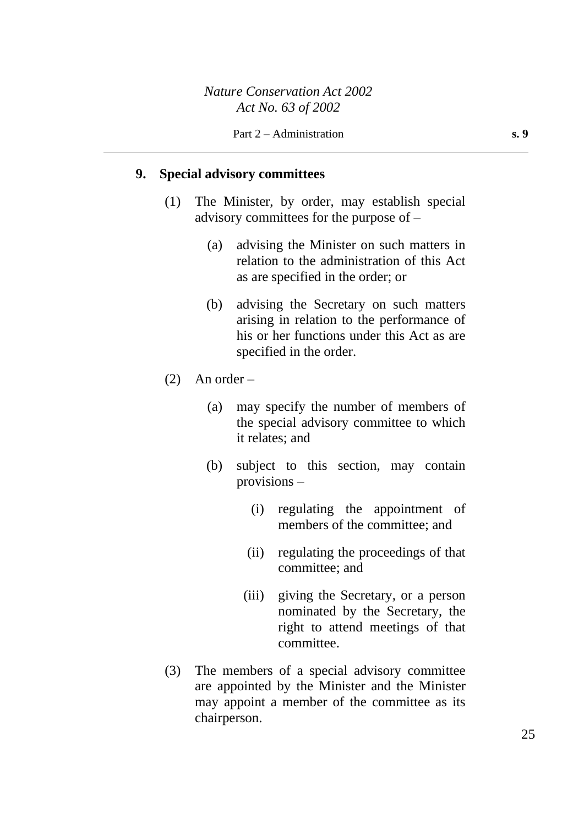# **9. Special advisory committees**

- (1) The Minister, by order, may establish special advisory committees for the purpose of –
	- (a) advising the Minister on such matters in relation to the administration of this Act as are specified in the order; or
	- (b) advising the Secretary on such matters arising in relation to the performance of his or her functions under this Act as are specified in the order.
- $(2)$  An order
	- (a) may specify the number of members of the special advisory committee to which it relates; and
	- (b) subject to this section, may contain provisions –
		- (i) regulating the appointment of members of the committee; and
		- (ii) regulating the proceedings of that committee; and
		- (iii) giving the Secretary, or a person nominated by the Secretary, the right to attend meetings of that committee.
- (3) The members of a special advisory committee are appointed by the Minister and the Minister may appoint a member of the committee as its chairperson.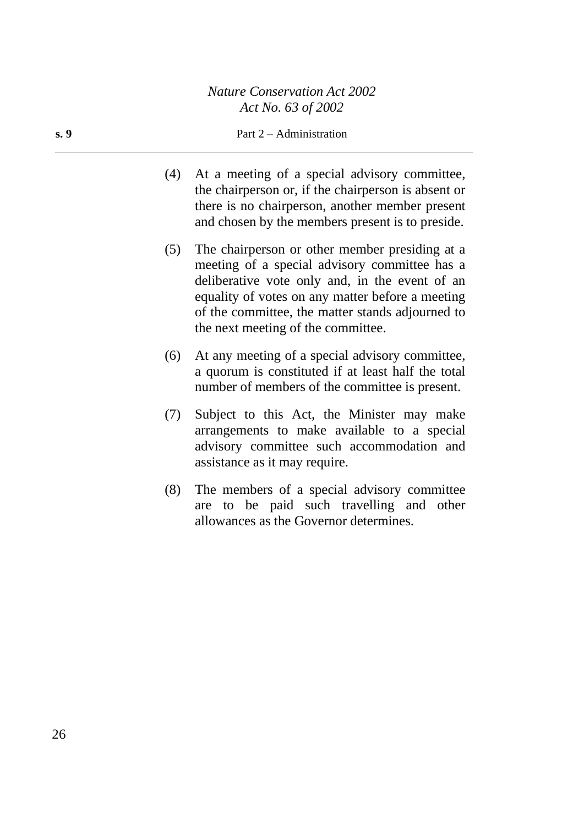#### **s. 9** Part 2 – Administration

- (4) At a meeting of a special advisory committee, the chairperson or, if the chairperson is absent or there is no chairperson, another member present and chosen by the members present is to preside.
- (5) The chairperson or other member presiding at a meeting of a special advisory committee has a deliberative vote only and, in the event of an equality of votes on any matter before a meeting of the committee, the matter stands adjourned to the next meeting of the committee.
- (6) At any meeting of a special advisory committee, a quorum is constituted if at least half the total number of members of the committee is present.
- (7) Subject to this Act, the Minister may make arrangements to make available to a special advisory committee such accommodation and assistance as it may require.
- (8) The members of a special advisory committee are to be paid such travelling and other allowances as the Governor determines.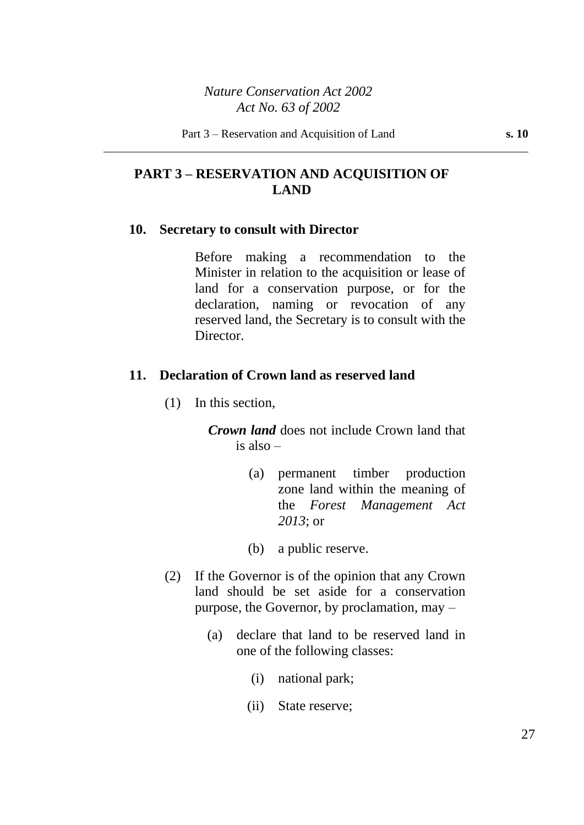# **PART 3 – RESERVATION AND ACQUISITION OF LAND**

#### **10. Secretary to consult with Director**

Before making a recommendation to the Minister in relation to the acquisition or lease of land for a conservation purpose, or for the declaration, naming or revocation of any reserved land, the Secretary is to consult with the Director.

### **11. Declaration of Crown land as reserved land**

(1) In this section,

*Crown land* does not include Crown land that is also –

- (a) permanent timber production zone land within the meaning of the *Forest Management Act 2013*; or
- (b) a public reserve.
- (2) If the Governor is of the opinion that any Crown land should be set aside for a conservation purpose, the Governor, by proclamation, may –
	- (a) declare that land to be reserved land in one of the following classes:
		- (i) national park;
		- (ii) State reserve;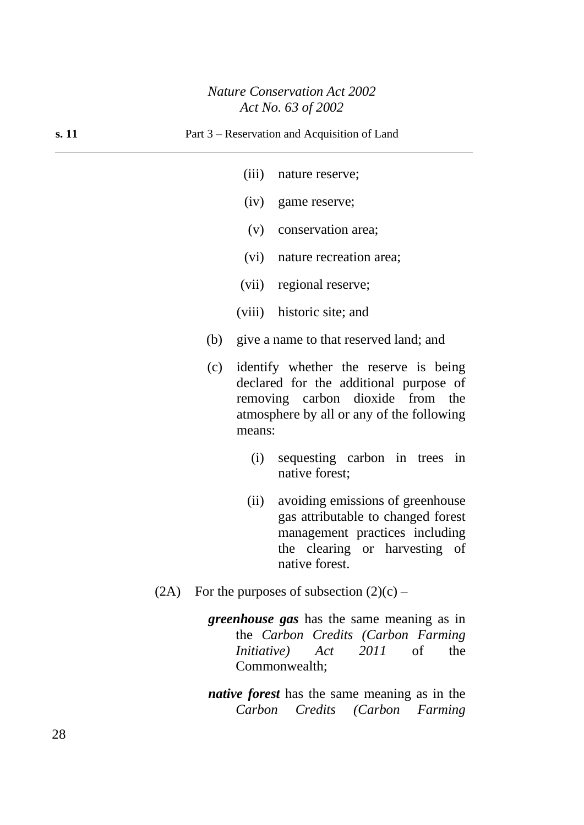- (iii) nature reserve;
- (iv) game reserve;
- (v) conservation area;
- (vi) nature recreation area;
- (vii) regional reserve;
- (viii) historic site; and
- (b) give a name to that reserved land; and
- (c) identify whether the reserve is being declared for the additional purpose of removing carbon dioxide from the atmosphere by all or any of the following means:
	- (i) sequesting carbon in trees in native forest;
	- (ii) avoiding emissions of greenhouse gas attributable to changed forest management practices including the clearing or harvesting of native forest.
- (2A) For the purposes of subsection  $(2)(c)$ 
	- *greenhouse gas* has the same meaning as in the *Carbon Credits (Carbon Farming Initiative) Act 2011* of the Commonwealth;
	- *native forest* has the same meaning as in the *Carbon Credits (Carbon Farming*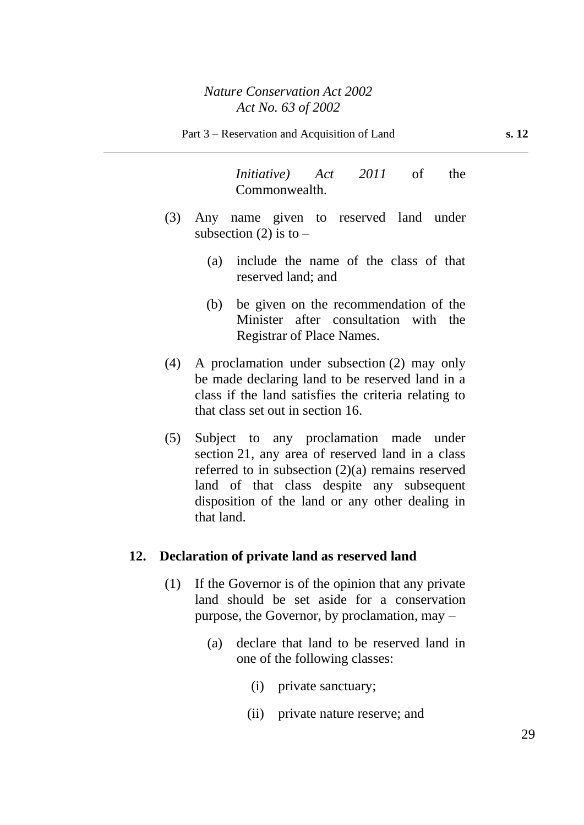*Initiative) Act 2011* of the Commonwealth.

- (3) Any name given to reserved land under subsection (2) is to  $-$ 
	- (a) include the name of the class of that reserved land; and
	- (b) be given on the recommendation of the Minister after consultation with the Registrar of Place Names.
- (4) A proclamation under subsection (2) may only be made declaring land to be reserved land in a class if the land satisfies the criteria relating to that class set out in section 16.
- (5) Subject to any proclamation made under section 21, any area of reserved land in a class referred to in subsection (2)(a) remains reserved land of that class despite any subsequent disposition of the land or any other dealing in that land.

### **12. Declaration of private land as reserved land**

- (1) If the Governor is of the opinion that any private land should be set aside for a conservation purpose, the Governor, by proclamation, may –
	- (a) declare that land to be reserved land in one of the following classes:
		- (i) private sanctuary;
		- (ii) private nature reserve; and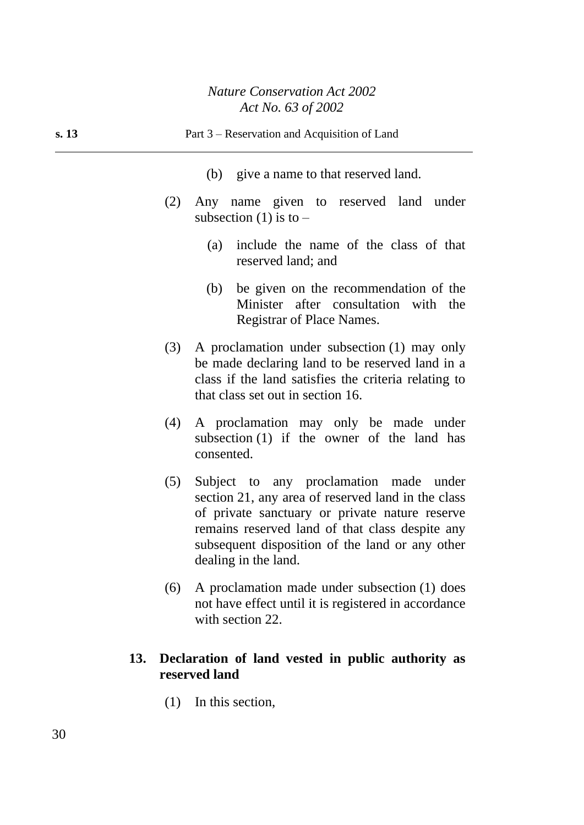| s. 13 |     | Part 3 – Reservation and Acquisition of Land                                                                                                                                                                                                                                 |
|-------|-----|------------------------------------------------------------------------------------------------------------------------------------------------------------------------------------------------------------------------------------------------------------------------------|
|       |     | (b) give a name to that reserved land.                                                                                                                                                                                                                                       |
|       | (2) | Any name given to reserved land under<br>subsection (1) is to $-$                                                                                                                                                                                                            |
|       |     | include the name of the class of that<br>(a)<br>reserved land; and                                                                                                                                                                                                           |
|       |     | be given on the recommendation of the<br>(b)<br>Minister after consultation with the<br>Registrar of Place Names.                                                                                                                                                            |
|       | (3) | A proclamation under subsection (1) may only<br>be made declaring land to be reserved land in a<br>class if the land satisfies the criteria relating to<br>that class set out in section 16.                                                                                 |
|       | (4) | A proclamation may only be made under<br>subsection (1) if the owner of the land has<br>consented.                                                                                                                                                                           |
|       | (5) | Subject to any proclamation made under<br>section 21, any area of reserved land in the class<br>of private sanctuary or private nature reserve<br>remains reserved land of that class despite any<br>subsequent disposition of the land or any other<br>dealing in the land. |
|       | (6) | A proclamation made under subsection (1) does<br>not have effect until it is registered in accordance                                                                                                                                                                        |

# **13. Declaration of land vested in public authority as reserved land**

(1) In this section,

with section 22.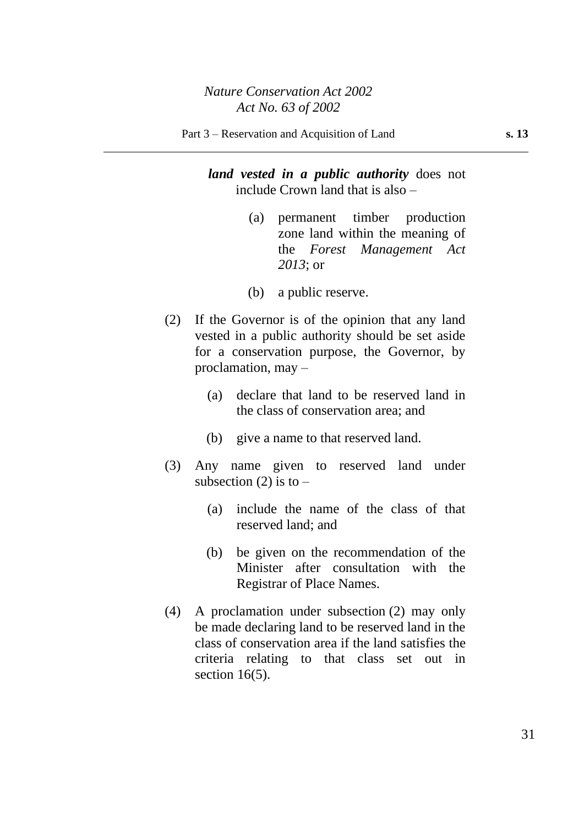*land vested in a public authority* does not include Crown land that is also –

- (a) permanent timber production zone land within the meaning of the *Forest Management Act 2013*; or
- (b) a public reserve.
- (2) If the Governor is of the opinion that any land vested in a public authority should be set aside for a conservation purpose, the Governor, by proclamation, may –
	- (a) declare that land to be reserved land in the class of conservation area; and
	- (b) give a name to that reserved land.
- (3) Any name given to reserved land under subsection (2) is to  $-$ 
	- (a) include the name of the class of that reserved land; and
	- (b) be given on the recommendation of the Minister after consultation with the Registrar of Place Names.
- (4) A proclamation under subsection (2) may only be made declaring land to be reserved land in the class of conservation area if the land satisfies the criteria relating to that class set out in section  $16(5)$ .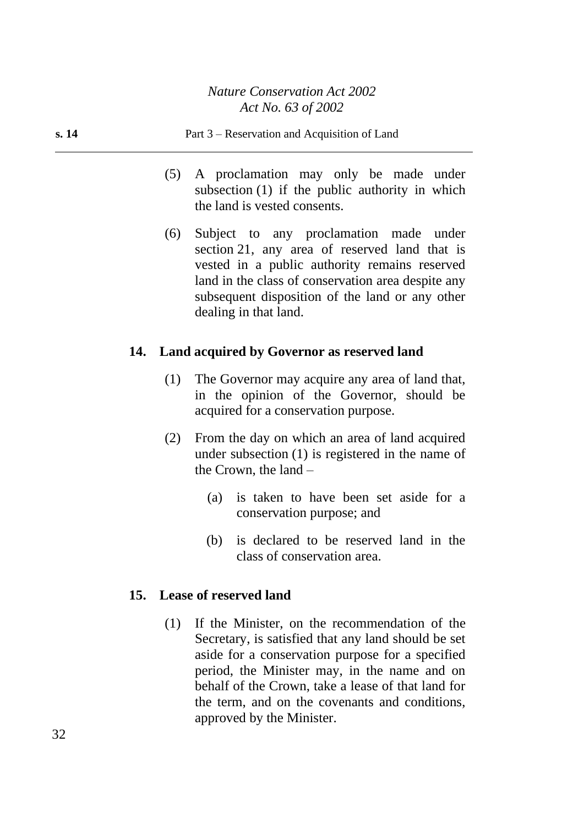- (5) A proclamation may only be made under subsection (1) if the public authority in which the land is vested consents.
- (6) Subject to any proclamation made under section 21, any area of reserved land that is vested in a public authority remains reserved land in the class of conservation area despite any subsequent disposition of the land or any other dealing in that land.

# **14. Land acquired by Governor as reserved land**

- (1) The Governor may acquire any area of land that, in the opinion of the Governor, should be acquired for a conservation purpose.
- (2) From the day on which an area of land acquired under subsection (1) is registered in the name of the Crown, the land –
	- (a) is taken to have been set aside for a conservation purpose; and
	- (b) is declared to be reserved land in the class of conservation area.

# **15. Lease of reserved land**

(1) If the Minister, on the recommendation of the Secretary, is satisfied that any land should be set aside for a conservation purpose for a specified period, the Minister may, in the name and on behalf of the Crown, take a lease of that land for the term, and on the covenants and conditions, approved by the Minister.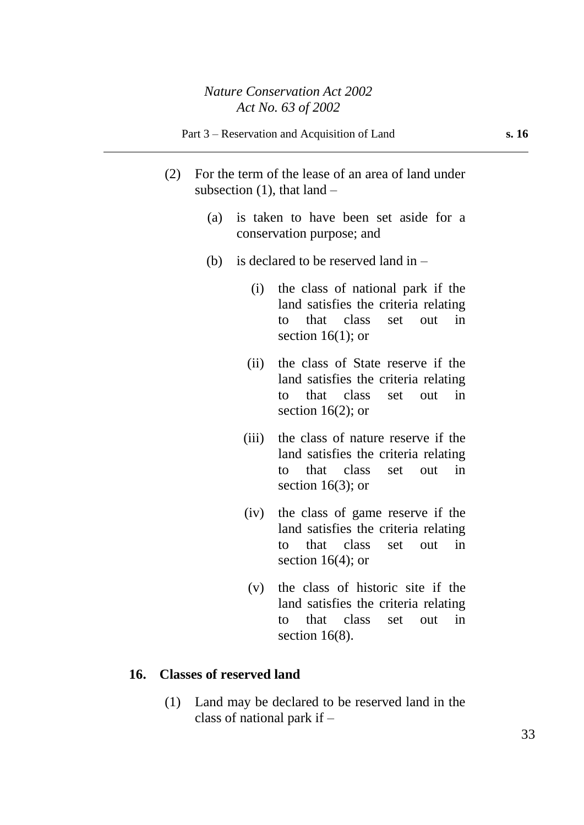- (2) For the term of the lease of an area of land under subsection  $(1)$ , that land –
	- (a) is taken to have been set aside for a conservation purpose; and
	- (b) is declared to be reserved land in  $-$ 
		- (i) the class of national park if the land satisfies the criteria relating to that class set out in section  $16(1)$ ; or
		- (ii) the class of State reserve if the land satisfies the criteria relating to that class set out in section  $16(2)$ ; or
		- (iii) the class of nature reserve if the land satisfies the criteria relating to that class set out in section 16(3); or
		- (iv) the class of game reserve if the land satisfies the criteria relating to that class set out in section  $16(4)$ ; or
		- (v) the class of historic site if the land satisfies the criteria relating to that class set out in section 16(8).

### **16. Classes of reserved land**

(1) Land may be declared to be reserved land in the class of national park if –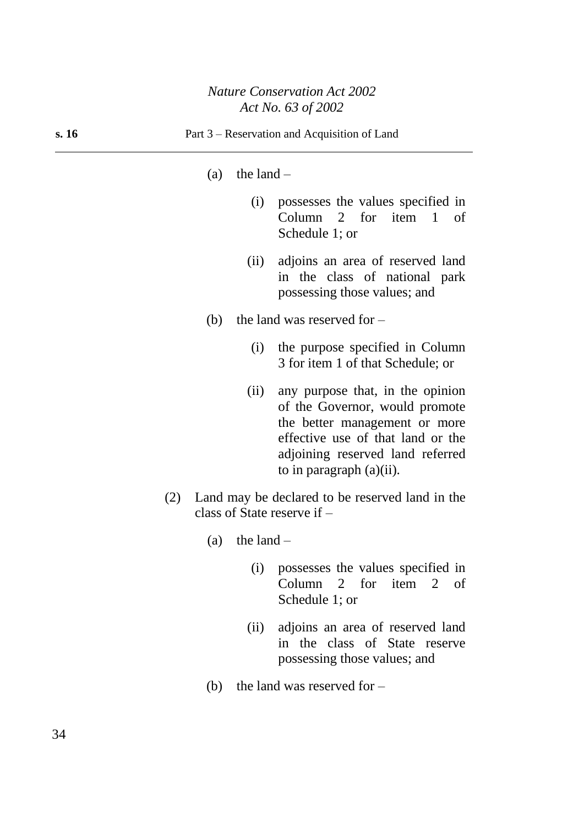#### (a) the land  $-$

- (i) possesses the values specified in Column 2 for item 1 of Schedule 1; or
- (ii) adjoins an area of reserved land in the class of national park possessing those values; and
- (b) the land was reserved for  $-$ 
	- (i) the purpose specified in Column 3 for item 1 of that Schedule; or
	- (ii) any purpose that, in the opinion of the Governor, would promote the better management or more effective use of that land or the adjoining reserved land referred to in paragraph (a)(ii).
- (2) Land may be declared to be reserved land in the class of State reserve if –
	- (a) the land  $-$ 
		- (i) possesses the values specified in Column 2 for item 2 of Schedule 1; or
		- (ii) adjoins an area of reserved land in the class of State reserve possessing those values; and
	- (b) the land was reserved for  $-$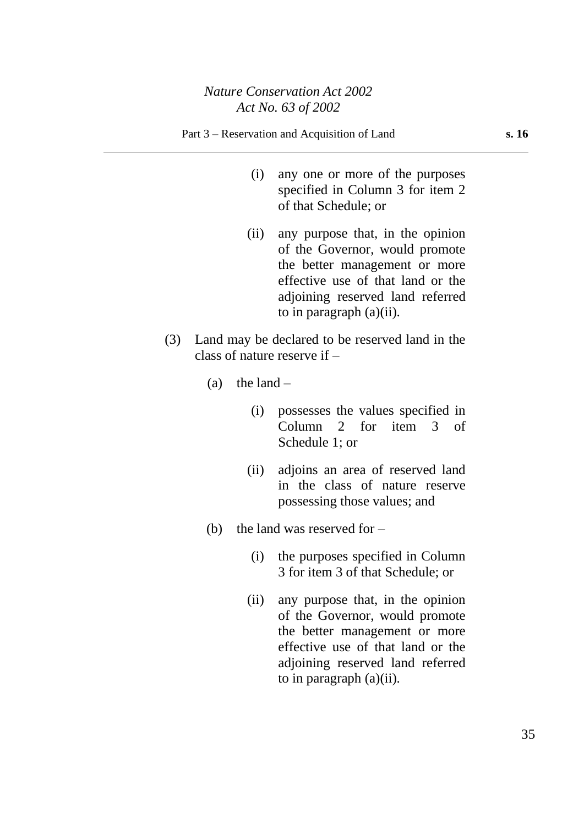- (i) any one or more of the purposes specified in Column 3 for item 2 of that Schedule; or
- (ii) any purpose that, in the opinion of the Governor, would promote the better management or more effective use of that land or the adjoining reserved land referred to in paragraph (a)(ii).
- (3) Land may be declared to be reserved land in the class of nature reserve if –
	- (a) the land  $-$ 
		- (i) possesses the values specified in Column 2 for item 3 of Schedule 1; or
		- (ii) adjoins an area of reserved land in the class of nature reserve possessing those values; and
	- (b) the land was reserved for  $-$ 
		- (i) the purposes specified in Column 3 for item 3 of that Schedule; or
		- (ii) any purpose that, in the opinion of the Governor, would promote the better management or more effective use of that land or the adjoining reserved land referred to in paragraph (a)(ii).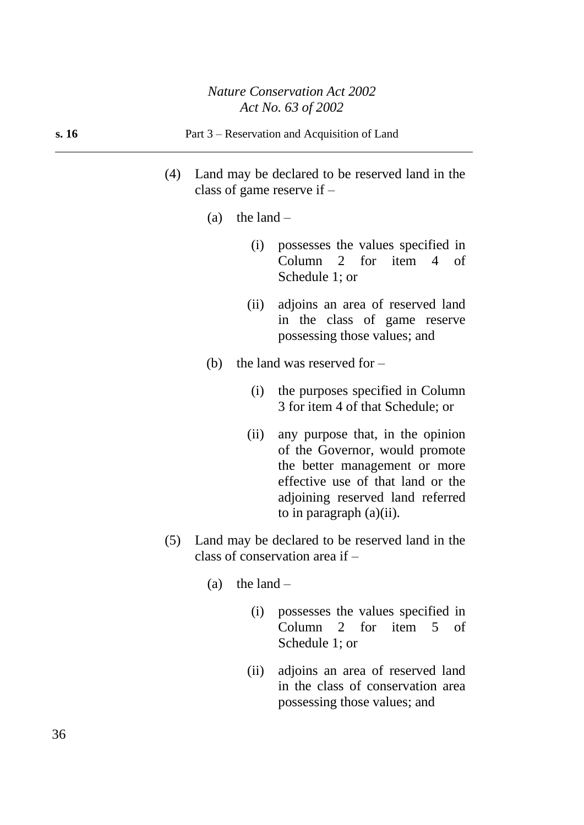|       | ACI IVO. 05 OJ $\angle 00\angle$                                                       |
|-------|----------------------------------------------------------------------------------------|
| s. 16 | Part 3 – Reservation and Acquisition of Land                                           |
|       | Land may be declared to be reserved land in the<br>(4)<br>class of game reserve if $-$ |
|       | the land $-$<br>(a)                                                                    |

- (i) possesses the values specified in Column 2 for item 4 of Schedule 1; or
- (ii) adjoins an area of reserved land in the class of game reserve possessing those values; and
- (b) the land was reserved for  $-$ 
	- (i) the purposes specified in Column 3 for item 4 of that Schedule; or
	- (ii) any purpose that, in the opinion of the Governor, would promote the better management or more effective use of that land or the adjoining reserved land referred to in paragraph (a)(ii).
- (5) Land may be declared to be reserved land in the class of conservation area if –
	- (a) the land  $-$ 
		- (i) possesses the values specified in Column 2 for item 5 of Schedule 1; or
		- (ii) adjoins an area of reserved land in the class of conservation area possessing those values; and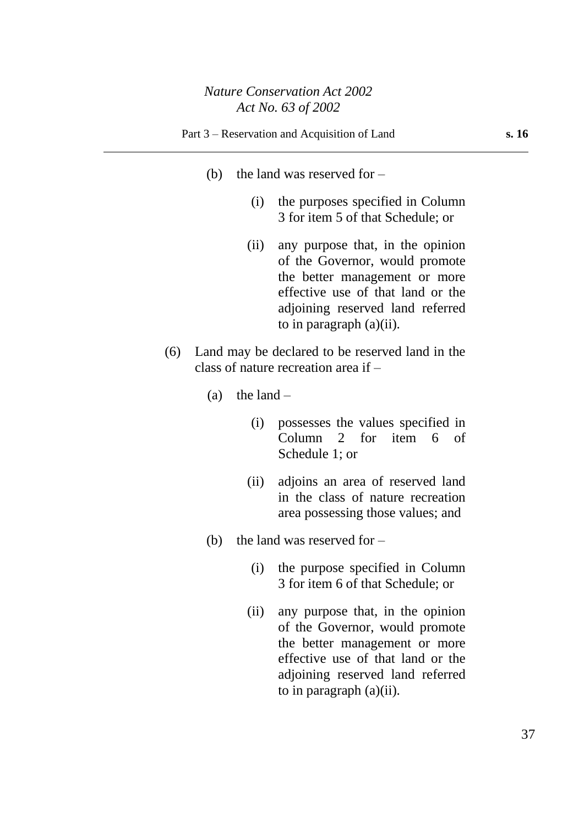- (b) the land was reserved for  $-$ 
	- (i) the purposes specified in Column 3 for item 5 of that Schedule; or
	- (ii) any purpose that, in the opinion of the Governor, would promote the better management or more effective use of that land or the adjoining reserved land referred to in paragraph (a)(ii).
- (6) Land may be declared to be reserved land in the class of nature recreation area if –
	- (a) the land  $-$ 
		- (i) possesses the values specified in Column 2 for item 6 of Schedule 1; or
		- (ii) adjoins an area of reserved land in the class of nature recreation area possessing those values; and
	- (b) the land was reserved for  $-$ 
		- (i) the purpose specified in Column 3 for item 6 of that Schedule; or
		- (ii) any purpose that, in the opinion of the Governor, would promote the better management or more effective use of that land or the adjoining reserved land referred to in paragraph (a)(ii).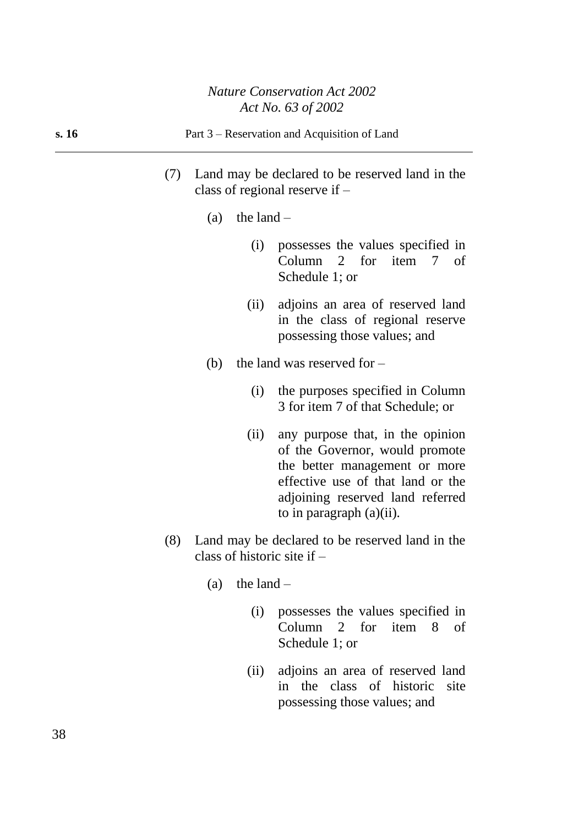#### **s. 16** Part 3 – Reservation and Acquisition of Land

- (7) Land may be declared to be reserved land in the class of regional reserve if –
	- (a) the land  $-$ 
		- (i) possesses the values specified in Column 2 for item 7 of Schedule 1; or
		- (ii) adjoins an area of reserved land in the class of regional reserve possessing those values; and
	- (b) the land was reserved for  $-$ 
		- (i) the purposes specified in Column 3 for item 7 of that Schedule; or
		- (ii) any purpose that, in the opinion of the Governor, would promote the better management or more effective use of that land or the adjoining reserved land referred to in paragraph (a)(ii).
- (8) Land may be declared to be reserved land in the class of historic site if –
	- (a) the land  $-$ 
		- (i) possesses the values specified in Column 2 for item 8 of Schedule 1; or
		- (ii) adjoins an area of reserved land in the class of historic site possessing those values; and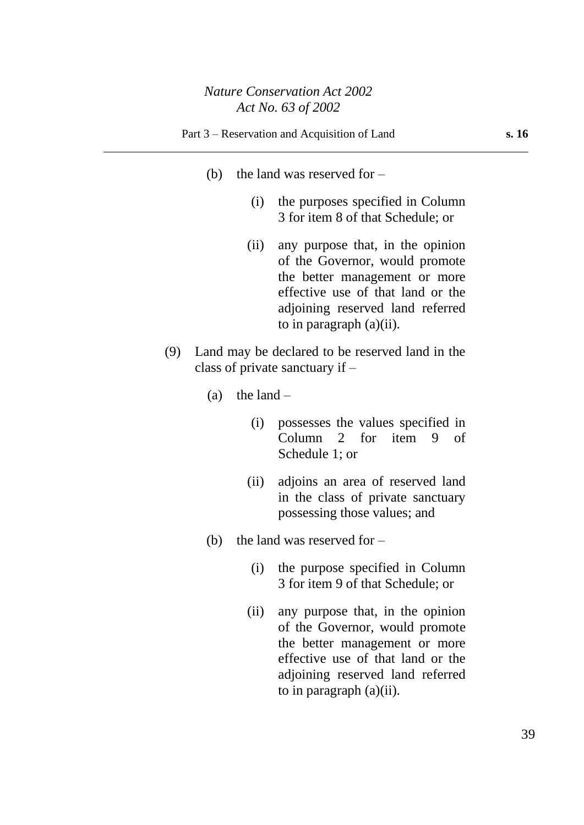- (b) the land was reserved for  $-$ 
	- (i) the purposes specified in Column 3 for item 8 of that Schedule; or
	- (ii) any purpose that, in the opinion of the Governor, would promote the better management or more effective use of that land or the adjoining reserved land referred to in paragraph (a)(ii).
- (9) Land may be declared to be reserved land in the class of private sanctuary if –
	- (a) the land  $-$ 
		- (i) possesses the values specified in Column 2 for item 9 of Schedule 1; or
		- (ii) adjoins an area of reserved land in the class of private sanctuary possessing those values; and
	- (b) the land was reserved for  $-$ 
		- (i) the purpose specified in Column 3 for item 9 of that Schedule; or
		- (ii) any purpose that, in the opinion of the Governor, would promote the better management or more effective use of that land or the adjoining reserved land referred to in paragraph (a)(ii).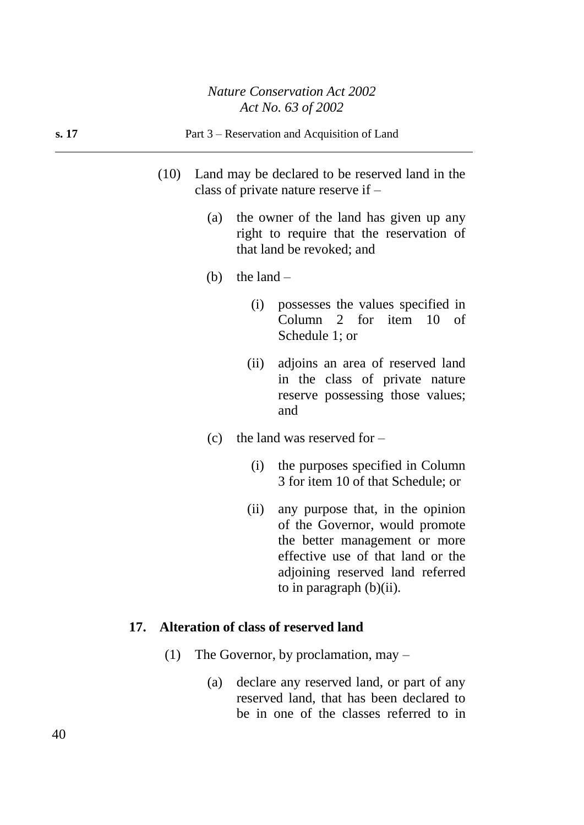- (10) Land may be declared to be reserved land in the class of private nature reserve if –
	- (a) the owner of the land has given up any right to require that the reservation of that land be revoked; and
	- (b) the land  $-$ 
		- (i) possesses the values specified in Column 2 for item 10 of Schedule 1; or
		- (ii) adjoins an area of reserved land in the class of private nature reserve possessing those values; and
	- (c) the land was reserved for
		- (i) the purposes specified in Column 3 for item 10 of that Schedule; or
		- (ii) any purpose that, in the opinion of the Governor, would promote the better management or more effective use of that land or the adjoining reserved land referred to in paragraph (b)(ii).

# **17. Alteration of class of reserved land**

- (1) The Governor, by proclamation, may
	- (a) declare any reserved land, or part of any reserved land, that has been declared to be in one of the classes referred to in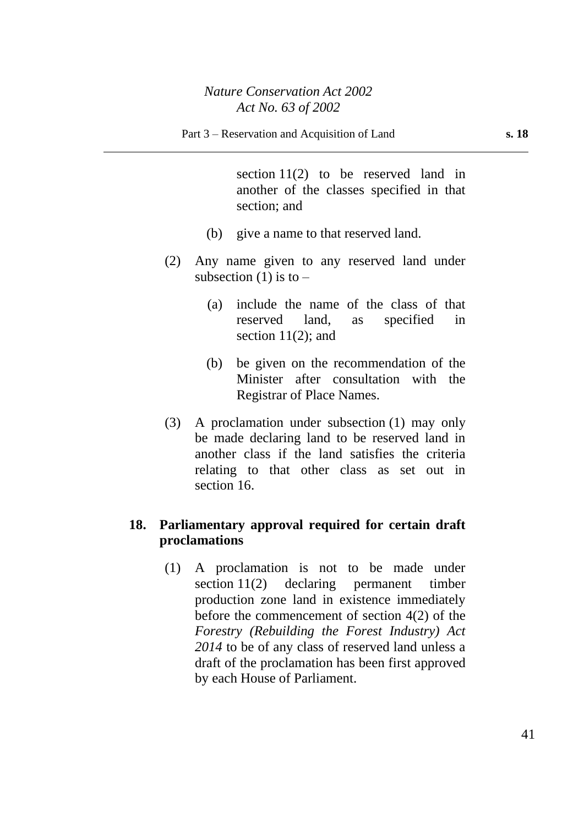section 11(2) to be reserved land in another of the classes specified in that section; and

- (b) give a name to that reserved land.
- (2) Any name given to any reserved land under subsection  $(1)$  is to –
	- (a) include the name of the class of that reserved land, as specified in section 11(2); and
	- (b) be given on the recommendation of the Minister after consultation with the Registrar of Place Names.
- (3) A proclamation under subsection (1) may only be made declaring land to be reserved land in another class if the land satisfies the criteria relating to that other class as set out in section 16.

# **18. Parliamentary approval required for certain draft proclamations**

(1) A proclamation is not to be made under section 11(2) declaring permanent timber production zone land in existence immediately before the commencement of section 4(2) of the *Forestry (Rebuilding the Forest Industry) Act 2014* to be of any class of reserved land unless a draft of the proclamation has been first approved by each House of Parliament.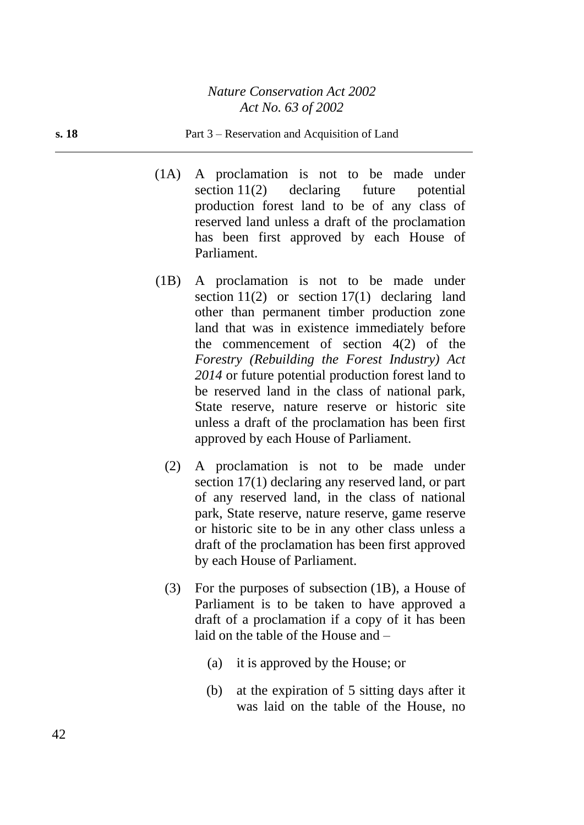#### **s. 18** Part 3 – Reservation and Acquisition of Land

- (1A) A proclamation is not to be made under section 11(2) declaring future potential production forest land to be of any class of reserved land unless a draft of the proclamation has been first approved by each House of Parliament.
- (1B) A proclamation is not to be made under section  $11(2)$  or section  $17(1)$  declaring land other than permanent timber production zone land that was in existence immediately before the commencement of section  $4(2)$  of the *Forestry (Rebuilding the Forest Industry) Act 2014* or future potential production forest land to be reserved land in the class of national park, State reserve, nature reserve or historic site unless a draft of the proclamation has been first approved by each House of Parliament.
	- (2) A proclamation is not to be made under section 17(1) declaring any reserved land, or part of any reserved land, in the class of national park, State reserve, nature reserve, game reserve or historic site to be in any other class unless a draft of the proclamation has been first approved by each House of Parliament.
	- (3) For the purposes of subsection (1B), a House of Parliament is to be taken to have approved a draft of a proclamation if a copy of it has been laid on the table of the House and –
		- (a) it is approved by the House; or
		- (b) at the expiration of 5 sitting days after it was laid on the table of the House, no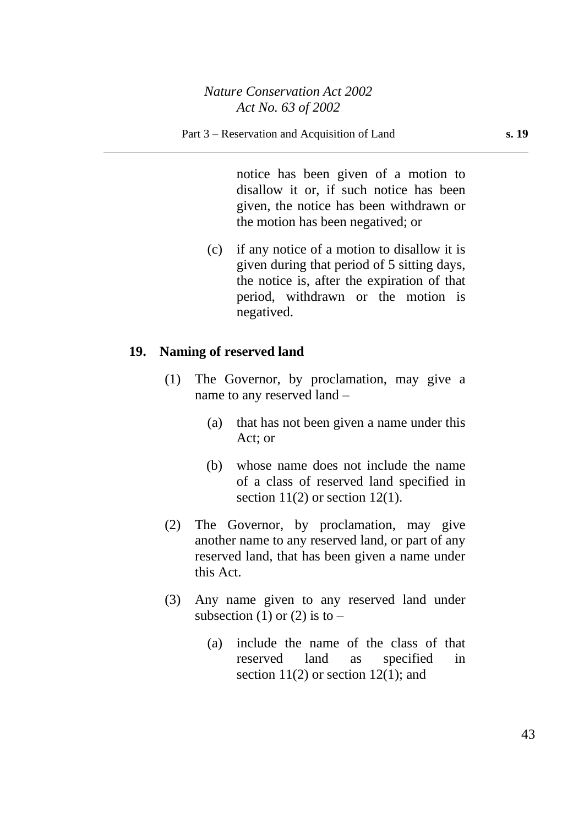notice has been given of a motion to disallow it or, if such notice has been given, the notice has been withdrawn or the motion has been negatived; or

(c) if any notice of a motion to disallow it is given during that period of 5 sitting days, the notice is, after the expiration of that period, withdrawn or the motion is negatived.

### **19. Naming of reserved land**

- (1) The Governor, by proclamation, may give a name to any reserved land –
	- (a) that has not been given a name under this Act; or
	- (b) whose name does not include the name of a class of reserved land specified in section  $11(2)$  or section  $12(1)$ .
- (2) The Governor, by proclamation, may give another name to any reserved land, or part of any reserved land, that has been given a name under this Act.
- (3) Any name given to any reserved land under subsection (1) or (2) is to  $-$ 
	- (a) include the name of the class of that reserved land as specified in section  $11(2)$  or section  $12(1)$ ; and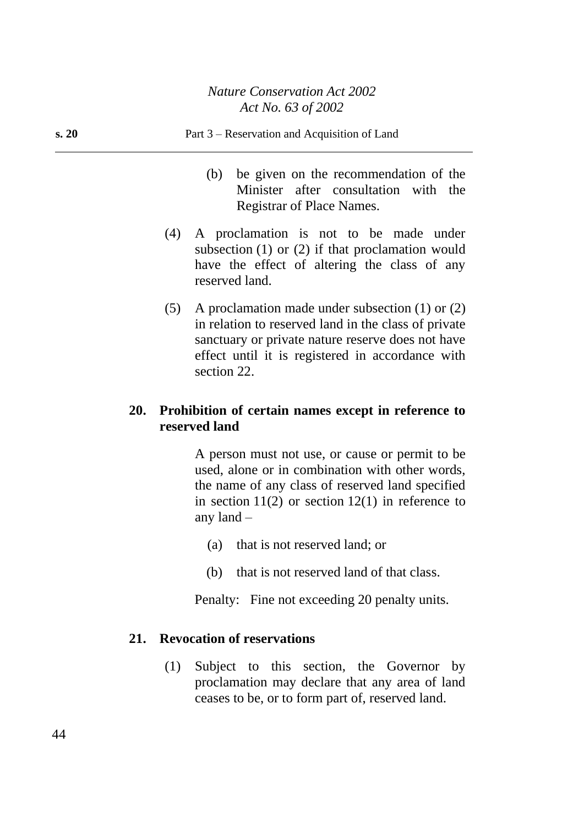# **s. 20** Part 3 – Reservation and Acquisition of Land (b) be given on the recommendation of the Minister after consultation with the Registrar of Place Names. (4) A proclamation is not to be made under subsection (1) or (2) if that proclamation would have the effect of altering the class of any reserved land. (5) A proclamation made under subsection (1) or (2) in relation to reserved land in the class of private sanctuary or private nature reserve does not have

**20. Prohibition of certain names except in reference to reserved land**

> A person must not use, or cause or permit to be used, alone or in combination with other words, the name of any class of reserved land specified in section  $11(2)$  or section  $12(1)$  in reference to any land –

> effect until it is registered in accordance with

- (a) that is not reserved land; or
- (b) that is not reserved land of that class.

Penalty: Fine not exceeding 20 penalty units.

### **21. Revocation of reservations**

section 22.

(1) Subject to this section, the Governor by proclamation may declare that any area of land ceases to be, or to form part of, reserved land.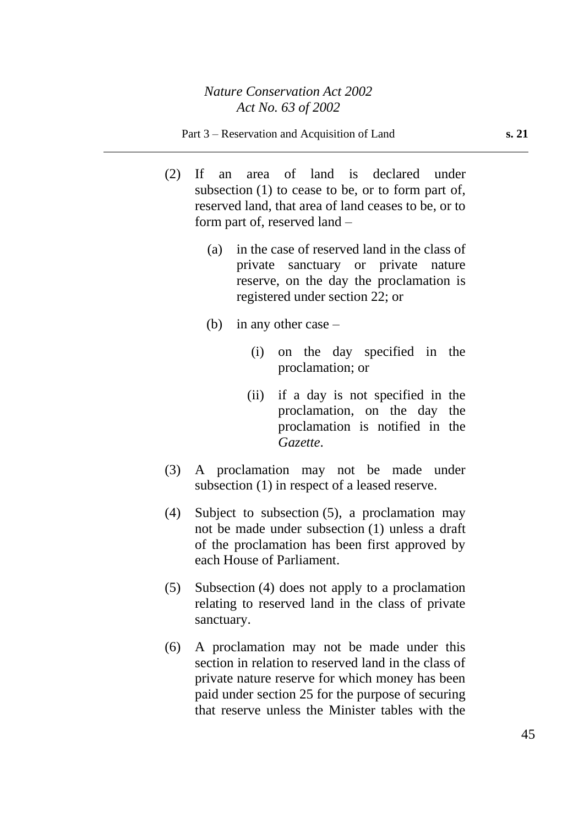- (2) If an area of land is declared under subsection (1) to cease to be, or to form part of, reserved land, that area of land ceases to be, or to form part of, reserved land –
	- (a) in the case of reserved land in the class of private sanctuary or private nature reserve, on the day the proclamation is registered under section 22; or
	- (b) in any other case  $-$ 
		- (i) on the day specified in the proclamation; or
		- (ii) if a day is not specified in the proclamation, on the day the proclamation is notified in the *Gazette*.
- (3) A proclamation may not be made under subsection (1) in respect of a leased reserve.
- (4) Subject to subsection (5), a proclamation may not be made under subsection (1) unless a draft of the proclamation has been first approved by each House of Parliament.
- (5) Subsection (4) does not apply to a proclamation relating to reserved land in the class of private sanctuary.
- (6) A proclamation may not be made under this section in relation to reserved land in the class of private nature reserve for which money has been paid under section 25 for the purpose of securing that reserve unless the Minister tables with the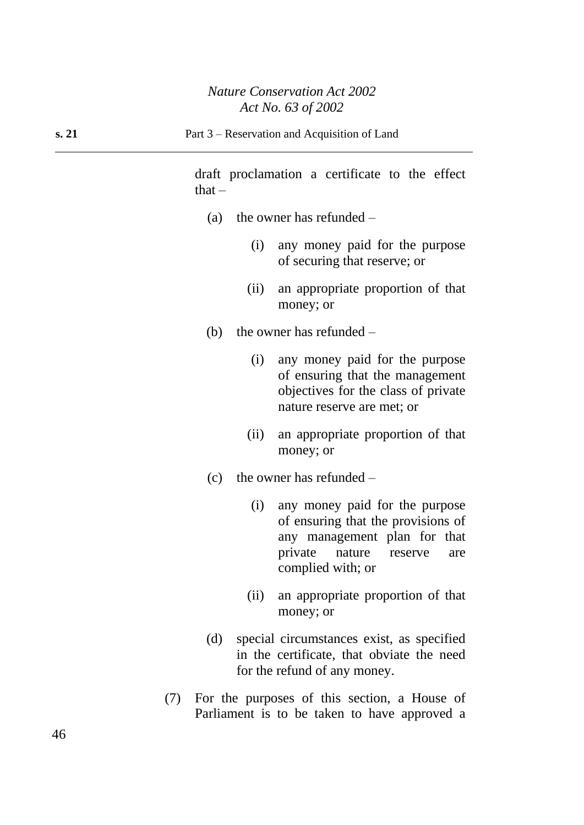draft proclamation a certificate to the effect  $that -$ 

- (a) the owner has refunded
	- (i) any money paid for the purpose of securing that reserve; or
	- (ii) an appropriate proportion of that money; or
- (b) the owner has refunded  $-$ 
	- (i) any money paid for the purpose of ensuring that the management objectives for the class of private nature reserve are met; or
	- (ii) an appropriate proportion of that money; or
- (c) the owner has refunded
	- (i) any money paid for the purpose of ensuring that the provisions of any management plan for that private nature reserve are complied with; or
	- (ii) an appropriate proportion of that money; or
- (d) special circumstances exist, as specified in the certificate, that obviate the need for the refund of any money.
- (7) For the purposes of this section, a House of Parliament is to be taken to have approved a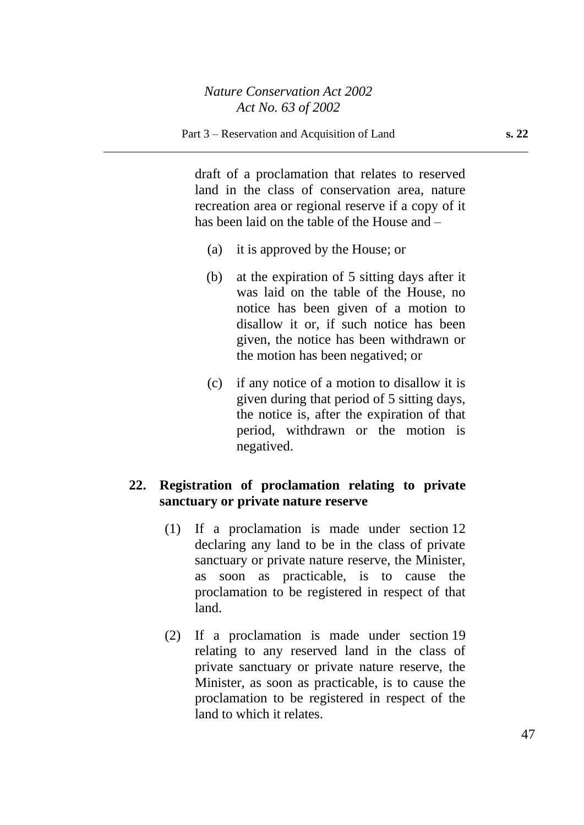draft of a proclamation that relates to reserved land in the class of conservation area, nature recreation area or regional reserve if a copy of it has been laid on the table of the House and –

- (a) it is approved by the House; or
- (b) at the expiration of 5 sitting days after it was laid on the table of the House, no notice has been given of a motion to disallow it or, if such notice has been given, the notice has been withdrawn or the motion has been negatived; or
- (c) if any notice of a motion to disallow it is given during that period of 5 sitting days, the notice is, after the expiration of that period, withdrawn or the motion is negatived.

### **22. Registration of proclamation relating to private sanctuary or private nature reserve**

- (1) If a proclamation is made under section 12 declaring any land to be in the class of private sanctuary or private nature reserve, the Minister, as soon as practicable, is to cause the proclamation to be registered in respect of that land.
- (2) If a proclamation is made under section 19 relating to any reserved land in the class of private sanctuary or private nature reserve, the Minister, as soon as practicable, is to cause the proclamation to be registered in respect of the land to which it relates.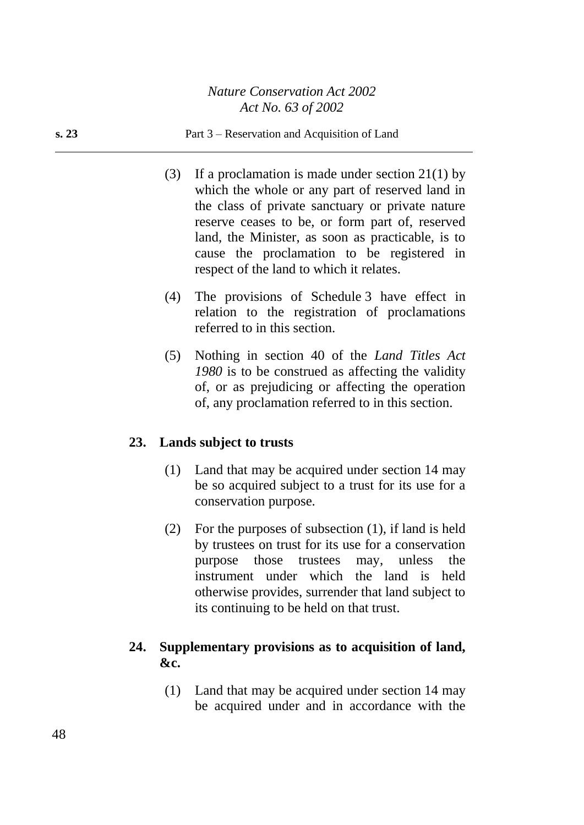### **s. 23** Part 3 – Reservation and Acquisition of Land

- (3) If a proclamation is made under section 21(1) by which the whole or any part of reserved land in the class of private sanctuary or private nature reserve ceases to be, or form part of, reserved land, the Minister, as soon as practicable, is to cause the proclamation to be registered in respect of the land to which it relates.
- (4) The provisions of Schedule 3 have effect in relation to the registration of proclamations referred to in this section.
- (5) Nothing in section 40 of the *Land Titles Act 1980* is to be construed as affecting the validity of, or as prejudicing or affecting the operation of, any proclamation referred to in this section.

### **23. Lands subject to trusts**

- (1) Land that may be acquired under section 14 may be so acquired subject to a trust for its use for a conservation purpose.
- (2) For the purposes of subsection (1), if land is held by trustees on trust for its use for a conservation purpose those trustees may, unless the instrument under which the land is held otherwise provides, surrender that land subject to its continuing to be held on that trust.

### **24. Supplementary provisions as to acquisition of land, &c.**

(1) Land that may be acquired under section 14 may be acquired under and in accordance with the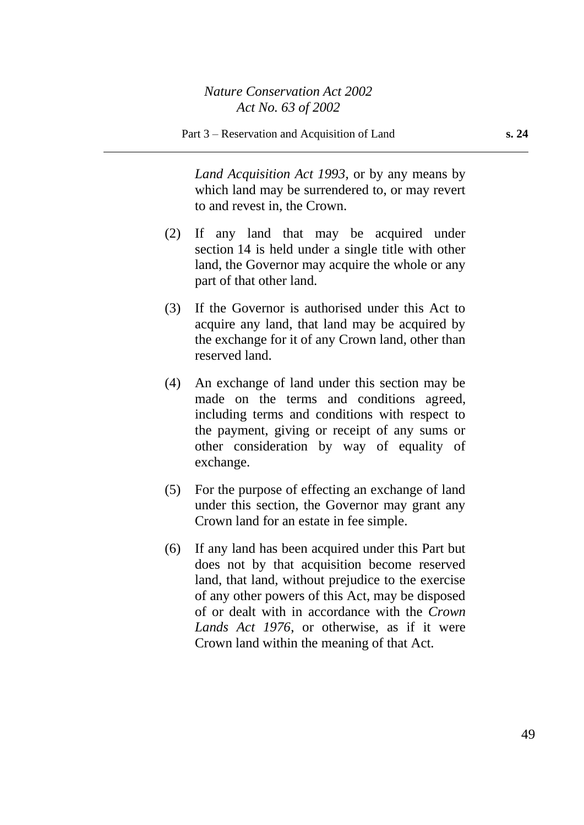*Land Acquisition Act 1993*, or by any means by which land may be surrendered to, or may revert to and revest in, the Crown.

- (2) If any land that may be acquired under section 14 is held under a single title with other land, the Governor may acquire the whole or any part of that other land.
- (3) If the Governor is authorised under this Act to acquire any land, that land may be acquired by the exchange for it of any Crown land, other than reserved land.
- (4) An exchange of land under this section may be made on the terms and conditions agreed, including terms and conditions with respect to the payment, giving or receipt of any sums or other consideration by way of equality of exchange.
- (5) For the purpose of effecting an exchange of land under this section, the Governor may grant any Crown land for an estate in fee simple.
- (6) If any land has been acquired under this Part but does not by that acquisition become reserved land, that land, without prejudice to the exercise of any other powers of this Act, may be disposed of or dealt with in accordance with the *Crown Lands Act 1976*, or otherwise, as if it were Crown land within the meaning of that Act.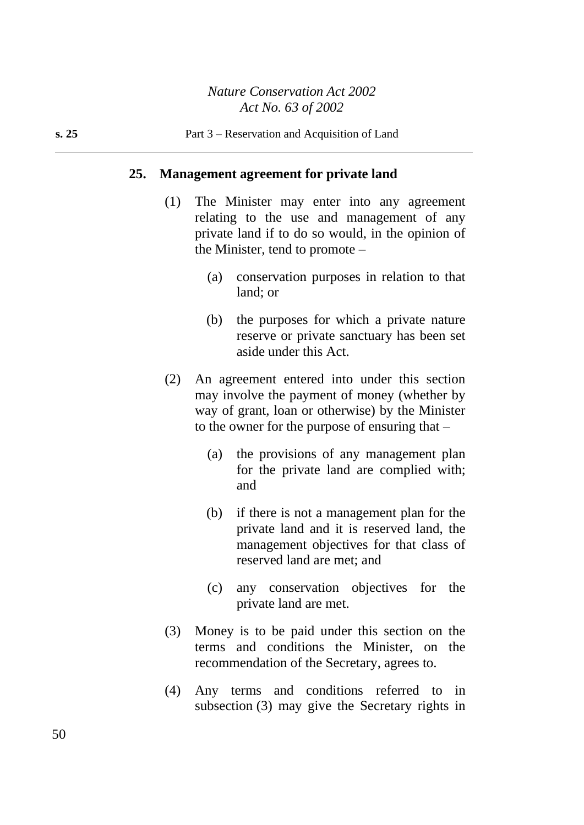### **25. Management agreement for private land**

- (1) The Minister may enter into any agreement relating to the use and management of any private land if to do so would, in the opinion of the Minister, tend to promote –
	- (a) conservation purposes in relation to that land; or
	- (b) the purposes for which a private nature reserve or private sanctuary has been set aside under this Act.
- (2) An agreement entered into under this section may involve the payment of money (whether by way of grant, loan or otherwise) by the Minister to the owner for the purpose of ensuring that  $-$ 
	- (a) the provisions of any management plan for the private land are complied with; and
	- (b) if there is not a management plan for the private land and it is reserved land, the management objectives for that class of reserved land are met; and
	- (c) any conservation objectives for the private land are met.
- (3) Money is to be paid under this section on the terms and conditions the Minister, on the recommendation of the Secretary, agrees to.
- (4) Any terms and conditions referred to in subsection (3) may give the Secretary rights in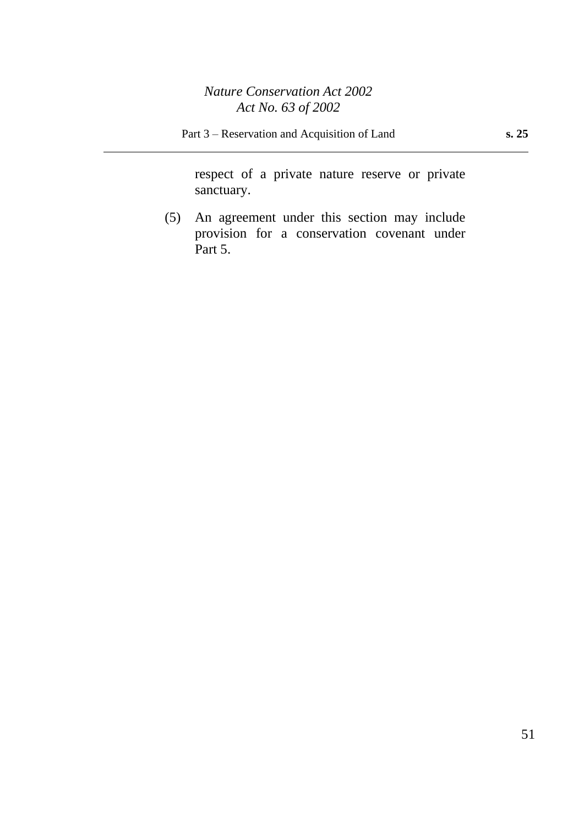respect of a private nature reserve or private sanctuary.

(5) An agreement under this section may include provision for a conservation covenant under Part 5.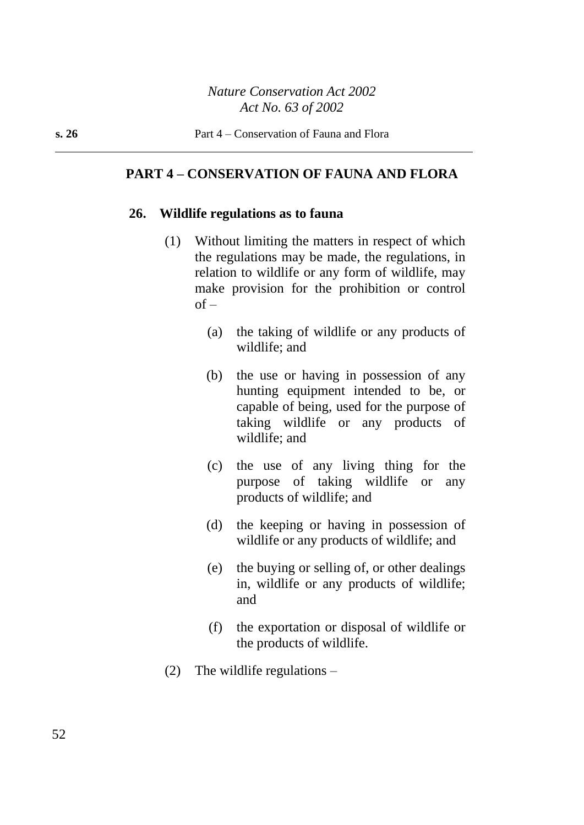### **PART 4 – CONSERVATION OF FAUNA AND FLORA**

### **26. Wildlife regulations as to fauna**

- (1) Without limiting the matters in respect of which the regulations may be made, the regulations, in relation to wildlife or any form of wildlife, may make provision for the prohibition or control  $of -$ 
	- (a) the taking of wildlife or any products of wildlife; and
	- (b) the use or having in possession of any hunting equipment intended to be, or capable of being, used for the purpose of taking wildlife or any products of wildlife; and
	- (c) the use of any living thing for the purpose of taking wildlife or any products of wildlife; and
	- (d) the keeping or having in possession of wildlife or any products of wildlife; and
	- (e) the buying or selling of, or other dealings in, wildlife or any products of wildlife; and
	- (f) the exportation or disposal of wildlife or the products of wildlife.
- (2) The wildlife regulations  $-$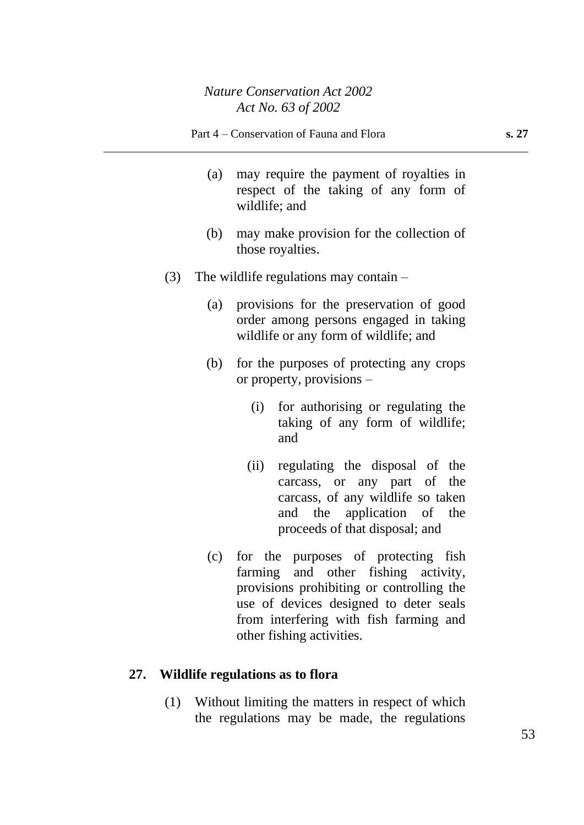- (a) may require the payment of royalties in respect of the taking of any form of wildlife; and
- (b) may make provision for the collection of those royalties.
- (3) The wildlife regulations may contain  $-$ 
	- (a) provisions for the preservation of good order among persons engaged in taking wildlife or any form of wildlife; and
	- (b) for the purposes of protecting any crops or property, provisions –
		- (i) for authorising or regulating the taking of any form of wildlife; and
		- (ii) regulating the disposal of the carcass, or any part of the carcass, of any wildlife so taken and the application of the proceeds of that disposal; and
	- (c) for the purposes of protecting fish farming and other fishing activity, provisions prohibiting or controlling the use of devices designed to deter seals from interfering with fish farming and other fishing activities.

# **27. Wildlife regulations as to flora**

(1) Without limiting the matters in respect of which the regulations may be made, the regulations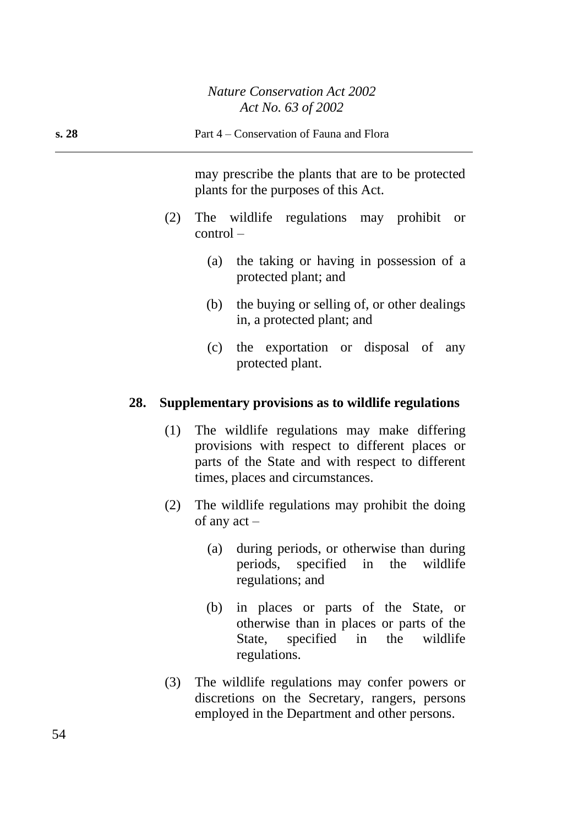| s. 28 |     | Part 4 – Conservation of Fauna and Flora                                                                                                              |
|-------|-----|-------------------------------------------------------------------------------------------------------------------------------------------------------|
|       |     | may prescribe the plants that are to be protected<br>plants for the purposes of this Act.                                                             |
|       | (2) | The wildlife regulations may prohibit or<br>$control -$                                                                                               |
|       |     | the taking or having in possession of a<br>(a)<br>protected plant; and                                                                                |
|       |     | the buying or selling of, or other dealings<br>(b)<br>in, a protected plant; and                                                                      |
|       |     | (c) the exportation or disposal of any<br>protected plant.                                                                                            |
| 28.   |     | Supplementary provisions as to wildlife regulations                                                                                                   |
|       |     | (1) The wildlife regulations may make differing<br>provisions with respect to different places or<br>parts of the State and with respect to different |

(2) The wildlife regulations may prohibit the doing of any act –

times, places and circumstances.

- (a) during periods, or otherwise than during<br>periods, specified in the wildlife periods, specified in the regulations; and
- (b) in places or parts of the State, or otherwise than in places or parts of the State, specified in the wildlife regulations.
- (3) The wildlife regulations may confer powers or discretions on the Secretary, rangers, persons employed in the Department and other persons.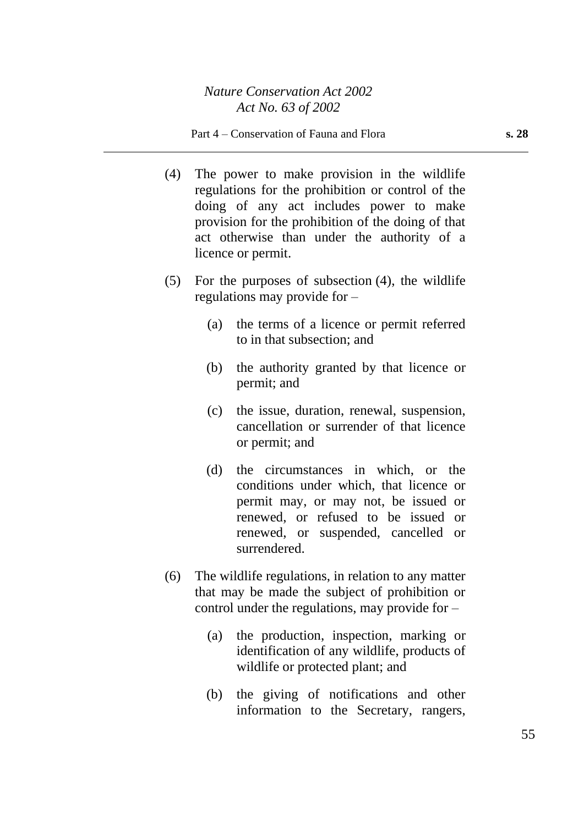#### Part 4 – Conservation of Fauna and Flora **s. 28**

- (4) The power to make provision in the wildlife regulations for the prohibition or control of the doing of any act includes power to make provision for the prohibition of the doing of that act otherwise than under the authority of a licence or permit.
- (5) For the purposes of subsection (4), the wildlife regulations may provide for –
	- (a) the terms of a licence or permit referred to in that subsection; and
	- (b) the authority granted by that licence or permit; and
	- (c) the issue, duration, renewal, suspension, cancellation or surrender of that licence or permit; and
	- (d) the circumstances in which, or the conditions under which, that licence or permit may, or may not, be issued or renewed, or refused to be issued or renewed, or suspended, cancelled or surrendered.
- (6) The wildlife regulations, in relation to any matter that may be made the subject of prohibition or control under the regulations, may provide for –
	- (a) the production, inspection, marking or identification of any wildlife, products of wildlife or protected plant; and
	- (b) the giving of notifications and other information to the Secretary, rangers,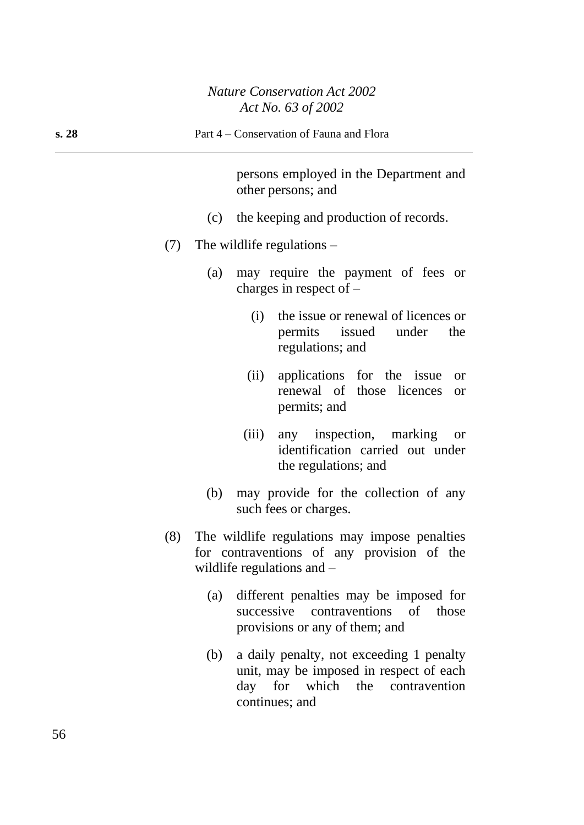| s. 28 | Part 4 – Conservation of Fauna and Flora                                                                                       |
|-------|--------------------------------------------------------------------------------------------------------------------------------|
|       | persons employed in the Department and<br>other persons; and                                                                   |
|       | (c) the keeping and production of records.                                                                                     |
| (7)   | The wildlife regulations $-$                                                                                                   |
|       | may require the payment of fees or<br>(a)<br>charges in respect of $-$                                                         |
|       | the issue or renewal of licences or<br>(i)<br>permits issued under<br>the<br>regulations; and                                  |
|       | applications for the issue<br>(ii)<br><b>or</b><br>renewal of those licences<br><b>or</b><br>permits; and                      |
|       | any inspection, marking<br>(iii)<br><b>or</b><br>identification carried out under<br>the regulations; and                      |
|       | may provide for the collection of any<br>(b)<br>such fees or charges.                                                          |
| (8)   | The wildlife regulations may impose penalties<br>for contraventions of any provision of the<br>wildlife regulations and $-$    |
|       | different penalties may be imposed for<br>(a)<br>successive<br>contraventions<br>of<br>those<br>provisions or any of them; and |
|       | a daily penalty, not exceeding 1 penalty<br>(b)<br>unit, may be imposed in respect of each                                     |

continues; and

day for which the contravention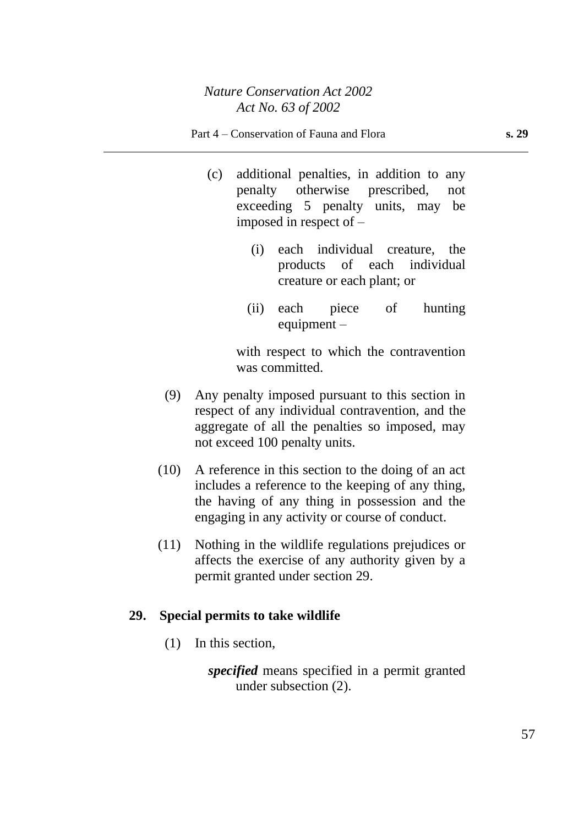- (c) additional penalties, in addition to any penalty otherwise prescribed, not exceeding 5 penalty units, may be imposed in respect of –
	- (i) each individual creature, the products of each individual creature or each plant; or
	- (ii) each piece of hunting equipment –

with respect to which the contravention was committed.

- (9) Any penalty imposed pursuant to this section in respect of any individual contravention, and the aggregate of all the penalties so imposed, may not exceed 100 penalty units.
- (10) A reference in this section to the doing of an act includes a reference to the keeping of any thing, the having of any thing in possession and the engaging in any activity or course of conduct.
- (11) Nothing in the wildlife regulations prejudices or affects the exercise of any authority given by a permit granted under section 29.

# **29. Special permits to take wildlife**

(1) In this section,

*specified* means specified in a permit granted under subsection (2).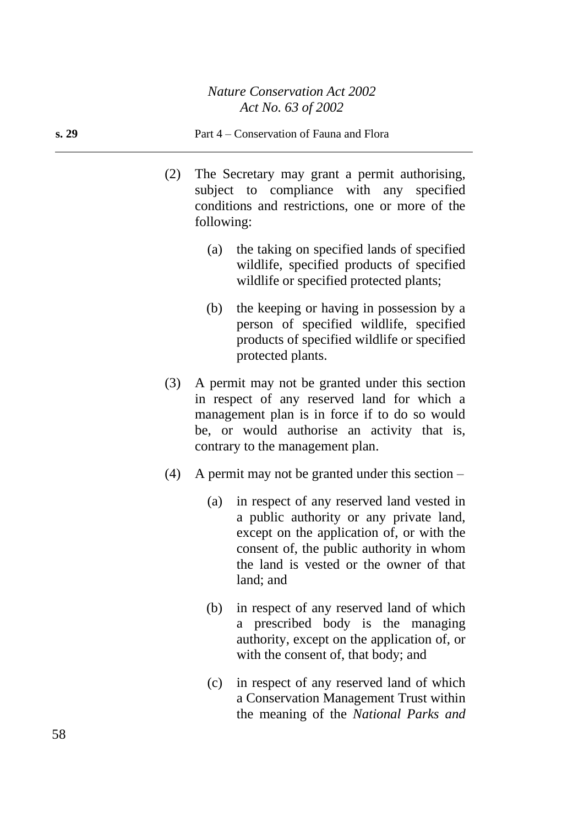- (2) The Secretary may grant a permit authorising, subject to compliance with any specified conditions and restrictions, one or more of the following:
	- (a) the taking on specified lands of specified wildlife, specified products of specified wildlife or specified protected plants;
	- (b) the keeping or having in possession by a person of specified wildlife, specified products of specified wildlife or specified protected plants.
- (3) A permit may not be granted under this section in respect of any reserved land for which a management plan is in force if to do so would be, or would authorise an activity that is, contrary to the management plan.
- (4) A permit may not be granted under this section
	- (a) in respect of any reserved land vested in a public authority or any private land, except on the application of, or with the consent of, the public authority in whom the land is vested or the owner of that land; and
	- (b) in respect of any reserved land of which a prescribed body is the managing authority, except on the application of, or with the consent of, that body; and
	- (c) in respect of any reserved land of which a Conservation Management Trust within the meaning of the *National Parks and*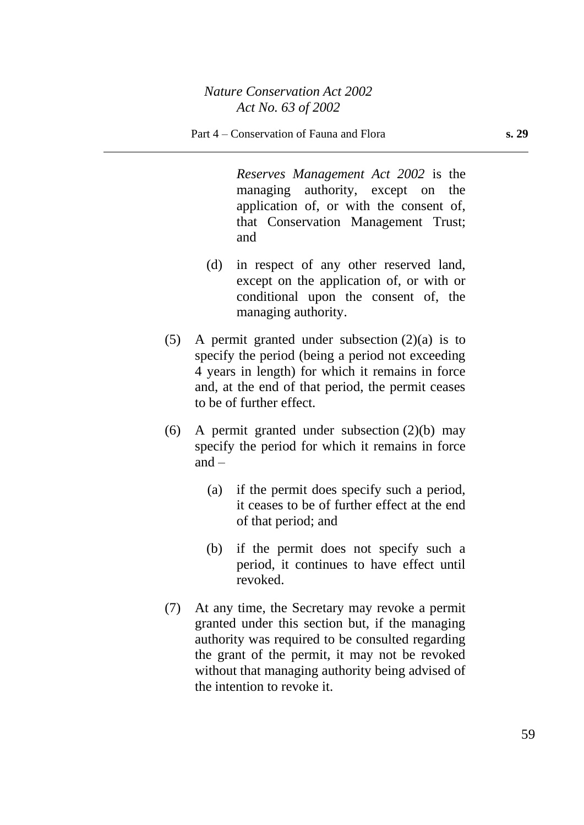*Reserves Management Act 2002* is the managing authority, except on the application of, or with the consent of, that Conservation Management Trust; and

- (d) in respect of any other reserved land, except on the application of, or with or conditional upon the consent of, the managing authority.
- (5) A permit granted under subsection (2)(a) is to specify the period (being a period not exceeding 4 years in length) for which it remains in force and, at the end of that period, the permit ceases to be of further effect.
- (6) A permit granted under subsection  $(2)(b)$  may specify the period for which it remains in force  $and -$ 
	- (a) if the permit does specify such a period, it ceases to be of further effect at the end of that period; and
	- (b) if the permit does not specify such a period, it continues to have effect until revoked.
- (7) At any time, the Secretary may revoke a permit granted under this section but, if the managing authority was required to be consulted regarding the grant of the permit, it may not be revoked without that managing authority being advised of the intention to revoke it.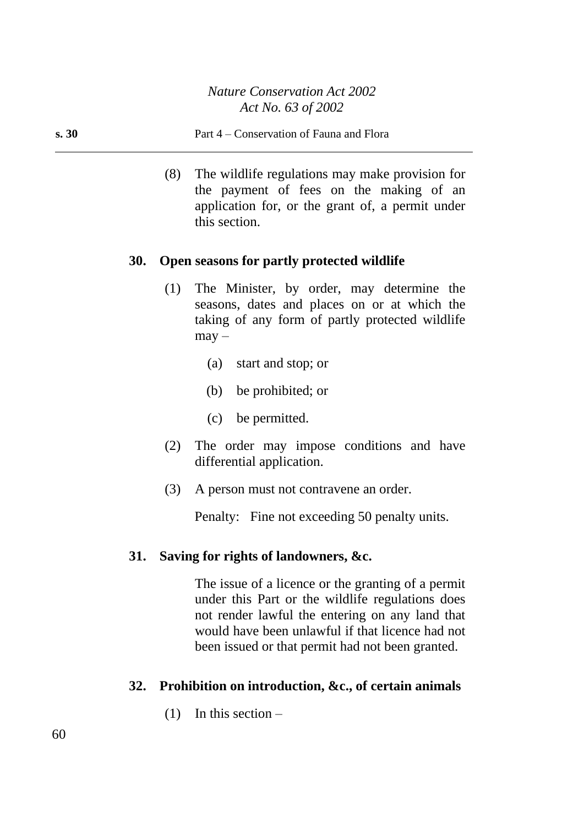(8) The wildlife regulations may make provision for the payment of fees on the making of an application for, or the grant of, a permit under this section.

### **30. Open seasons for partly protected wildlife**

- (1) The Minister, by order, may determine the seasons, dates and places on or at which the taking of any form of partly protected wildlife  $may -$ 
	- (a) start and stop; or
	- (b) be prohibited; or
	- (c) be permitted.
- (2) The order may impose conditions and have differential application.
- (3) A person must not contravene an order.

Penalty: Fine not exceeding 50 penalty units.

# **31. Saving for rights of landowners, &c.**

The issue of a licence or the granting of a permit under this Part or the wildlife regulations does not render lawful the entering on any land that would have been unlawful if that licence had not been issued or that permit had not been granted.

# **32. Prohibition on introduction, &c., of certain animals**

(1) In this section –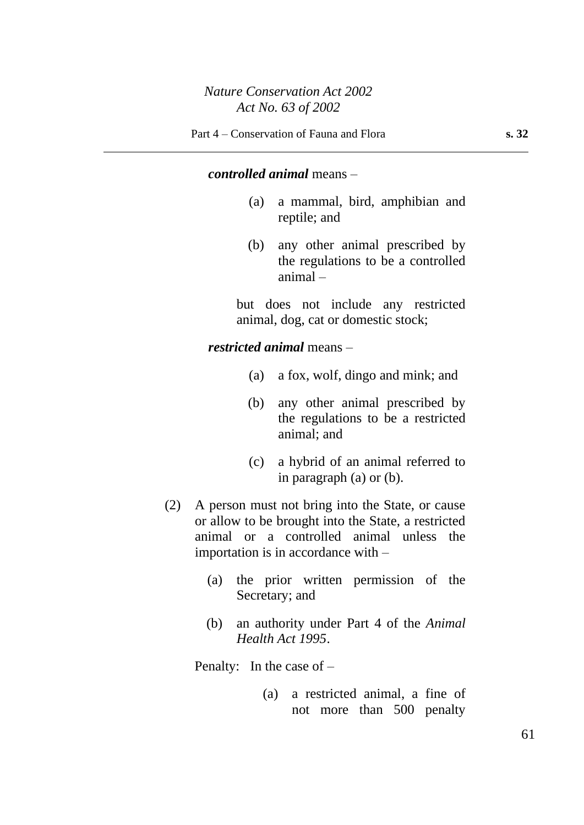### *controlled animal* means –

- (a) a mammal, bird, amphibian and reptile; and
- (b) any other animal prescribed by the regulations to be a controlled animal –

but does not include any restricted animal, dog, cat or domestic stock;

### *restricted animal* means –

- (a) a fox, wolf, dingo and mink; and
- (b) any other animal prescribed by the regulations to be a restricted animal; and
- (c) a hybrid of an animal referred to in paragraph (a) or (b).
- (2) A person must not bring into the State, or cause or allow to be brought into the State, a restricted animal or a controlled animal unless the importation is in accordance with –
	- (a) the prior written permission of the Secretary; and
	- (b) an authority under Part 4 of the *Animal Health Act 1995*.

Penalty: In the case of –

(a) a restricted animal, a fine of not more than 500 penalty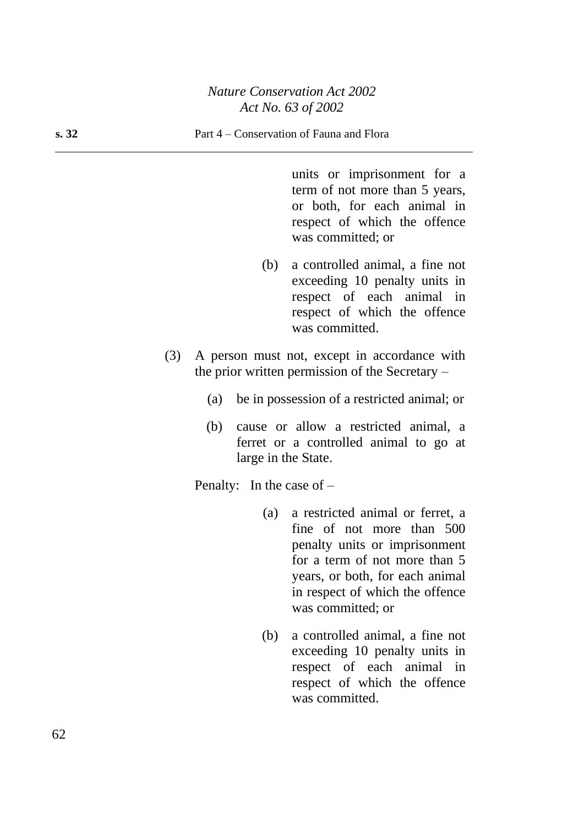units or imprisonment for a term of not more than 5 years, or both, for each animal in respect of which the offence was committed; or

- (b) a controlled animal, a fine not exceeding 10 penalty units in respect of each animal in respect of which the offence was committed.
- (3) A person must not, except in accordance with the prior written permission of the Secretary –
	- (a) be in possession of a restricted animal; or
	- (b) cause or allow a restricted animal, a ferret or a controlled animal to go at large in the State.

Penalty: In the case of –

- (a) a restricted animal or ferret, a fine of not more than 500 penalty units or imprisonment for a term of not more than 5 years, or both, for each animal in respect of which the offence was committed; or
- (b) a controlled animal, a fine not exceeding 10 penalty units in respect of each animal in respect of which the offence was committed.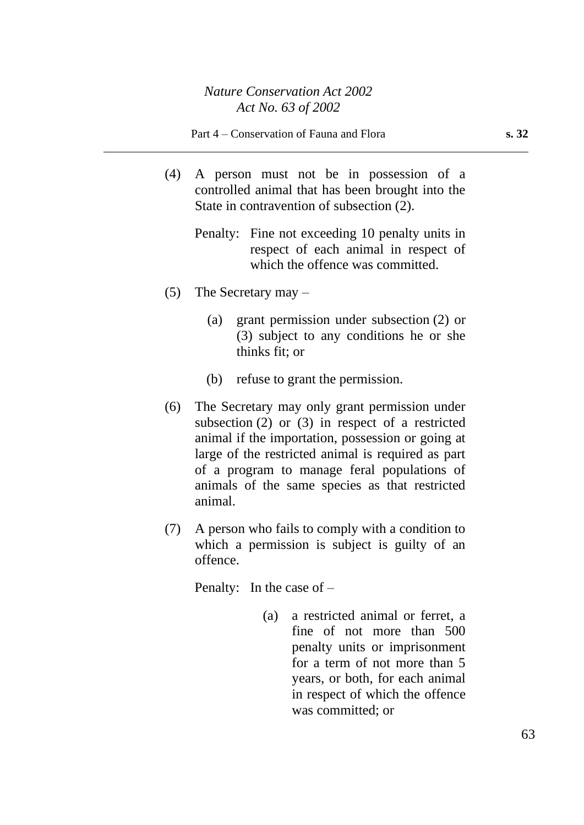- (4) A person must not be in possession of a controlled animal that has been brought into the State in contravention of subsection (2).
	- Penalty: Fine not exceeding 10 penalty units in respect of each animal in respect of which the offence was committed.
- (5) The Secretary may
	- (a) grant permission under subsection (2) or (3) subject to any conditions he or she thinks fit; or
	- (b) refuse to grant the permission.
- (6) The Secretary may only grant permission under subsection (2) or (3) in respect of a restricted animal if the importation, possession or going at large of the restricted animal is required as part of a program to manage feral populations of animals of the same species as that restricted animal.
- (7) A person who fails to comply with a condition to which a permission is subject is guilty of an offence.

Penalty: In the case of –

(a) a restricted animal or ferret, a fine of not more than 500 penalty units or imprisonment for a term of not more than 5 years, or both, for each animal in respect of which the offence was committed; or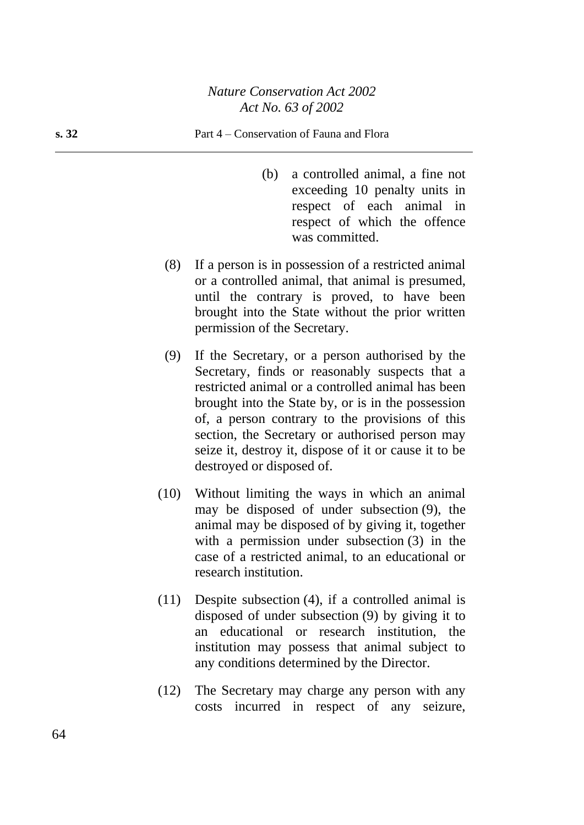- (b) a controlled animal, a fine not exceeding 10 penalty units in respect of each animal in respect of which the offence was committed.
- (8) If a person is in possession of a restricted animal or a controlled animal, that animal is presumed, until the contrary is proved, to have been brought into the State without the prior written permission of the Secretary.
- (9) If the Secretary, or a person authorised by the Secretary, finds or reasonably suspects that a restricted animal or a controlled animal has been brought into the State by, or is in the possession of, a person contrary to the provisions of this section, the Secretary or authorised person may seize it, destroy it, dispose of it or cause it to be destroyed or disposed of.
- (10) Without limiting the ways in which an animal may be disposed of under subsection (9), the animal may be disposed of by giving it, together with a permission under subsection (3) in the case of a restricted animal, to an educational or research institution.
- (11) Despite subsection (4), if a controlled animal is disposed of under subsection (9) by giving it to an educational or research institution, the institution may possess that animal subject to any conditions determined by the Director.
- (12) The Secretary may charge any person with any costs incurred in respect of any seizure,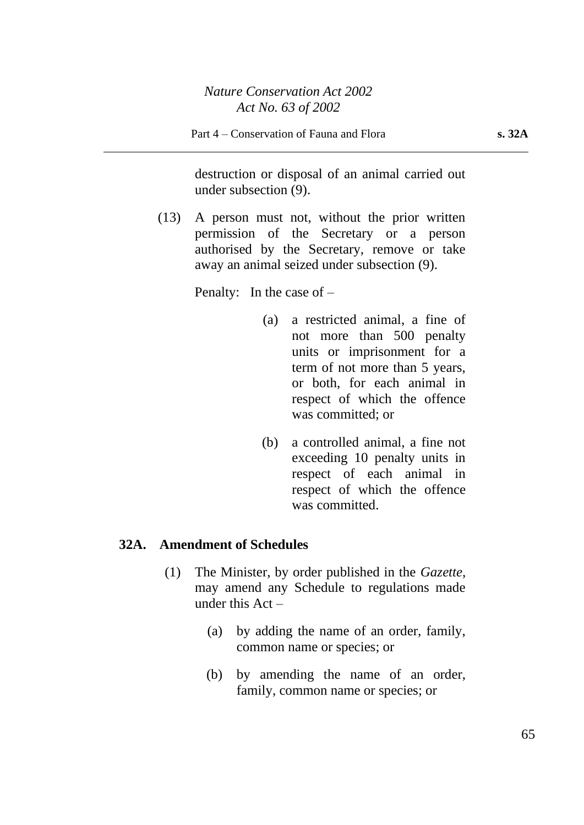destruction or disposal of an animal carried out under subsection (9).

(13) A person must not, without the prior written permission of the Secretary or a person authorised by the Secretary, remove or take away an animal seized under subsection (9).

Penalty: In the case of –

- (a) a restricted animal, a fine of not more than 500 penalty units or imprisonment for a term of not more than 5 years, or both, for each animal in respect of which the offence was committed; or
- (b) a controlled animal, a fine not exceeding 10 penalty units in respect of each animal in respect of which the offence was committed.

### **32A. Amendment of Schedules**

- (1) The Minister, by order published in the *Gazette*, may amend any Schedule to regulations made under this  $Act -$ 
	- (a) by adding the name of an order, family, common name or species; or
	- (b) by amending the name of an order, family, common name or species; or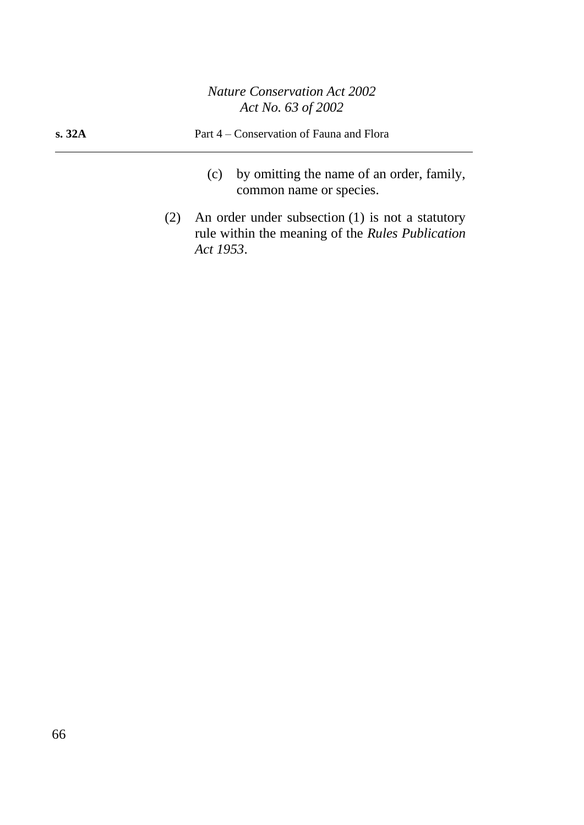| s. 32A | Part 4 – Conservation of Fauna and Flora |  |  |
|--------|------------------------------------------|--|--|
|        | $(a)$ by omitting the name of an order   |  |  |

- (c) by omitting the name of an order, family, common name or species.
- (2) An order under subsection (1) is not a statutory rule within the meaning of the *Rules Publication Act 1953*.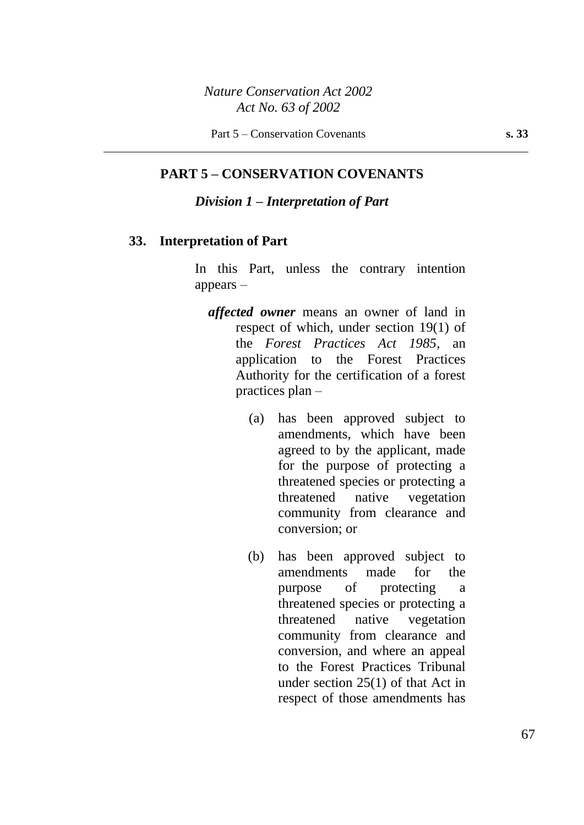### **PART 5 – CONSERVATION COVENANTS**

### *Division 1 – Interpretation of Part*

### **33. Interpretation of Part**

In this Part, unless the contrary intention appears –

- *affected owner* means an owner of land in respect of which, under section 19(1) of the *Forest Practices Act 1985*, an application to the Forest Practices Authority for the certification of a forest practices plan –
	- (a) has been approved subject to amendments, which have been agreed to by the applicant, made for the purpose of protecting a threatened species or protecting a threatened native vegetation community from clearance and conversion; or
	- (b) has been approved subject to amendments made for the purpose of protecting a threatened species or protecting a threatened native vegetation community from clearance and conversion, and where an appeal to the Forest Practices Tribunal under section 25(1) of that Act in respect of those amendments has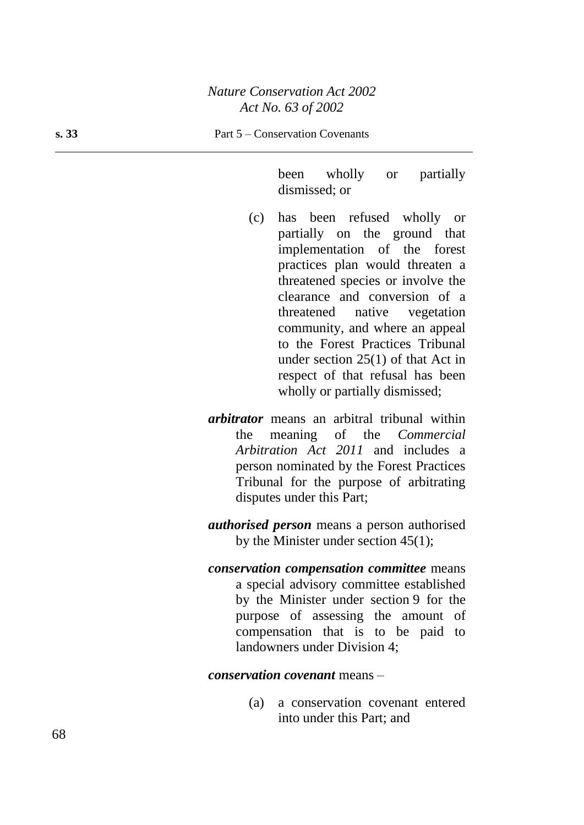been wholly or partially dismissed; or

- (c) has been refused wholly or partially on the ground that implementation of the forest practices plan would threaten a threatened species or involve the clearance and conversion of a threatened native vegetation community, and where an appeal to the Forest Practices Tribunal under section 25(1) of that Act in respect of that refusal has been wholly or partially dismissed;
- *arbitrator* means an arbitral tribunal within the meaning of the *Commercial Arbitration Act 2011* and includes a person nominated by the Forest Practices Tribunal for the purpose of arbitrating disputes under this Part;
- *authorised person* means a person authorised by the Minister under section 45(1);
- *conservation compensation committee* means a special advisory committee established by the Minister under section 9 for the purpose of assessing the amount of compensation that is to be paid to landowners under Division 4;

*conservation covenant* means –

(a) a conservation covenant entered into under this Part; and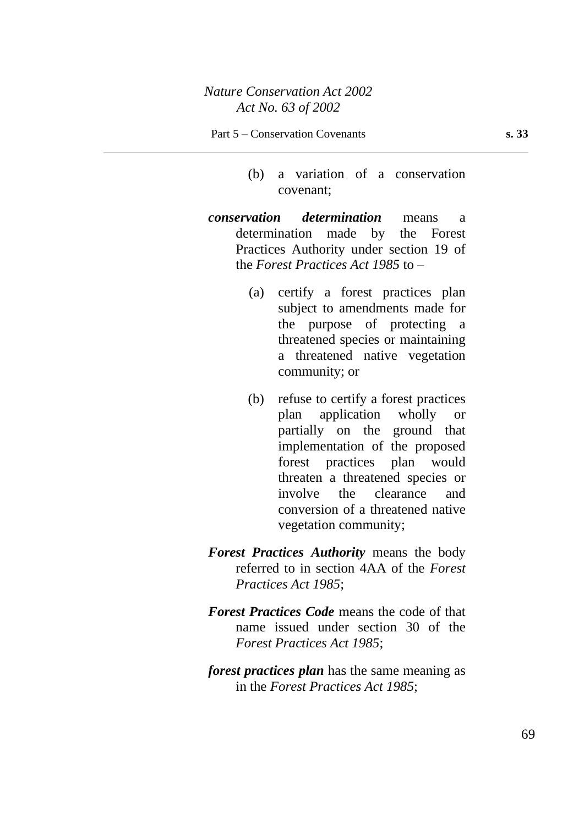- (b) a variation of a conservation covenant;
- *conservation determination* means a determination made by the Forest Practices Authority under section 19 of the *Forest Practices Act 1985* to –
	- (a) certify a forest practices plan subject to amendments made for the purpose of protecting a threatened species or maintaining a threatened native vegetation community; or
	- (b) refuse to certify a forest practices plan application wholly or partially on the ground that implementation of the proposed forest practices plan would threaten a threatened species or involve the clearance and conversion of a threatened native vegetation community;
- *Forest Practices Authority* means the body referred to in section 4AA of the *Forest Practices Act 1985*;
- *Forest Practices Code* means the code of that name issued under section 30 of the *Forest Practices Act 1985*;
- *forest practices plan* has the same meaning as in the *Forest Practices Act 1985*;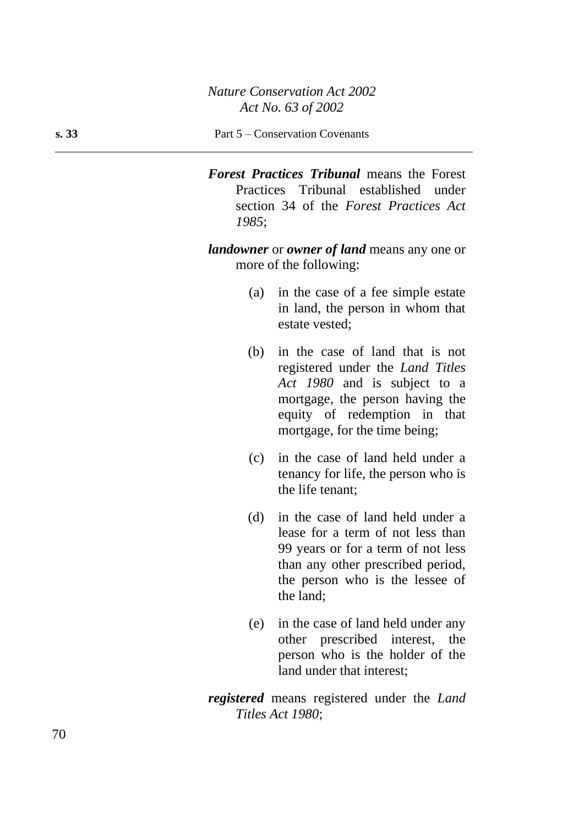#### **s. 33** Part 5 – Conservation Covenants

*Forest Practices Tribunal* means the Forest Practices Tribunal established under section 34 of the *Forest Practices Act 1985*;

*landowner* or *owner of land* means any one or more of the following:

- (a) in the case of a fee simple estate in land, the person in whom that estate vested;
- (b) in the case of land that is not registered under the *Land Titles Act 1980* and is subject to a mortgage, the person having the equity of redemption in that mortgage, for the time being;
- (c) in the case of land held under a tenancy for life, the person who is the life tenant;
- (d) in the case of land held under a lease for a term of not less than 99 years or for a term of not less than any other prescribed period, the person who is the lessee of the land;
- (e) in the case of land held under any other prescribed interest, the person who is the holder of the land under that interest;
- *registered* means registered under the *Land Titles Act 1980*;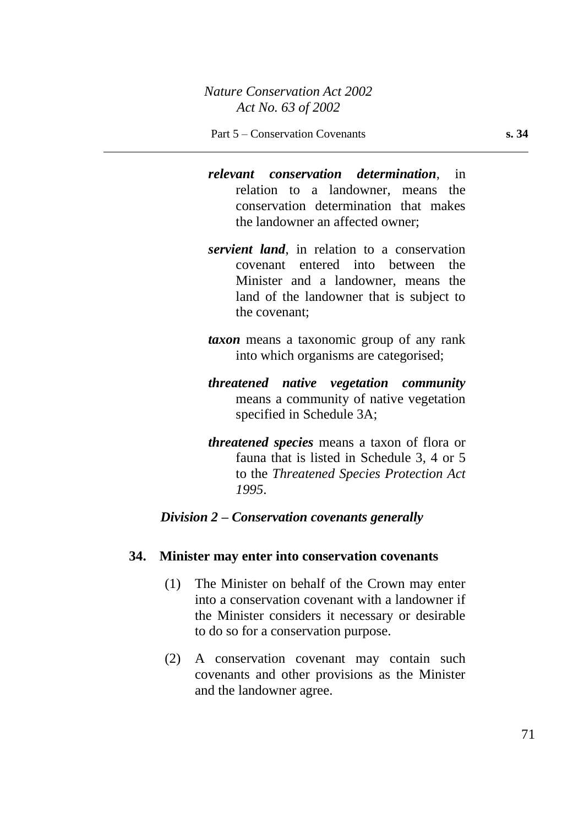- *relevant conservation determination*, in relation to a landowner, means the conservation determination that makes the landowner an affected owner;
- *servient land*, in relation to a conservation covenant entered into between the Minister and a landowner, means the land of the landowner that is subject to the covenant;
- *taxon* means a taxonomic group of any rank into which organisms are categorised;
- *threatened native vegetation community* means a community of native vegetation specified in Schedule 3A;
- *threatened species* means a taxon of flora or fauna that is listed in Schedule 3, 4 or 5 to the *Threatened Species Protection Act 1995*.

### *Division 2 – Conservation covenants generally*

#### **34. Minister may enter into conservation covenants**

- (1) The Minister on behalf of the Crown may enter into a conservation covenant with a landowner if the Minister considers it necessary or desirable to do so for a conservation purpose.
- (2) A conservation covenant may contain such covenants and other provisions as the Minister and the landowner agree.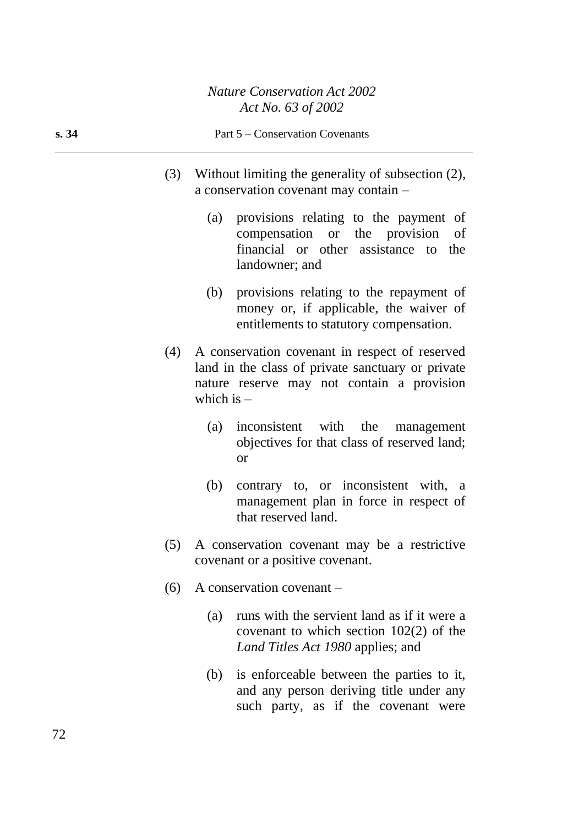#### **s. 34** Part 5 – Conservation Covenants

- (3) Without limiting the generality of subsection (2), a conservation covenant may contain –
	- (a) provisions relating to the payment of compensation or the provision of financial or other assistance to the landowner; and
	- (b) provisions relating to the repayment of money or, if applicable, the waiver of entitlements to statutory compensation.
- (4) A conservation covenant in respect of reserved land in the class of private sanctuary or private nature reserve may not contain a provision which is  $-$ 
	- (a) inconsistent with the management objectives for that class of reserved land; or
	- (b) contrary to, or inconsistent with, a management plan in force in respect of that reserved land.
- (5) A conservation covenant may be a restrictive covenant or a positive covenant.
- (6) A conservation covenant
	- (a) runs with the servient land as if it were a covenant to which section 102(2) of the *Land Titles Act 1980* applies; and
	- (b) is enforceable between the parties to it, and any person deriving title under any such party, as if the covenant were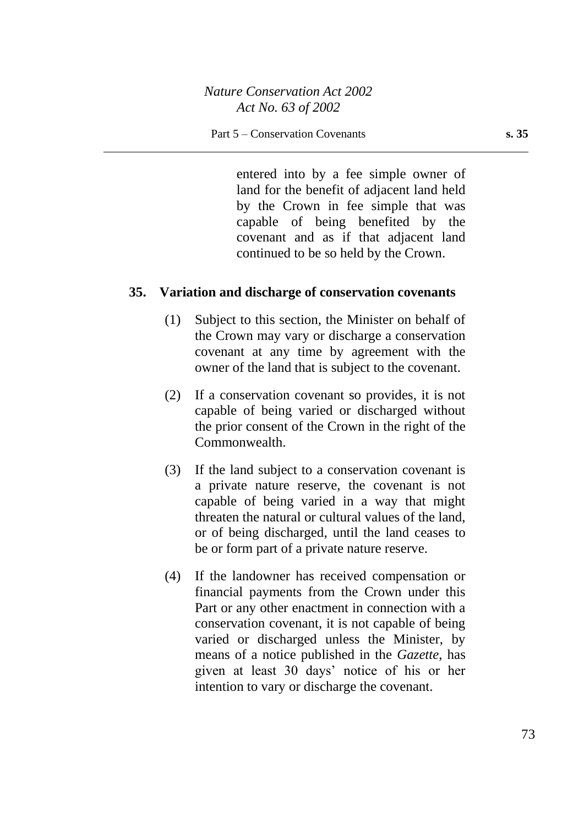entered into by a fee simple owner of land for the benefit of adjacent land held by the Crown in fee simple that was capable of being benefited by the covenant and as if that adjacent land continued to be so held by the Crown.

#### **35. Variation and discharge of conservation covenants**

- (1) Subject to this section, the Minister on behalf of the Crown may vary or discharge a conservation covenant at any time by agreement with the owner of the land that is subject to the covenant.
- (2) If a conservation covenant so provides, it is not capable of being varied or discharged without the prior consent of the Crown in the right of the Commonwealth.
- (3) If the land subject to a conservation covenant is a private nature reserve, the covenant is not capable of being varied in a way that might threaten the natural or cultural values of the land, or of being discharged, until the land ceases to be or form part of a private nature reserve.
- (4) If the landowner has received compensation or financial payments from the Crown under this Part or any other enactment in connection with a conservation covenant, it is not capable of being varied or discharged unless the Minister, by means of a notice published in the *Gazette*, has given at least 30 days' notice of his or her intention to vary or discharge the covenant.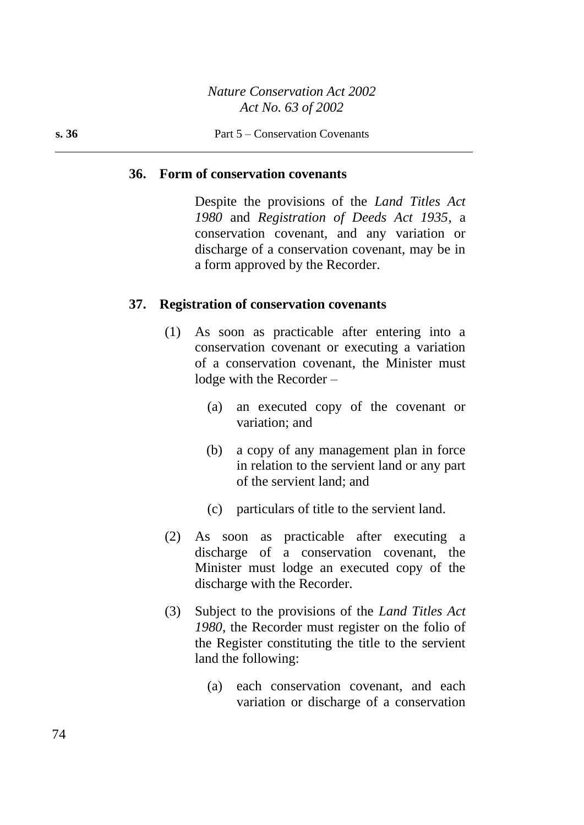#### **36. Form of conservation covenants**

Despite the provisions of the *Land Titles Act 1980* and *Registration of Deeds Act 1935*, a conservation covenant, and any variation or discharge of a conservation covenant, may be in a form approved by the Recorder.

#### **37. Registration of conservation covenants**

- (1) As soon as practicable after entering into a conservation covenant or executing a variation of a conservation covenant, the Minister must lodge with the Recorder –
	- (a) an executed copy of the covenant or variation; and
	- (b) a copy of any management plan in force in relation to the servient land or any part of the servient land; and
	- (c) particulars of title to the servient land.
- (2) As soon as practicable after executing a discharge of a conservation covenant, the Minister must lodge an executed copy of the discharge with the Recorder.
- (3) Subject to the provisions of the *Land Titles Act 1980*, the Recorder must register on the folio of the Register constituting the title to the servient land the following:
	- (a) each conservation covenant, and each variation or discharge of a conservation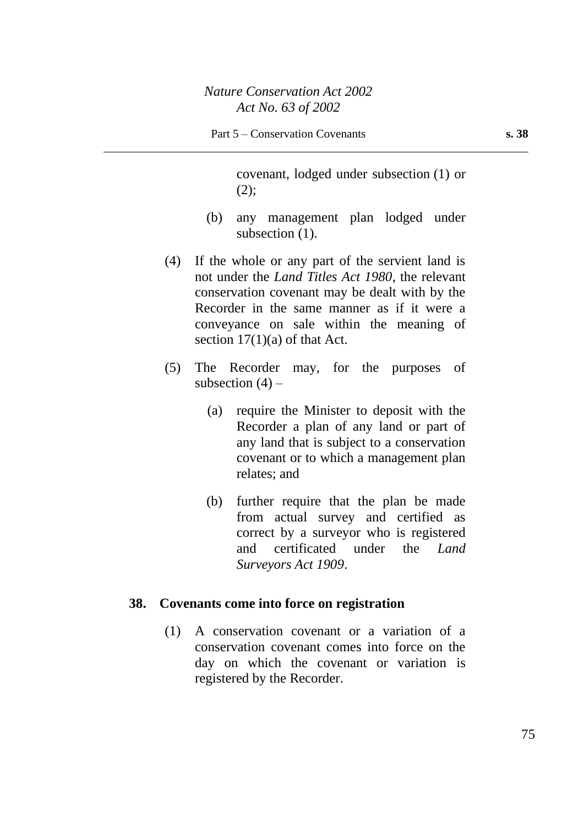covenant, lodged under subsection (1) or  $(2)$ ;

- (b) any management plan lodged under subsection (1).
- (4) If the whole or any part of the servient land is not under the *Land Titles Act 1980*, the relevant conservation covenant may be dealt with by the Recorder in the same manner as if it were a conveyance on sale within the meaning of section  $17(1)(a)$  of that Act.
- (5) The Recorder may, for the purposes of subsection  $(4)$  –
	- (a) require the Minister to deposit with the Recorder a plan of any land or part of any land that is subject to a conservation covenant or to which a management plan relates; and
	- (b) further require that the plan be made from actual survey and certified as correct by a surveyor who is registered and certificated under the *Land Surveyors Act 1909*.

#### **38. Covenants come into force on registration**

(1) A conservation covenant or a variation of a conservation covenant comes into force on the day on which the covenant or variation is registered by the Recorder.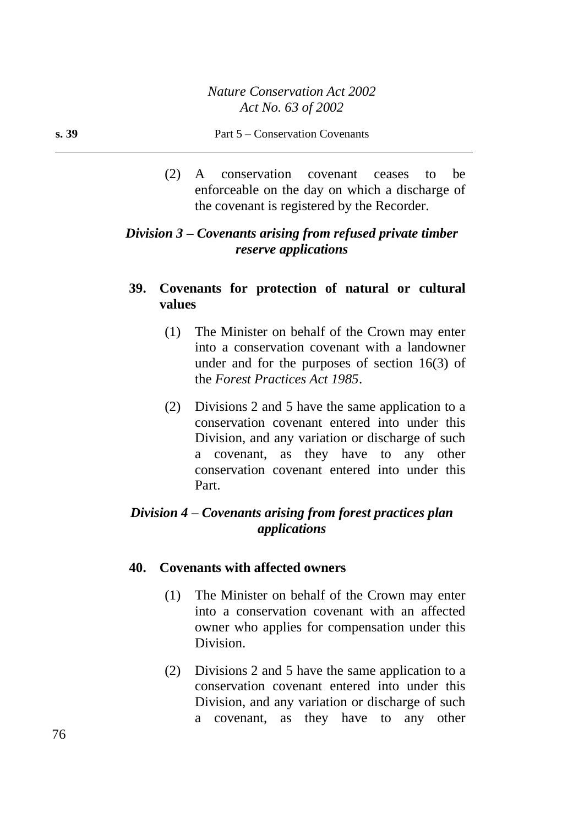(2) A conservation covenant ceases to be enforceable on the day on which a discharge of the covenant is registered by the Recorder.

# *Division 3 – Covenants arising from refused private timber reserve applications*

# **39. Covenants for protection of natural or cultural values**

- (1) The Minister on behalf of the Crown may enter into a conservation covenant with a landowner under and for the purposes of section 16(3) of the *Forest Practices Act 1985*.
- (2) Divisions 2 and 5 have the same application to a conservation covenant entered into under this Division, and any variation or discharge of such a covenant, as they have to any other conservation covenant entered into under this Part.

# *Division 4 – Covenants arising from forest practices plan applications*

# **40. Covenants with affected owners**

- (1) The Minister on behalf of the Crown may enter into a conservation covenant with an affected owner who applies for compensation under this Division.
- (2) Divisions 2 and 5 have the same application to a conservation covenant entered into under this Division, and any variation or discharge of such a covenant, as they have to any other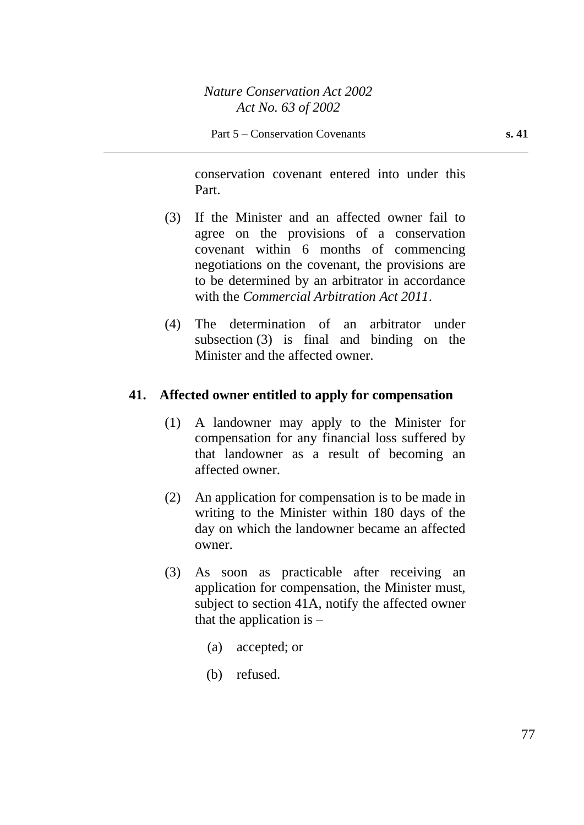conservation covenant entered into under this Part.

- (3) If the Minister and an affected owner fail to agree on the provisions of a conservation covenant within 6 months of commencing negotiations on the covenant, the provisions are to be determined by an arbitrator in accordance with the *Commercial Arbitration Act 2011*.
- (4) The determination of an arbitrator under subsection (3) is final and binding on the Minister and the affected owner.

# **41. Affected owner entitled to apply for compensation**

- (1) A landowner may apply to the Minister for compensation for any financial loss suffered by that landowner as a result of becoming an affected owner.
- (2) An application for compensation is to be made in writing to the Minister within 180 days of the day on which the landowner became an affected owner.
- (3) As soon as practicable after receiving an application for compensation, the Minister must, subject to section 41A, notify the affected owner that the application is  $-$ 
	- (a) accepted; or
	- (b) refused.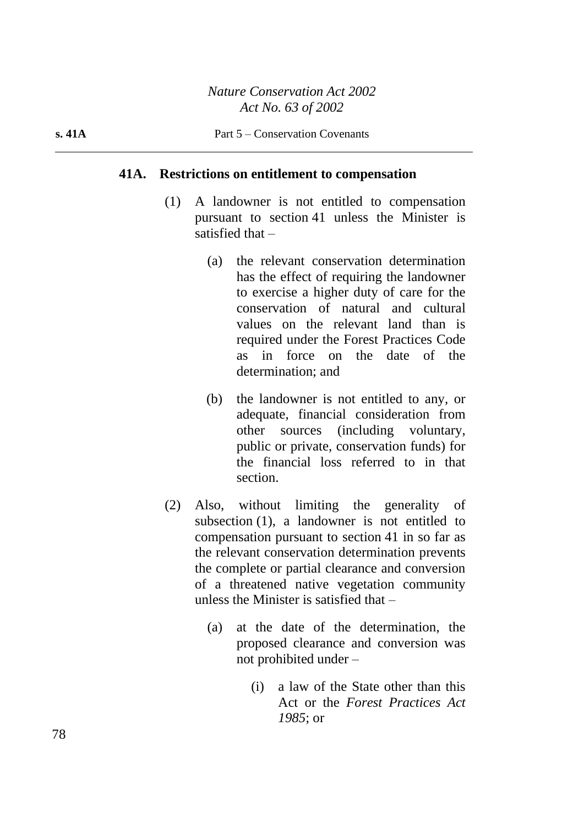#### **41A. Restrictions on entitlement to compensation**

- (1) A landowner is not entitled to compensation pursuant to section 41 unless the Minister is satisfied that –
	- (a) the relevant conservation determination has the effect of requiring the landowner to exercise a higher duty of care for the conservation of natural and cultural values on the relevant land than is required under the Forest Practices Code as in force on the date of the determination; and
	- (b) the landowner is not entitled to any, or adequate, financial consideration from other sources (including voluntary, public or private, conservation funds) for the financial loss referred to in that section.
- (2) Also, without limiting the generality of subsection (1), a landowner is not entitled to compensation pursuant to section 41 in so far as the relevant conservation determination prevents the complete or partial clearance and conversion of a threatened native vegetation community unless the Minister is satisfied that –
	- (a) at the date of the determination, the proposed clearance and conversion was not prohibited under –
		- (i) a law of the State other than this Act or the *Forest Practices Act 1985*; or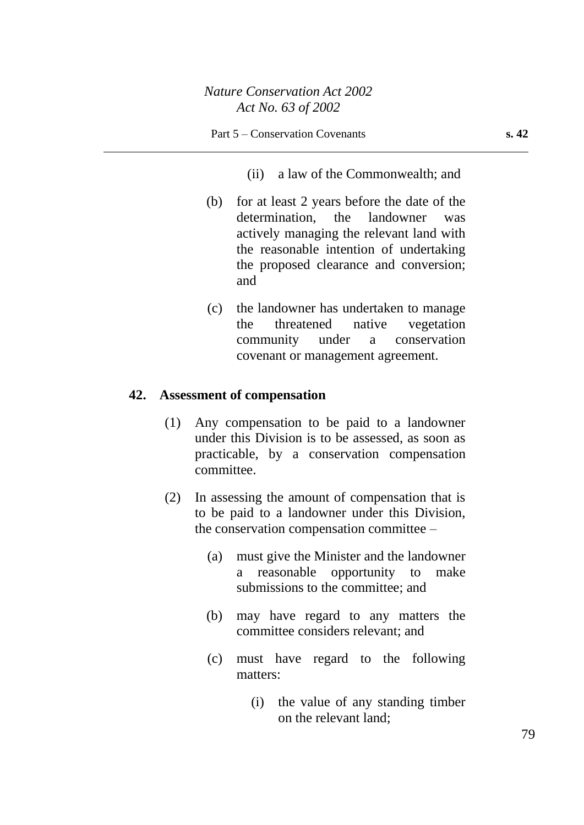(ii) a law of the Commonwealth; and

- (b) for at least 2 years before the date of the determination, the landowner was actively managing the relevant land with the reasonable intention of undertaking the proposed clearance and conversion; and
- (c) the landowner has undertaken to manage the threatened native vegetation community under a conservation covenant or management agreement.

#### **42. Assessment of compensation**

- (1) Any compensation to be paid to a landowner under this Division is to be assessed, as soon as practicable, by a conservation compensation committee.
- (2) In assessing the amount of compensation that is to be paid to a landowner under this Division, the conservation compensation committee –
	- (a) must give the Minister and the landowner a reasonable opportunity to make submissions to the committee; and
	- (b) may have regard to any matters the committee considers relevant; and
	- (c) must have regard to the following matters:
		- (i) the value of any standing timber on the relevant land;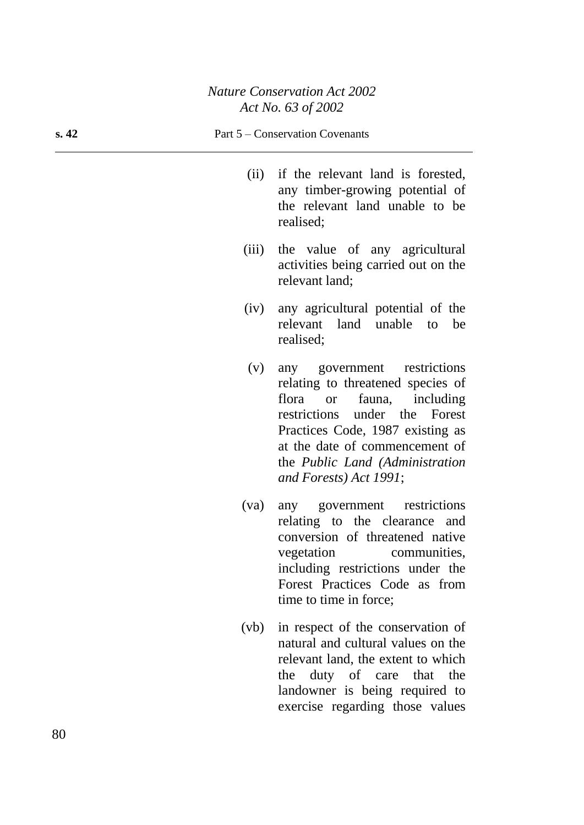#### **s. 42** Part 5 – Conservation Covenants

- (ii) if the relevant land is forested, any timber-growing potential of the relevant land unable to be realised;
- (iii) the value of any agricultural activities being carried out on the relevant land;
- (iv) any agricultural potential of the relevant land unable to be realised;
- (v) any government restrictions relating to threatened species of flora or fauna, including restrictions under the Forest Practices Code, 1987 existing as at the date of commencement of the *Public Land (Administration and Forests) Act 1991*;
- (va) any government restrictions relating to the clearance and conversion of threatened native vegetation communities, including restrictions under the Forest Practices Code as from time to time in force;
- (vb) in respect of the conservation of natural and cultural values on the relevant land, the extent to which the duty of care that the landowner is being required to exercise regarding those values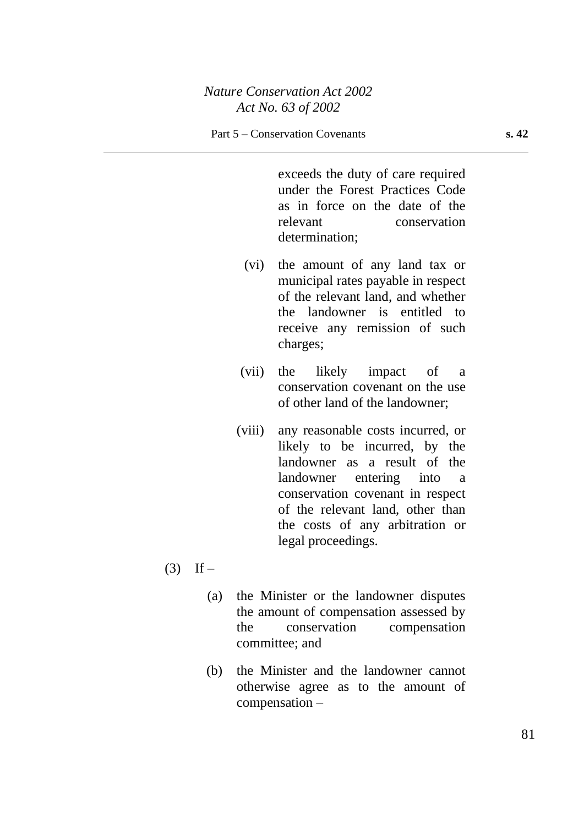exceeds the duty of care required under the Forest Practices Code as in force on the date of the relevant conservation determination;

- (vi) the amount of any land tax or municipal rates payable in respect of the relevant land, and whether the landowner is entitled to receive any remission of such charges;
- (vii) the likely impact of a conservation covenant on the use of other land of the landowner;
- (viii) any reasonable costs incurred, or likely to be incurred, by the landowner as a result of the landowner entering into a conservation covenant in respect of the relevant land, other than the costs of any arbitration or legal proceedings.
- $(3)$  If
	- (a) the Minister or the landowner disputes the amount of compensation assessed by the conservation compensation committee; and
	- (b) the Minister and the landowner cannot otherwise agree as to the amount of compensation –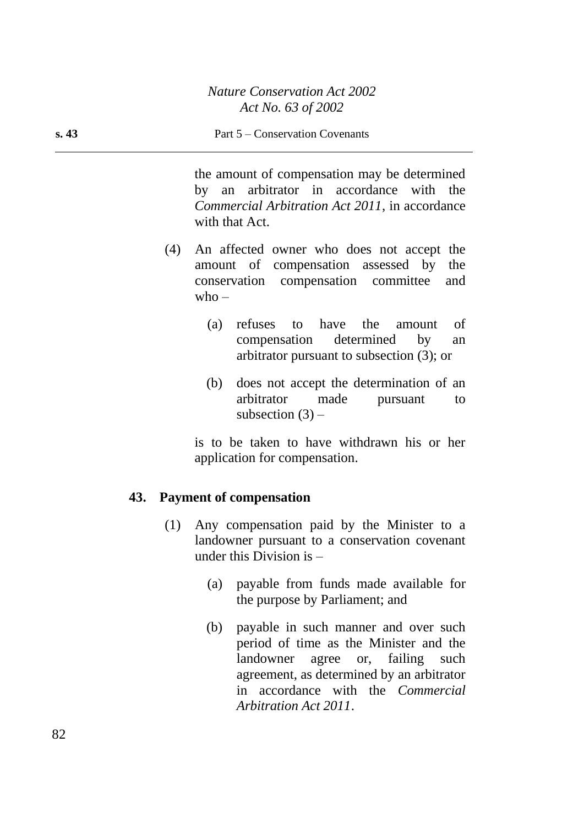the amount of compensation may be determined by an arbitrator in accordance with the *Commercial Arbitration Act 2011*, in accordance with that Act.

- (4) An affected owner who does not accept the amount of compensation assessed by the conservation compensation committee and  $who -$ 
	- (a) refuses to have the amount of compensation determined by an arbitrator pursuant to subsection (3); or
	- (b) does not accept the determination of an arbitrator made pursuant to subsection  $(3)$  –

is to be taken to have withdrawn his or her application for compensation.

# **43. Payment of compensation**

- (1) Any compensation paid by the Minister to a landowner pursuant to a conservation covenant under this Division is –
	- (a) payable from funds made available for the purpose by Parliament; and
	- (b) payable in such manner and over such period of time as the Minister and the landowner agree or, failing such agreement, as determined by an arbitrator in accordance with the *Commercial Arbitration Act 2011*.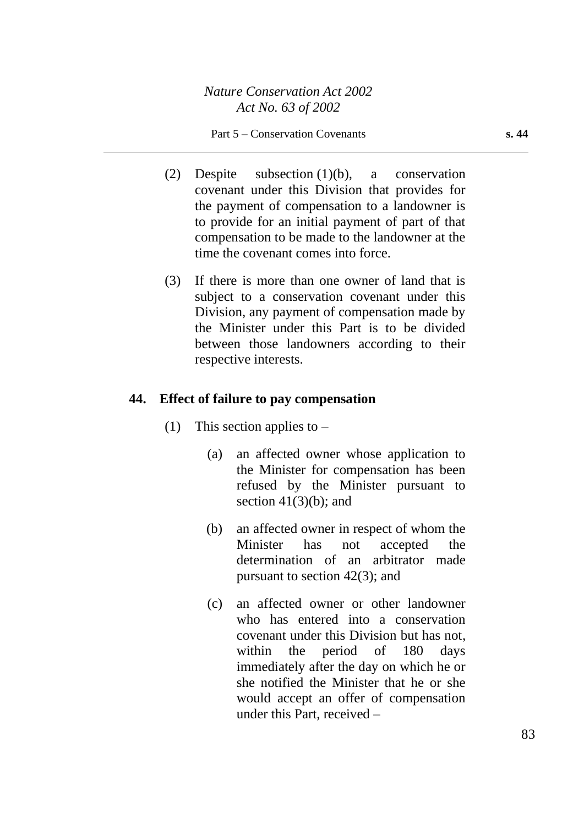- (2) Despite subsection (1)(b), a conservation covenant under this Division that provides for the payment of compensation to a landowner is to provide for an initial payment of part of that compensation to be made to the landowner at the time the covenant comes into force.
- (3) If there is more than one owner of land that is subject to a conservation covenant under this Division, any payment of compensation made by the Minister under this Part is to be divided between those landowners according to their respective interests.

#### **44. Effect of failure to pay compensation**

- (1) This section applies to  $-$ 
	- (a) an affected owner whose application to the Minister for compensation has been refused by the Minister pursuant to section  $41(3)(b)$ ; and
	- (b) an affected owner in respect of whom the Minister has not accepted the determination of an arbitrator made pursuant to section 42(3); and
	- (c) an affected owner or other landowner who has entered into a conservation covenant under this Division but has not, within the period of 180 days immediately after the day on which he or she notified the Minister that he or she would accept an offer of compensation under this Part, received –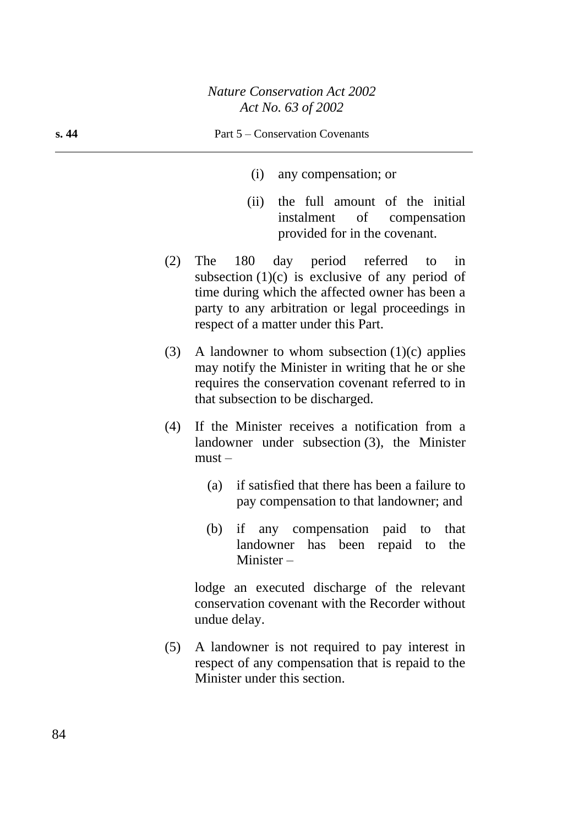- (i) any compensation; or
- (ii) the full amount of the initial instalment of compensation provided for in the covenant.
- (2) The 180 day period referred to in subsection  $(1)(c)$  is exclusive of any period of time during which the affected owner has been a party to any arbitration or legal proceedings in respect of a matter under this Part.
- (3) A landowner to whom subsection  $(1)(c)$  applies may notify the Minister in writing that he or she requires the conservation covenant referred to in that subsection to be discharged.
- (4) If the Minister receives a notification from a landowner under subsection (3), the Minister  $must -$ 
	- (a) if satisfied that there has been a failure to pay compensation to that landowner; and
	- (b) if any compensation paid to that landowner has been repaid to the Minister –

lodge an executed discharge of the relevant conservation covenant with the Recorder without undue delay.

(5) A landowner is not required to pay interest in respect of any compensation that is repaid to the Minister under this section.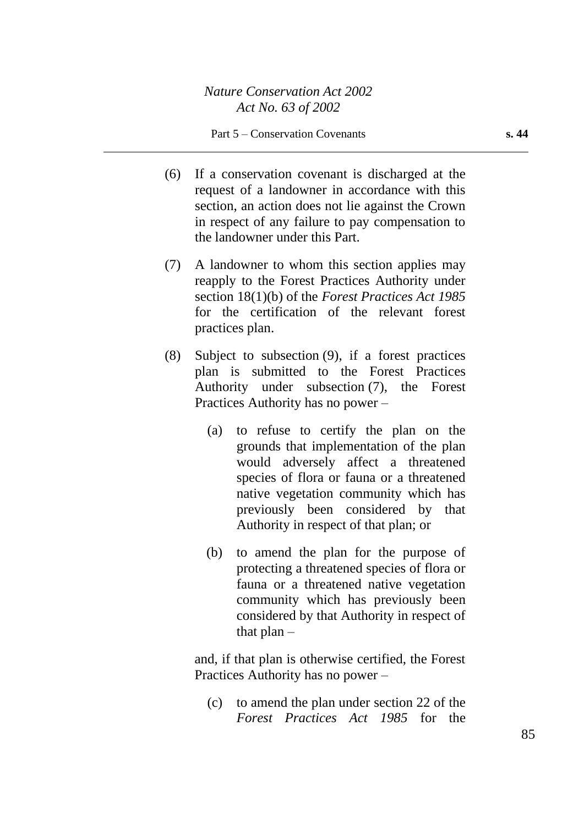- (6) If a conservation covenant is discharged at the request of a landowner in accordance with this section, an action does not lie against the Crown in respect of any failure to pay compensation to the landowner under this Part.
- (7) A landowner to whom this section applies may reapply to the Forest Practices Authority under section 18(1)(b) of the *Forest Practices Act 1985* for the certification of the relevant forest practices plan.
- (8) Subject to subsection (9), if a forest practices plan is submitted to the Forest Practices Authority under subsection (7), the Forest Practices Authority has no power –
	- (a) to refuse to certify the plan on the grounds that implementation of the plan would adversely affect a threatened species of flora or fauna or a threatened native vegetation community which has previously been considered by that Authority in respect of that plan; or
	- (b) to amend the plan for the purpose of protecting a threatened species of flora or fauna or a threatened native vegetation community which has previously been considered by that Authority in respect of that  $plan -$

and, if that plan is otherwise certified, the Forest Practices Authority has no power –

(c) to amend the plan under section 22 of the *Forest Practices Act 1985* for the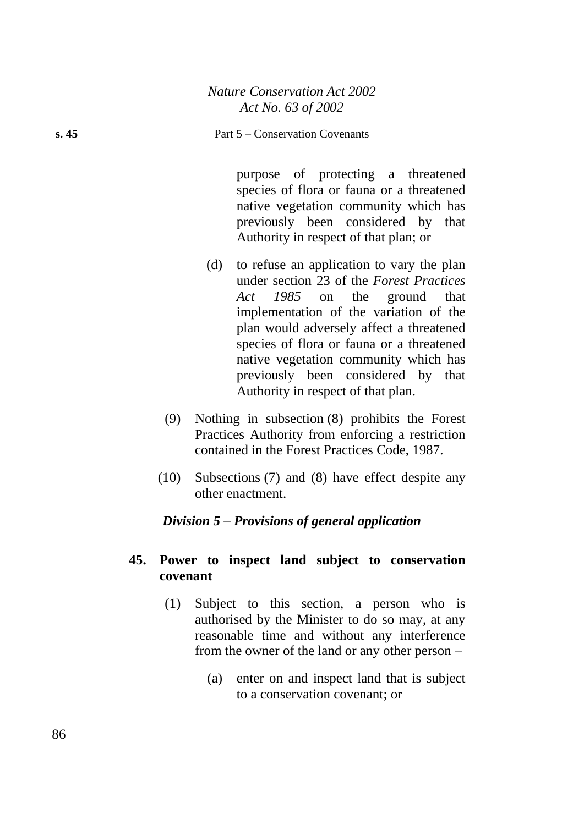#### **s. 45** Part 5 – Conservation Covenants

purpose of protecting a threatened species of flora or fauna or a threatened native vegetation community which has previously been considered by that Authority in respect of that plan; or

- (d) to refuse an application to vary the plan under section 23 of the *Forest Practices Act 1985* on the ground that implementation of the variation of the plan would adversely affect a threatened species of flora or fauna or a threatened native vegetation community which has previously been considered by that Authority in respect of that plan.
- (9) Nothing in subsection (8) prohibits the Forest Practices Authority from enforcing a restriction contained in the Forest Practices Code, 1987.
- (10) Subsections (7) and (8) have effect despite any other enactment.

# *Division 5 – Provisions of general application*

# **45. Power to inspect land subject to conservation covenant**

- (1) Subject to this section, a person who is authorised by the Minister to do so may, at any reasonable time and without any interference from the owner of the land or any other person –
	- (a) enter on and inspect land that is subject to a conservation covenant; or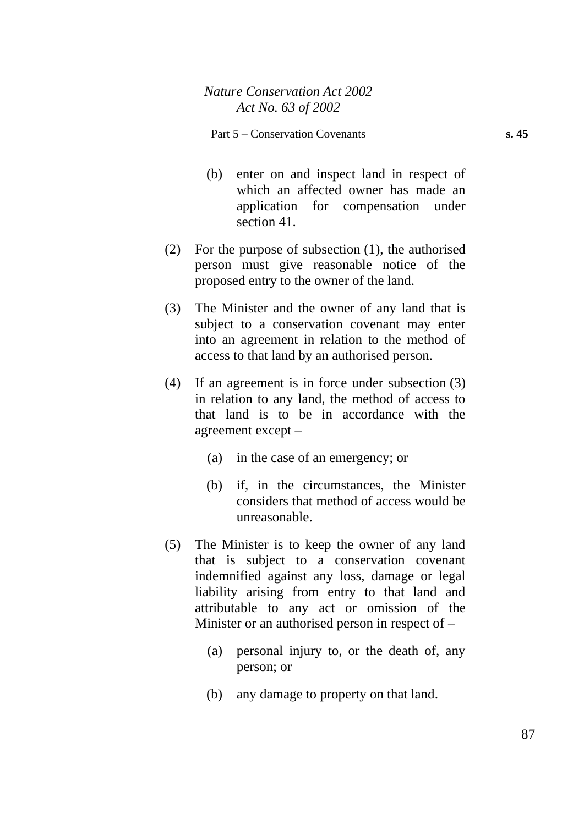- (b) enter on and inspect land in respect of which an affected owner has made an application for compensation under section 41.
- (2) For the purpose of subsection (1), the authorised person must give reasonable notice of the proposed entry to the owner of the land.
- (3) The Minister and the owner of any land that is subject to a conservation covenant may enter into an agreement in relation to the method of access to that land by an authorised person.
- (4) If an agreement is in force under subsection (3) in relation to any land, the method of access to that land is to be in accordance with the agreement except –
	- (a) in the case of an emergency; or
	- (b) if, in the circumstances, the Minister considers that method of access would be unreasonable.
- (5) The Minister is to keep the owner of any land that is subject to a conservation covenant indemnified against any loss, damage or legal liability arising from entry to that land and attributable to any act or omission of the Minister or an authorised person in respect of –
	- (a) personal injury to, or the death of, any person; or
	- (b) any damage to property on that land.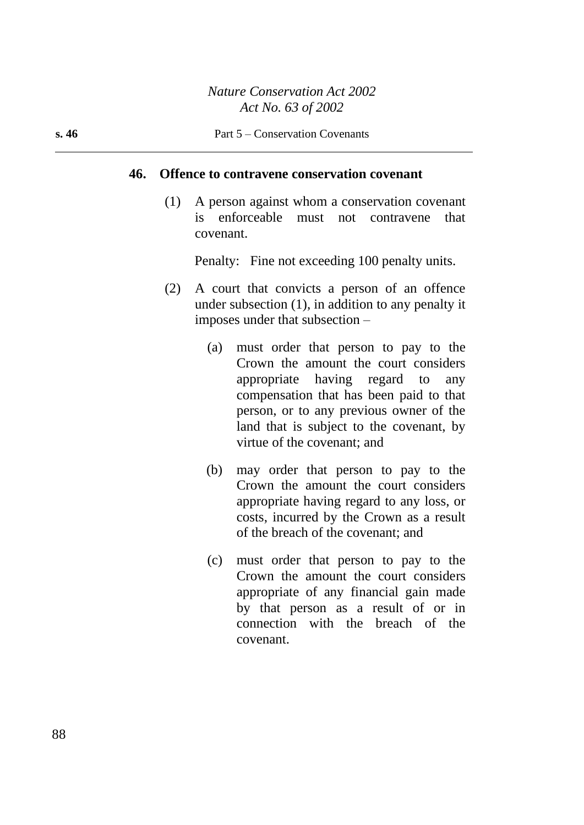#### **46. Offence to contravene conservation covenant**

(1) A person against whom a conservation covenant is enforceable must not contravene that covenant.

Penalty: Fine not exceeding 100 penalty units.

- (2) A court that convicts a person of an offence under subsection (1), in addition to any penalty it imposes under that subsection –
	- (a) must order that person to pay to the Crown the amount the court considers appropriate having regard to any compensation that has been paid to that person, or to any previous owner of the land that is subject to the covenant, by virtue of the covenant; and
	- (b) may order that person to pay to the Crown the amount the court considers appropriate having regard to any loss, or costs, incurred by the Crown as a result of the breach of the covenant; and
	- (c) must order that person to pay to the Crown the amount the court considers appropriate of any financial gain made by that person as a result of or in connection with the breach of the covenant.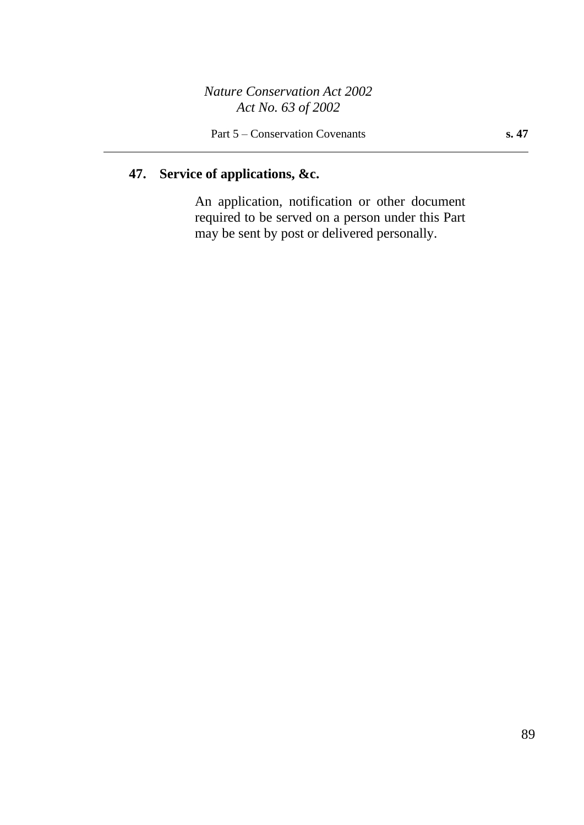# **47. Service of applications, &c.**

An application, notification or other document required to be served on a person under this Part may be sent by post or delivered personally.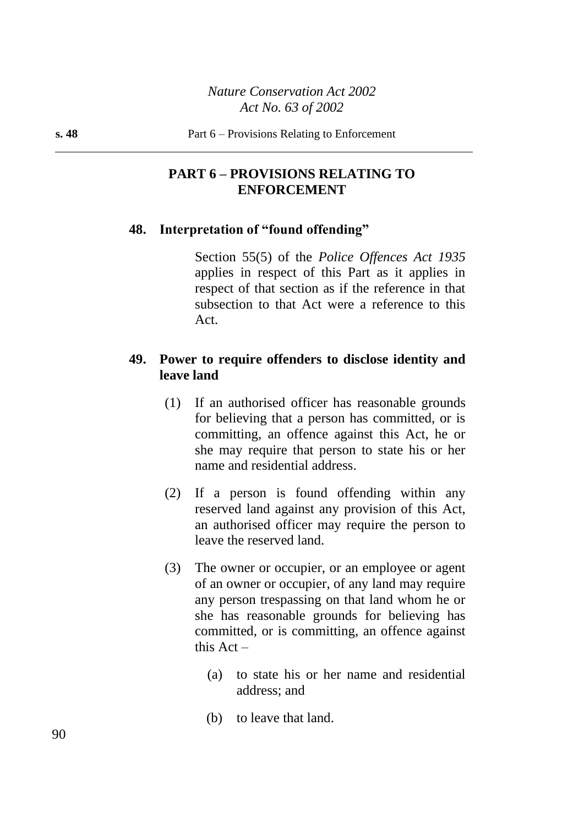# **PART 6 – PROVISIONS RELATING TO ENFORCEMENT**

#### **48. Interpretation of "found offending"**

Section 55(5) of the *Police Offences Act 1935* applies in respect of this Part as it applies in respect of that section as if the reference in that subsection to that Act were a reference to this Act.

# **49. Power to require offenders to disclose identity and leave land**

- (1) If an authorised officer has reasonable grounds for believing that a person has committed, or is committing, an offence against this Act, he or she may require that person to state his or her name and residential address.
- (2) If a person is found offending within any reserved land against any provision of this Act, an authorised officer may require the person to leave the reserved land.
- (3) The owner or occupier, or an employee or agent of an owner or occupier, of any land may require any person trespassing on that land whom he or she has reasonable grounds for believing has committed, or is committing, an offence against this Act –
	- (a) to state his or her name and residential address; and
	- (b) to leave that land.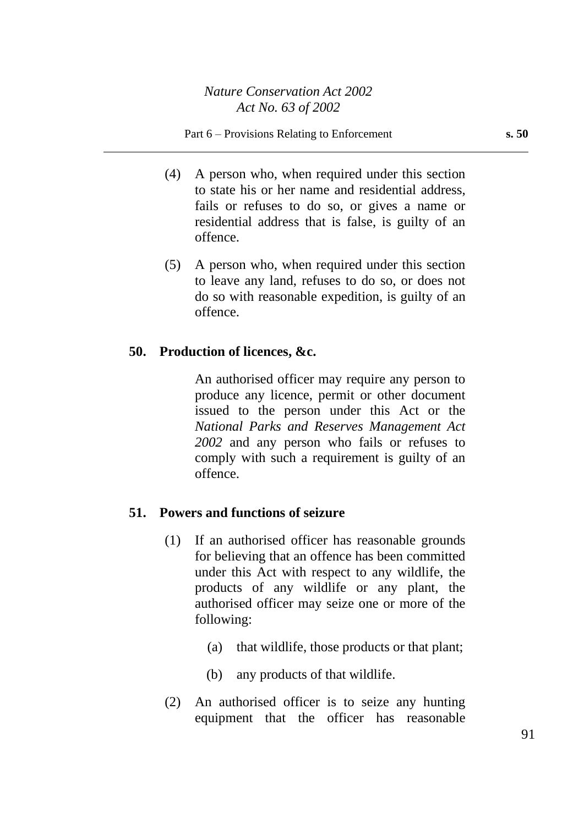#### Part 6 – Provisions Relating to Enforcement **s. 50**

- (4) A person who, when required under this section to state his or her name and residential address, fails or refuses to do so, or gives a name or residential address that is false, is guilty of an offence.
- (5) A person who, when required under this section to leave any land, refuses to do so, or does not do so with reasonable expedition, is guilty of an offence.

#### **50. Production of licences, &c.**

An authorised officer may require any person to produce any licence, permit or other document issued to the person under this Act or the *National Parks and Reserves Management Act 2002* and any person who fails or refuses to comply with such a requirement is guilty of an offence.

#### **51. Powers and functions of seizure**

- (1) If an authorised officer has reasonable grounds for believing that an offence has been committed under this Act with respect to any wildlife, the products of any wildlife or any plant, the authorised officer may seize one or more of the following:
	- (a) that wildlife, those products or that plant;
	- (b) any products of that wildlife.
- (2) An authorised officer is to seize any hunting equipment that the officer has reasonable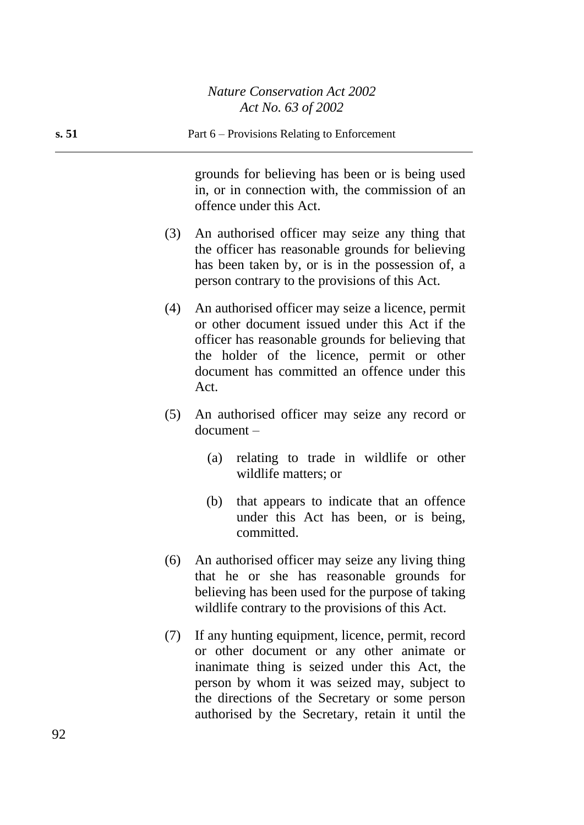# **s. 51** Part 6 – Provisions Relating to Enforcement

grounds for believing has been or is being used in, or in connection with, the commission of an offence under this Act.

- (3) An authorised officer may seize any thing that the officer has reasonable grounds for believing has been taken by, or is in the possession of, a person contrary to the provisions of this Act.
- (4) An authorised officer may seize a licence, permit or other document issued under this Act if the officer has reasonable grounds for believing that the holder of the licence, permit or other document has committed an offence under this Act.
- (5) An authorised officer may seize any record or document –
	- (a) relating to trade in wildlife or other wildlife matters; or
	- (b) that appears to indicate that an offence under this Act has been, or is being, committed.
- (6) An authorised officer may seize any living thing that he or she has reasonable grounds for believing has been used for the purpose of taking wildlife contrary to the provisions of this Act.
- (7) If any hunting equipment, licence, permit, record or other document or any other animate or inanimate thing is seized under this Act, the person by whom it was seized may, subject to the directions of the Secretary or some person authorised by the Secretary, retain it until the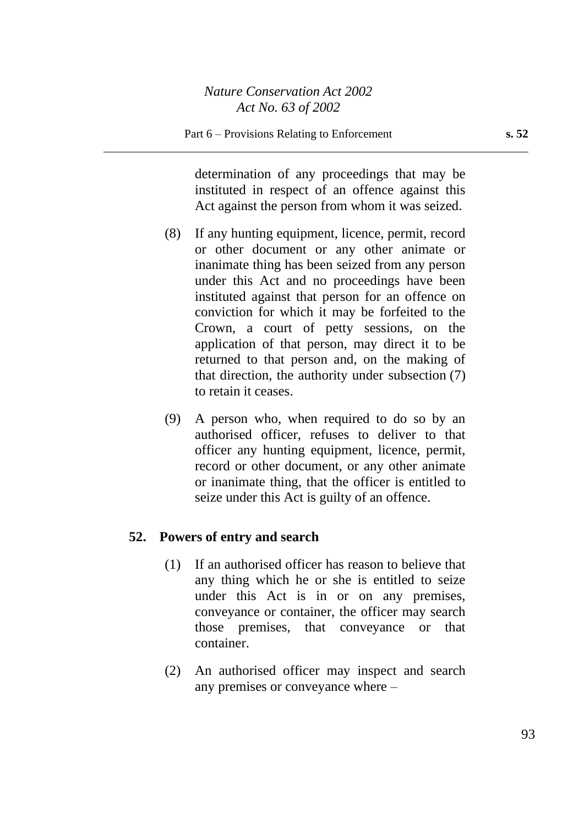determination of any proceedings that may be instituted in respect of an offence against this Act against the person from whom it was seized.

- (8) If any hunting equipment, licence, permit, record or other document or any other animate or inanimate thing has been seized from any person under this Act and no proceedings have been instituted against that person for an offence on conviction for which it may be forfeited to the Crown, a court of petty sessions, on the application of that person, may direct it to be returned to that person and, on the making of that direction, the authority under subsection (7) to retain it ceases.
- (9) A person who, when required to do so by an authorised officer, refuses to deliver to that officer any hunting equipment, licence, permit, record or other document, or any other animate or inanimate thing, that the officer is entitled to seize under this Act is guilty of an offence.

# **52. Powers of entry and search**

- (1) If an authorised officer has reason to believe that any thing which he or she is entitled to seize under this Act is in or on any premises, conveyance or container, the officer may search those premises, that conveyance or that container.
- (2) An authorised officer may inspect and search any premises or conveyance where –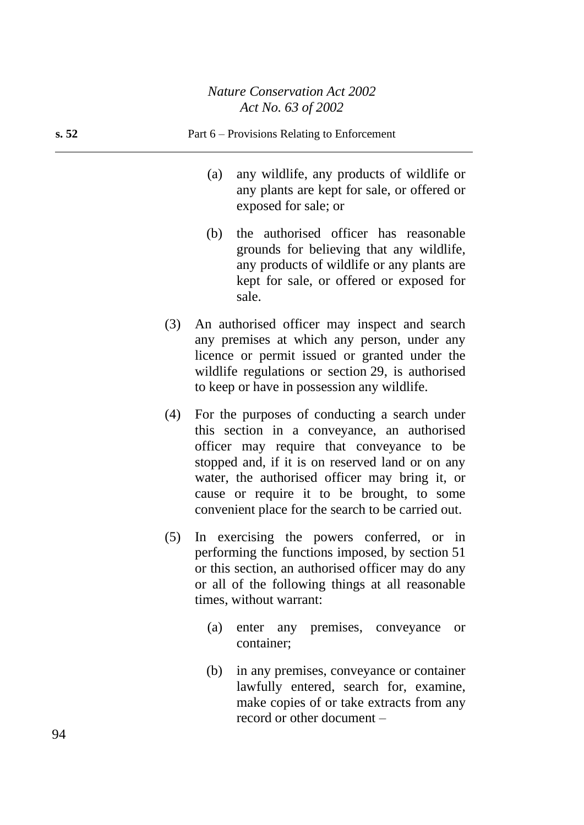# **s. 52** Part 6 – Provisions Relating to Enforcement

- (a) any wildlife, any products of wildlife or any plants are kept for sale, or offered or exposed for sale; or
- (b) the authorised officer has reasonable grounds for believing that any wildlife, any products of wildlife or any plants are kept for sale, or offered or exposed for sale.
- (3) An authorised officer may inspect and search any premises at which any person, under any licence or permit issued or granted under the wildlife regulations or section 29, is authorised to keep or have in possession any wildlife.
- (4) For the purposes of conducting a search under this section in a conveyance, an authorised officer may require that conveyance to be stopped and, if it is on reserved land or on any water, the authorised officer may bring it, or cause or require it to be brought, to some convenient place for the search to be carried out.
- (5) In exercising the powers conferred, or in performing the functions imposed, by section 51 or this section, an authorised officer may do any or all of the following things at all reasonable times, without warrant:
	- (a) enter any premises, conveyance or container;
	- (b) in any premises, conveyance or container lawfully entered, search for, examine, make copies of or take extracts from any record or other document –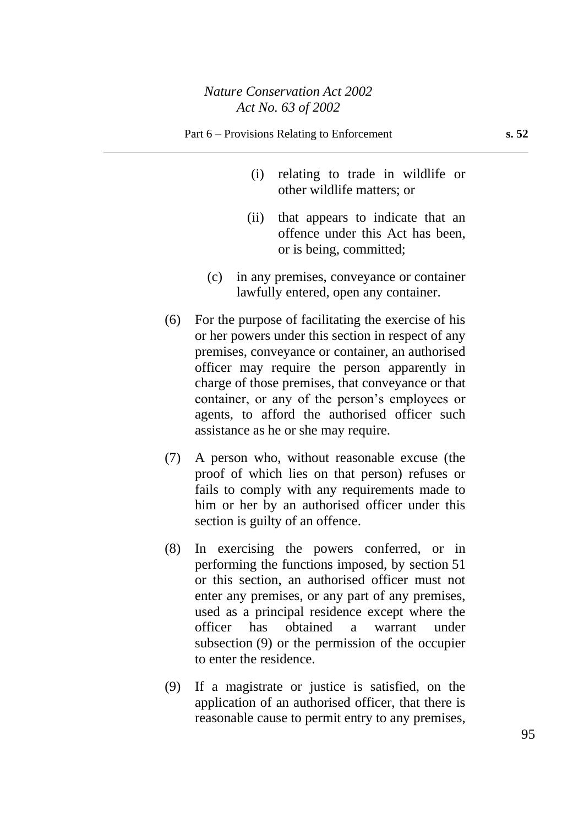- (i) relating to trade in wildlife or other wildlife matters; or
- (ii) that appears to indicate that an offence under this Act has been, or is being, committed;
- (c) in any premises, conveyance or container lawfully entered, open any container.
- (6) For the purpose of facilitating the exercise of his or her powers under this section in respect of any premises, conveyance or container, an authorised officer may require the person apparently in charge of those premises, that conveyance or that container, or any of the person's employees or agents, to afford the authorised officer such assistance as he or she may require.
- (7) A person who, without reasonable excuse (the proof of which lies on that person) refuses or fails to comply with any requirements made to him or her by an authorised officer under this section is guilty of an offence.
- (8) In exercising the powers conferred, or in performing the functions imposed, by section 51 or this section, an authorised officer must not enter any premises, or any part of any premises, used as a principal residence except where the officer has obtained a warrant under subsection (9) or the permission of the occupier to enter the residence.
- (9) If a magistrate or justice is satisfied, on the application of an authorised officer, that there is reasonable cause to permit entry to any premises,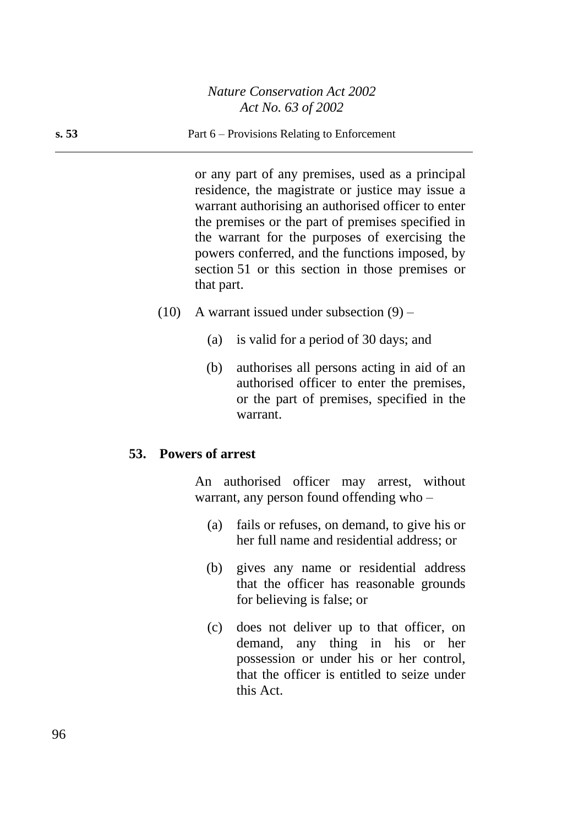#### **s. 53** Part 6 – Provisions Relating to Enforcement

or any part of any premises, used as a principal residence, the magistrate or justice may issue a warrant authorising an authorised officer to enter the premises or the part of premises specified in the warrant for the purposes of exercising the powers conferred, and the functions imposed, by section 51 or this section in those premises or that part.

- $(10)$  A warrant issued under subsection  $(9)$ 
	- (a) is valid for a period of 30 days; and
	- (b) authorises all persons acting in aid of an authorised officer to enter the premises, or the part of premises, specified in the warrant.

#### **53. Powers of arrest**

An authorised officer may arrest, without warrant, any person found offending who –

- (a) fails or refuses, on demand, to give his or her full name and residential address; or
- (b) gives any name or residential address that the officer has reasonable grounds for believing is false; or
- (c) does not deliver up to that officer, on demand, any thing in his or her possession or under his or her control, that the officer is entitled to seize under this Act.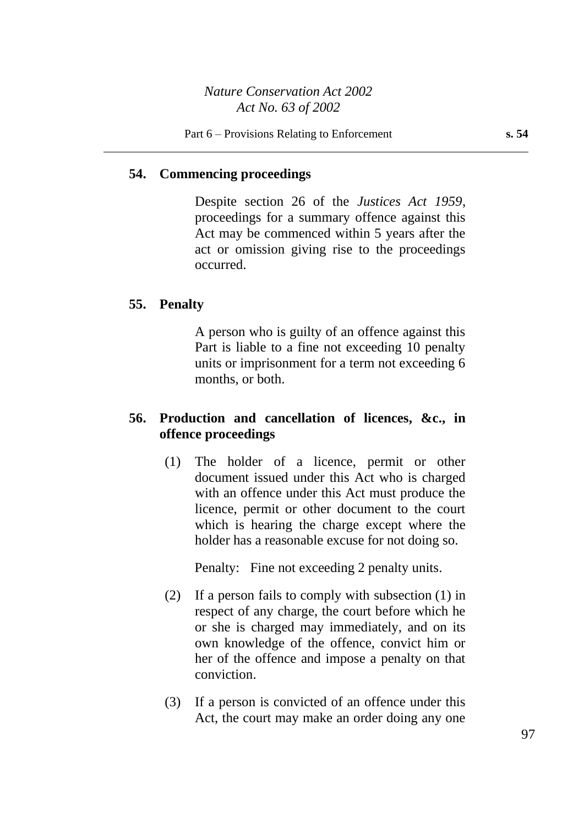#### **54. Commencing proceedings**

Despite section 26 of the *Justices Act 1959*, proceedings for a summary offence against this Act may be commenced within 5 years after the act or omission giving rise to the proceedings occurred.

#### **55. Penalty**

A person who is guilty of an offence against this Part is liable to a fine not exceeding 10 penalty units or imprisonment for a term not exceeding 6 months, or both.

#### **56. Production and cancellation of licences, &c., in offence proceedings**

(1) The holder of a licence, permit or other document issued under this Act who is charged with an offence under this Act must produce the licence, permit or other document to the court which is hearing the charge except where the holder has a reasonable excuse for not doing so.

Penalty: Fine not exceeding 2 penalty units.

- (2) If a person fails to comply with subsection (1) in respect of any charge, the court before which he or she is charged may immediately, and on its own knowledge of the offence, convict him or her of the offence and impose a penalty on that conviction.
- (3) If a person is convicted of an offence under this Act, the court may make an order doing any one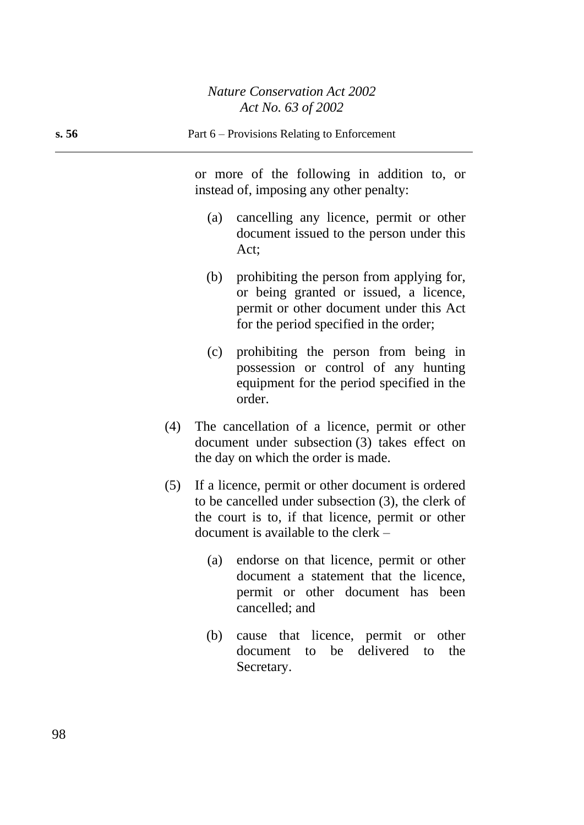or more of the following in addition to, or instead of, imposing any other penalty:

- (a) cancelling any licence, permit or other document issued to the person under this Act;
- (b) prohibiting the person from applying for, or being granted or issued, a licence, permit or other document under this Act for the period specified in the order;
- (c) prohibiting the person from being in possession or control of any hunting equipment for the period specified in the order.
- (4) The cancellation of a licence, permit or other document under subsection (3) takes effect on the day on which the order is made.
- (5) If a licence, permit or other document is ordered to be cancelled under subsection (3), the clerk of the court is to, if that licence, permit or other document is available to the clerk –
	- (a) endorse on that licence, permit or other document a statement that the licence, permit or other document has been cancelled; and
	- (b) cause that licence, permit or other document to be delivered to the Secretary.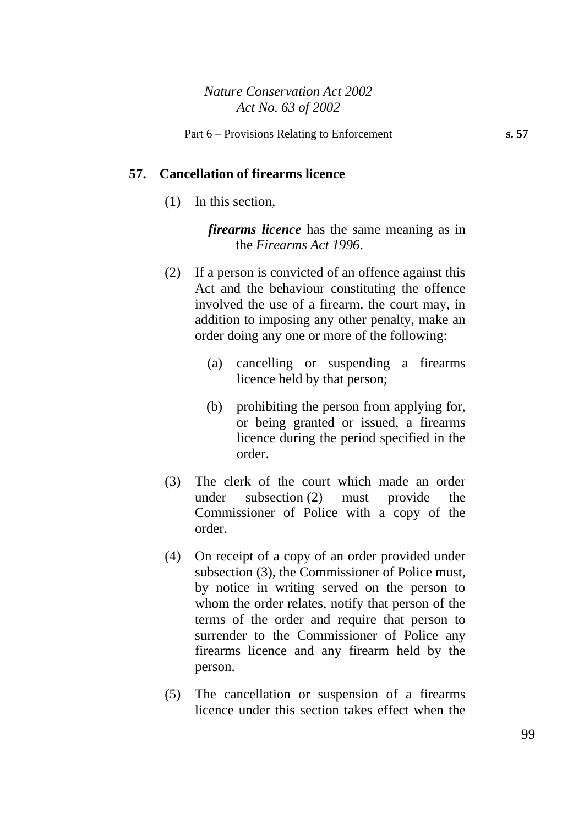#### **57. Cancellation of firearms licence**

(1) In this section,

*firearms licence* has the same meaning as in the *Firearms Act 1996*.

- (2) If a person is convicted of an offence against this Act and the behaviour constituting the offence involved the use of a firearm, the court may, in addition to imposing any other penalty, make an order doing any one or more of the following:
	- (a) cancelling or suspending a firearms licence held by that person;
	- (b) prohibiting the person from applying for, or being granted or issued, a firearms licence during the period specified in the order.
- (3) The clerk of the court which made an order under subsection (2) must provide the Commissioner of Police with a copy of the order.
- (4) On receipt of a copy of an order provided under subsection (3), the Commissioner of Police must, by notice in writing served on the person to whom the order relates, notify that person of the terms of the order and require that person to surrender to the Commissioner of Police any firearms licence and any firearm held by the person.
- (5) The cancellation or suspension of a firearms licence under this section takes effect when the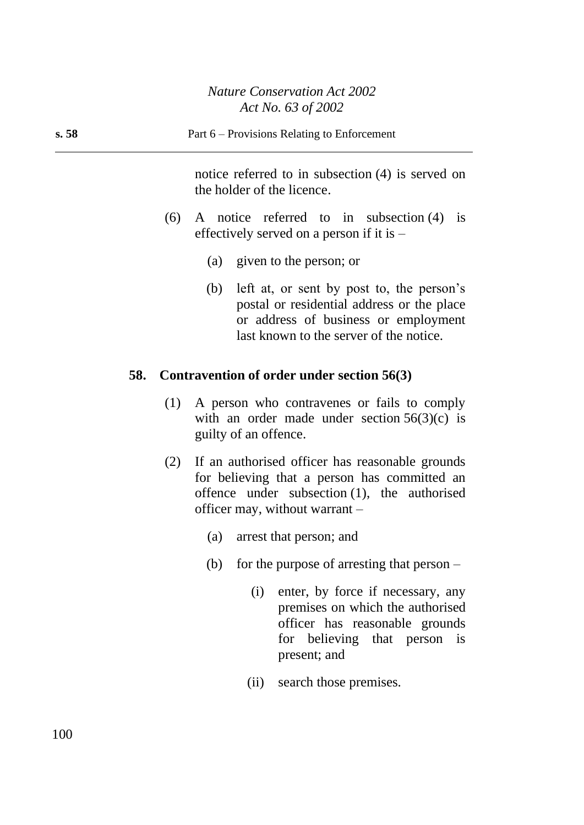notice referred to in subsection (4) is served on the holder of the licence.

- (6) A notice referred to in subsection (4) is effectively served on a person if it is –
	- (a) given to the person; or
	- (b) left at, or sent by post to, the person's postal or residential address or the place or address of business or employment last known to the server of the notice.

# **58. Contravention of order under section 56(3)**

- (1) A person who contravenes or fails to comply with an order made under section  $56(3)(c)$  is guilty of an offence.
- (2) If an authorised officer has reasonable grounds for believing that a person has committed an offence under subsection (1), the authorised officer may, without warrant –
	- (a) arrest that person; and
	- (b) for the purpose of arresting that person
		- (i) enter, by force if necessary, any premises on which the authorised officer has reasonable grounds for believing that person is present; and
		- (ii) search those premises.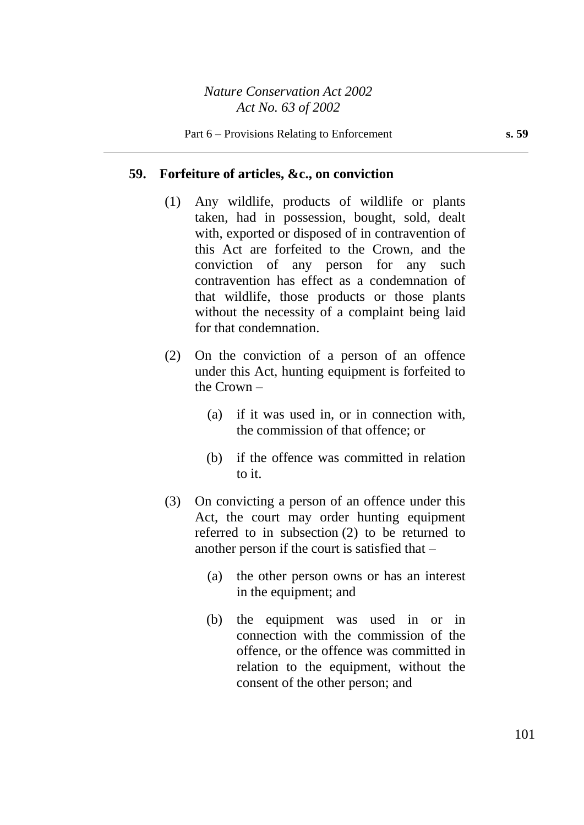#### **59. Forfeiture of articles, &c., on conviction**

- (1) Any wildlife, products of wildlife or plants taken, had in possession, bought, sold, dealt with, exported or disposed of in contravention of this Act are forfeited to the Crown, and the conviction of any person for any such contravention has effect as a condemnation of that wildlife, those products or those plants without the necessity of a complaint being laid for that condemnation.
- (2) On the conviction of a person of an offence under this Act, hunting equipment is forfeited to the Crown –
	- (a) if it was used in, or in connection with, the commission of that offence; or
	- (b) if the offence was committed in relation to it.
- (3) On convicting a person of an offence under this Act, the court may order hunting equipment referred to in subsection (2) to be returned to another person if the court is satisfied that –
	- (a) the other person owns or has an interest in the equipment; and
	- (b) the equipment was used in or in connection with the commission of the offence, or the offence was committed in relation to the equipment, without the consent of the other person; and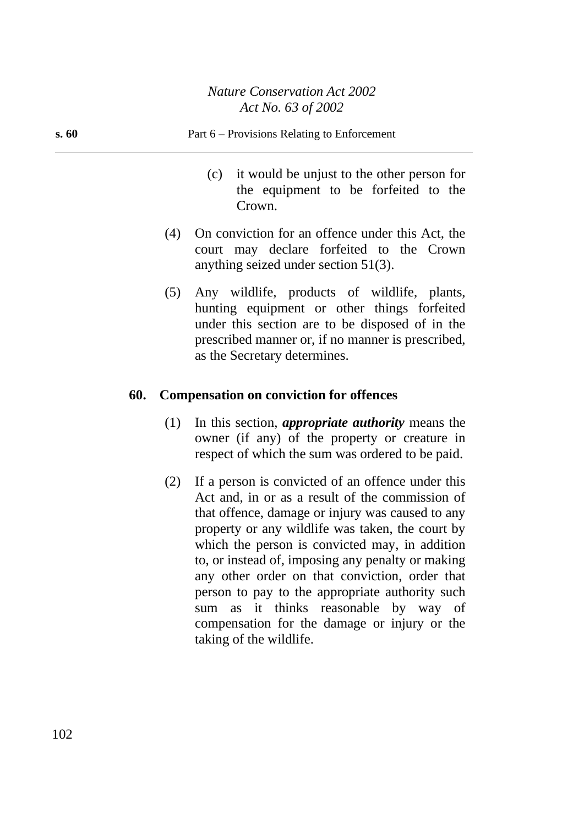| s. 60 | Part 6 – Provisions Relating to Enforcement                                                         |
|-------|-----------------------------------------------------------------------------------------------------|
|       | it would be unjust to the other person for<br>(c)<br>the equipment to be forfeited to the<br>Crown. |
|       | On conviction for an offence under this Act, the<br>(4)<br>court may declare forfeited to the Crown |

(5) Any wildlife, products of wildlife, plants, hunting equipment or other things forfeited under this section are to be disposed of in the prescribed manner or, if no manner is prescribed, as the Secretary determines.

anything seized under section 51(3).

# **60. Compensation on conviction for offences**

- (1) In this section, *appropriate authority* means the owner (if any) of the property or creature in respect of which the sum was ordered to be paid.
- (2) If a person is convicted of an offence under this Act and, in or as a result of the commission of that offence, damage or injury was caused to any property or any wildlife was taken, the court by which the person is convicted may, in addition to, or instead of, imposing any penalty or making any other order on that conviction, order that person to pay to the appropriate authority such sum as it thinks reasonable by way of compensation for the damage or injury or the taking of the wildlife.

102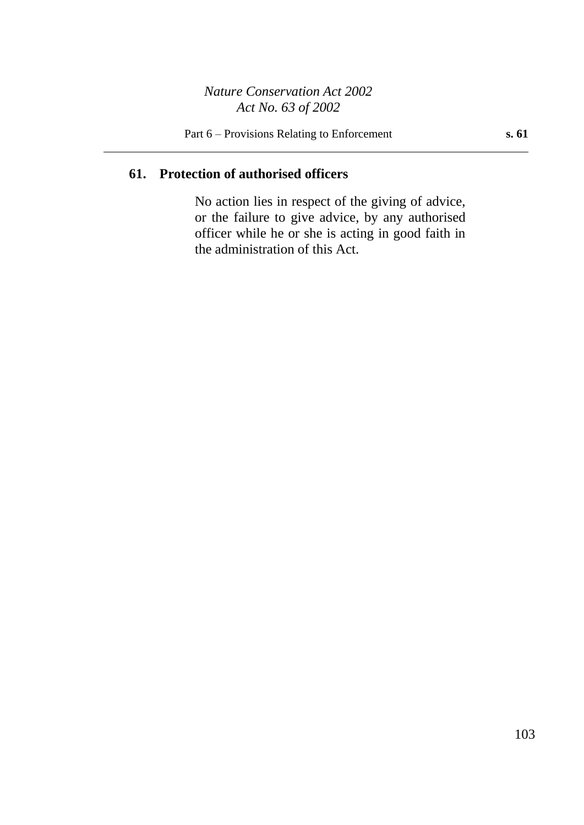# **61. Protection of authorised officers**

No action lies in respect of the giving of advice, or the failure to give advice, by any authorised officer while he or she is acting in good faith in the administration of this Act.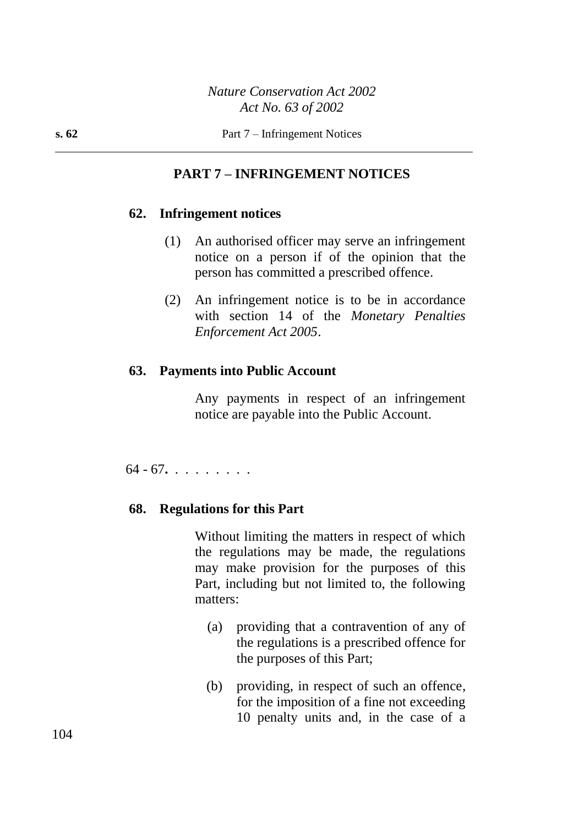# **PART 7 – INFRINGEMENT NOTICES**

#### **62. Infringement notices**

- (1) An authorised officer may serve an infringement notice on a person if of the opinion that the person has committed a prescribed offence.
- (2) An infringement notice is to be in accordance with section 14 of the *Monetary Penalties Enforcement Act 2005*.

#### **63. Payments into Public Account**

Any payments in respect of an infringement notice are payable into the Public Account.

64 - 67**.** . . . . . . . .

#### **68. Regulations for this Part**

Without limiting the matters in respect of which the regulations may be made, the regulations may make provision for the purposes of this Part, including but not limited to, the following matters:

- (a) providing that a contravention of any of the regulations is a prescribed offence for the purposes of this Part;
- (b) providing, in respect of such an offence, for the imposition of a fine not exceeding 10 penalty units and, in the case of a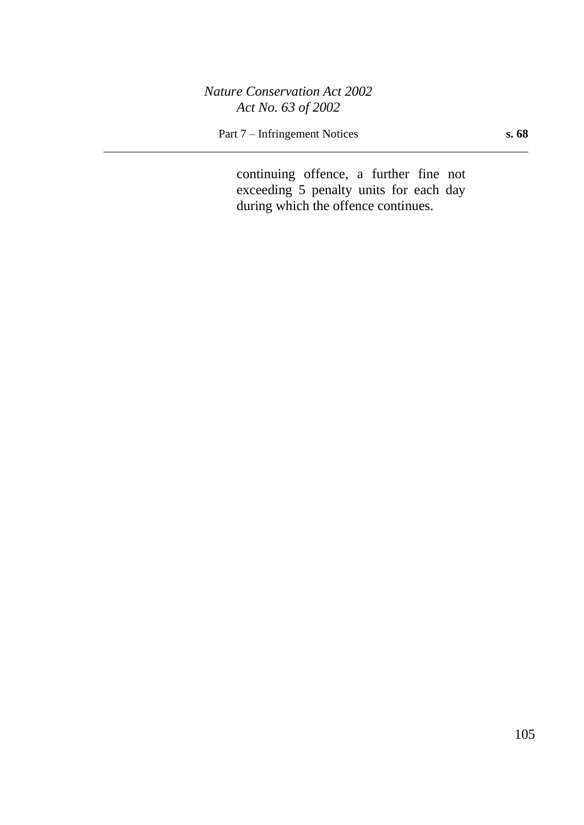Part 7 – Infringement Notices **s. 68**

continuing offence, a further fine not exceeding 5 penalty units for each day during which the offence continues.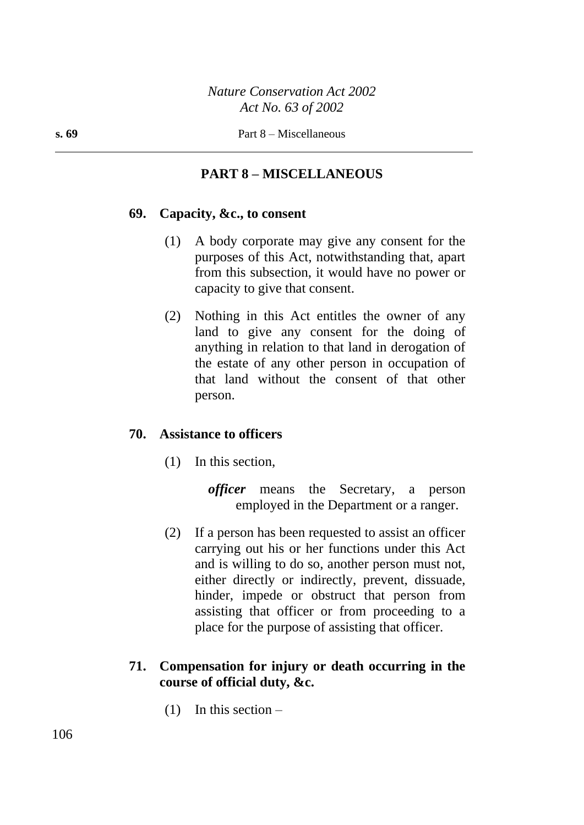# **PART 8 – MISCELLANEOUS**

#### **69. Capacity, &c., to consent**

- (1) A body corporate may give any consent for the purposes of this Act, notwithstanding that, apart from this subsection, it would have no power or capacity to give that consent.
- (2) Nothing in this Act entitles the owner of any land to give any consent for the doing of anything in relation to that land in derogation of the estate of any other person in occupation of that land without the consent of that other person.

#### **70. Assistance to officers**

(1) In this section,

*officer* means the Secretary, a person employed in the Department or a ranger.

(2) If a person has been requested to assist an officer carrying out his or her functions under this Act and is willing to do so, another person must not, either directly or indirectly, prevent, dissuade, hinder, impede or obstruct that person from assisting that officer or from proceeding to a place for the purpose of assisting that officer.

# **71. Compensation for injury or death occurring in the course of official duty, &c.**

 $(1)$  In this section –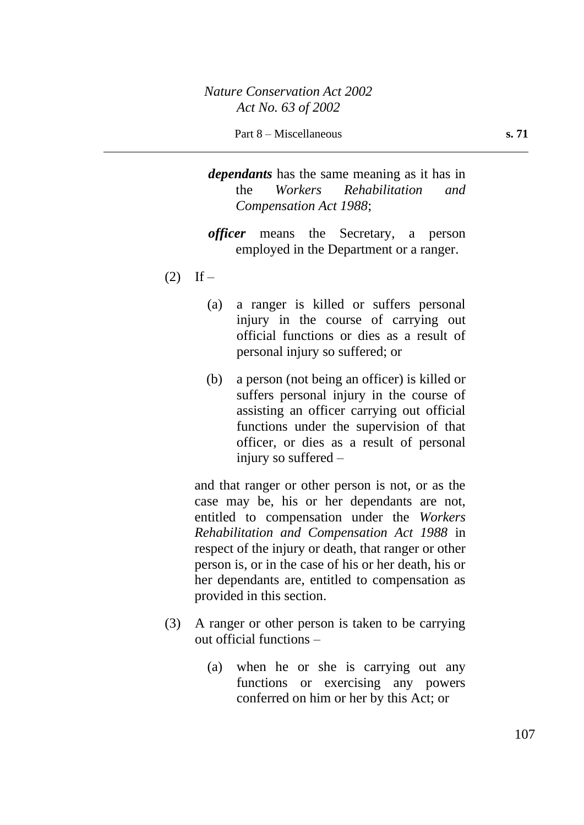- *dependants* has the same meaning as it has in the *Workers Rehabilitation and Compensation Act 1988*;
- *officer* means the Secretary, a person employed in the Department or a ranger.
- $(2)$  If
	- (a) a ranger is killed or suffers personal injury in the course of carrying out official functions or dies as a result of personal injury so suffered; or
	- (b) a person (not being an officer) is killed or suffers personal injury in the course of assisting an officer carrying out official functions under the supervision of that officer, or dies as a result of personal injury so suffered –

and that ranger or other person is not, or as the case may be, his or her dependants are not, entitled to compensation under the *Workers Rehabilitation and Compensation Act 1988* in respect of the injury or death, that ranger or other person is, or in the case of his or her death, his or her dependants are, entitled to compensation as provided in this section.

- (3) A ranger or other person is taken to be carrying out official functions –
	- (a) when he or she is carrying out any functions or exercising any powers conferred on him or her by this Act; or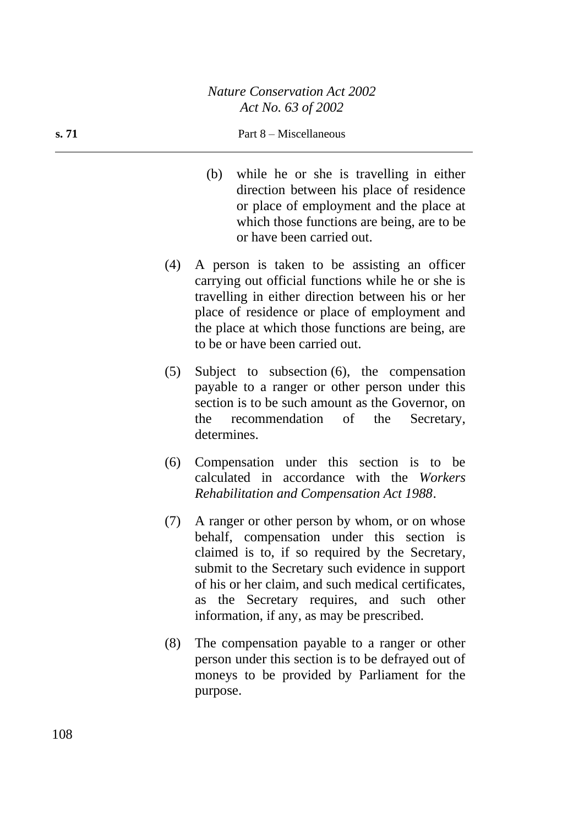#### **s. 71** Part 8 – Miscellaneous

- (b) while he or she is travelling in either direction between his place of residence or place of employment and the place at which those functions are being, are to be or have been carried out.
- (4) A person is taken to be assisting an officer carrying out official functions while he or she is travelling in either direction between his or her place of residence or place of employment and the place at which those functions are being, are to be or have been carried out.
- (5) Subject to subsection (6), the compensation payable to a ranger or other person under this section is to be such amount as the Governor, on the recommendation of the Secretary, determines.
- (6) Compensation under this section is to be calculated in accordance with the *Workers Rehabilitation and Compensation Act 1988*.
- (7) A ranger or other person by whom, or on whose behalf, compensation under this section is claimed is to, if so required by the Secretary, submit to the Secretary such evidence in support of his or her claim, and such medical certificates, as the Secretary requires, and such other information, if any, as may be prescribed.
- (8) The compensation payable to a ranger or other person under this section is to be defrayed out of moneys to be provided by Parliament for the purpose.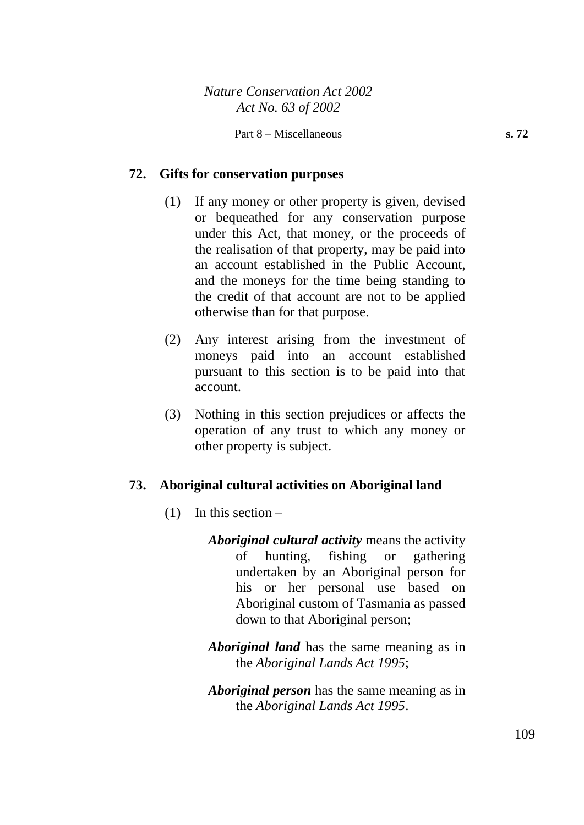#### **72. Gifts for conservation purposes**

- (1) If any money or other property is given, devised or bequeathed for any conservation purpose under this Act, that money, or the proceeds of the realisation of that property, may be paid into an account established in the Public Account, and the moneys for the time being standing to the credit of that account are not to be applied otherwise than for that purpose.
- (2) Any interest arising from the investment of moneys paid into an account established pursuant to this section is to be paid into that account.
- (3) Nothing in this section prejudices or affects the operation of any trust to which any money or other property is subject.

#### **73. Aboriginal cultural activities on Aboriginal land**

- (1) In this section
	- *Aboriginal cultural activity* means the activity of hunting, fishing or gathering undertaken by an Aboriginal person for his or her personal use based on Aboriginal custom of Tasmania as passed down to that Aboriginal person;
	- *Aboriginal land* has the same meaning as in the *Aboriginal Lands Act 1995*;
	- *Aboriginal person* has the same meaning as in the *Aboriginal Lands Act 1995*.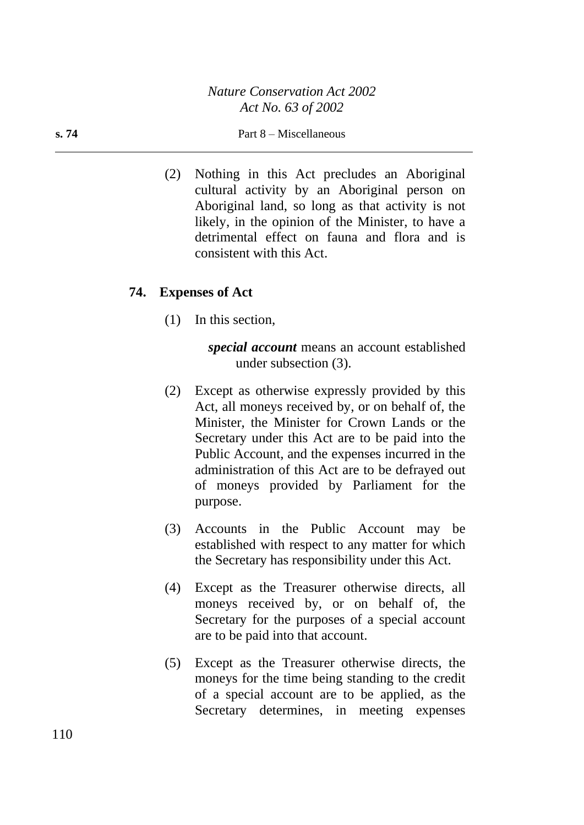#### **s. 74** Part 8 – Miscellaneous

(2) Nothing in this Act precludes an Aboriginal cultural activity by an Aboriginal person on Aboriginal land, so long as that activity is not likely, in the opinion of the Minister, to have a detrimental effect on fauna and flora and is consistent with this Act.

#### **74. Expenses of Act**

(1) In this section,

*special account* means an account established under subsection (3).

- (2) Except as otherwise expressly provided by this Act, all moneys received by, or on behalf of, the Minister, the Minister for Crown Lands or the Secretary under this Act are to be paid into the Public Account, and the expenses incurred in the administration of this Act are to be defrayed out of moneys provided by Parliament for the purpose.
- (3) Accounts in the Public Account may be established with respect to any matter for which the Secretary has responsibility under this Act.
- (4) Except as the Treasurer otherwise directs, all moneys received by, or on behalf of, the Secretary for the purposes of a special account are to be paid into that account.
- (5) Except as the Treasurer otherwise directs, the moneys for the time being standing to the credit of a special account are to be applied, as the Secretary determines, in meeting expenses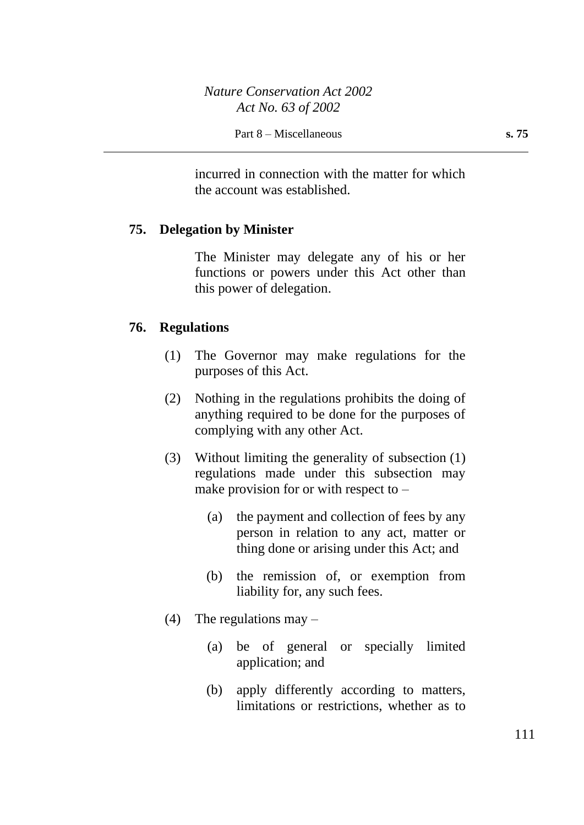incurred in connection with the matter for which the account was established.

#### **75. Delegation by Minister**

The Minister may delegate any of his or her functions or powers under this Act other than this power of delegation.

#### **76. Regulations**

- (1) The Governor may make regulations for the purposes of this Act.
- (2) Nothing in the regulations prohibits the doing of anything required to be done for the purposes of complying with any other Act.
- (3) Without limiting the generality of subsection (1) regulations made under this subsection may make provision for or with respect to  $-$ 
	- (a) the payment and collection of fees by any person in relation to any act, matter or thing done or arising under this Act; and
	- (b) the remission of, or exemption from liability for, any such fees.
- (4) The regulations may  $-$ 
	- (a) be of general or specially limited application; and
	- (b) apply differently according to matters, limitations or restrictions, whether as to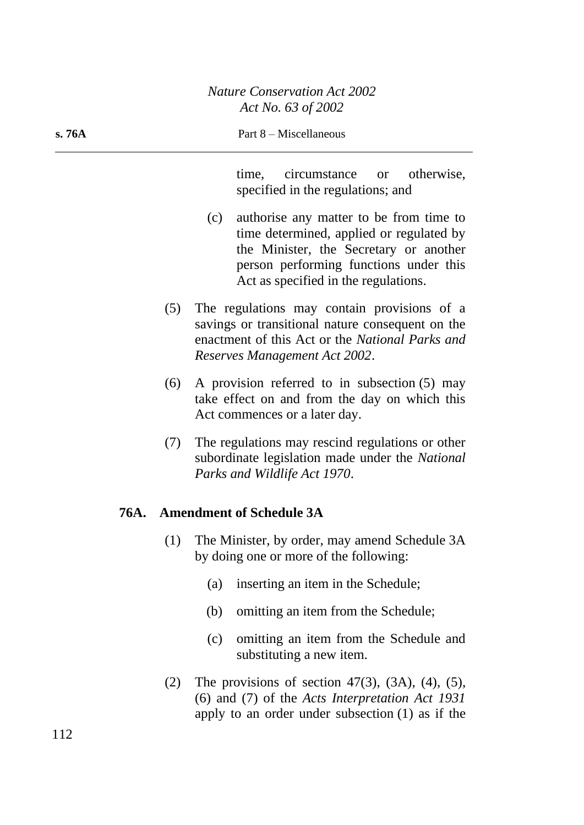time, circumstance or otherwise, specified in the regulations; and

- (c) authorise any matter to be from time to time determined, applied or regulated by the Minister, the Secretary or another person performing functions under this Act as specified in the regulations.
- (5) The regulations may contain provisions of a savings or transitional nature consequent on the enactment of this Act or the *National Parks and Reserves Management Act 2002*.
- (6) A provision referred to in subsection (5) may take effect on and from the day on which this Act commences or a later day.
- (7) The regulations may rescind regulations or other subordinate legislation made under the *National Parks and Wildlife Act 1970*.

### **76A. Amendment of Schedule 3A**

- (1) The Minister, by order, may amend Schedule 3A by doing one or more of the following:
	- (a) inserting an item in the Schedule;
	- (b) omitting an item from the Schedule;
	- (c) omitting an item from the Schedule and substituting a new item.
- (2) The provisions of section 47(3), (3A), (4), (5), (6) and (7) of the *Acts Interpretation Act 1931* apply to an order under subsection (1) as if the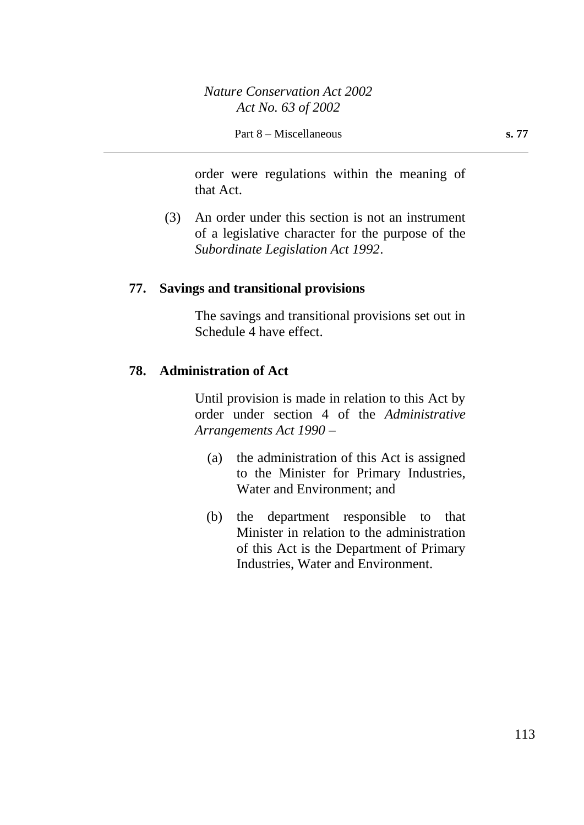order were regulations within the meaning of that Act.

(3) An order under this section is not an instrument of a legislative character for the purpose of the *Subordinate Legislation Act 1992*.

#### **77. Savings and transitional provisions**

The savings and transitional provisions set out in Schedule 4 have effect.

### **78. Administration of Act**

Until provision is made in relation to this Act by order under section 4 of the *Administrative Arrangements Act 1990* –

- (a) the administration of this Act is assigned to the Minister for Primary Industries, Water and Environment; and
- (b) the department responsible to that Minister in relation to the administration of this Act is the Department of Primary Industries, Water and Environment.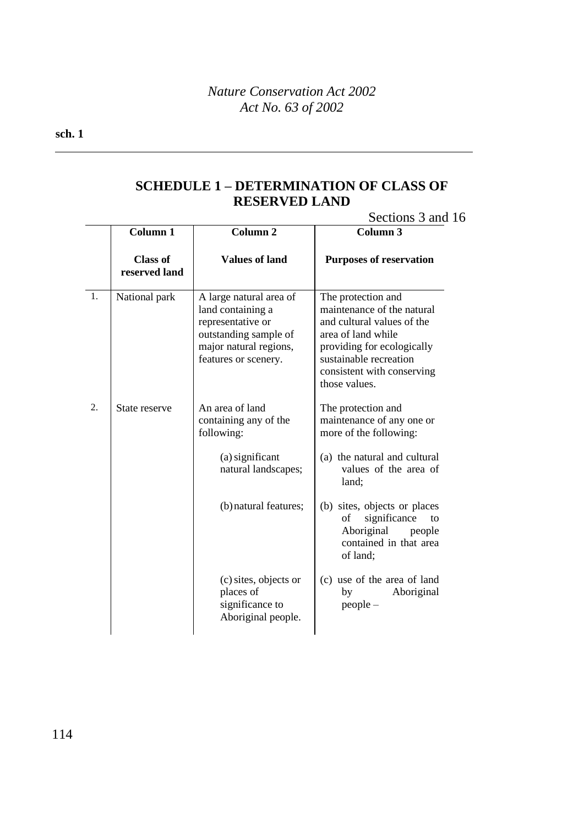#### **sch. 1**

## **SCHEDULE 1 – DETERMINATION OF CLASS OF RESERVED LAND**

### Sections 3 and 16

|                | Column 1                         | Column <sub>2</sub>                                                                                                                          | Column <sub>3</sub>                                                                                                                                                                                         |
|----------------|----------------------------------|----------------------------------------------------------------------------------------------------------------------------------------------|-------------------------------------------------------------------------------------------------------------------------------------------------------------------------------------------------------------|
|                | <b>Class of</b><br>reserved land | <b>Values of land</b>                                                                                                                        | <b>Purposes of reservation</b>                                                                                                                                                                              |
| $\mathbf{1}$ . | National park                    | A large natural area of<br>land containing a<br>representative or<br>outstanding sample of<br>major natural regions,<br>features or scenery. | The protection and<br>maintenance of the natural<br>and cultural values of the<br>area of land while<br>providing for ecologically<br>sustainable recreation<br>consistent with conserving<br>those values. |
| 2.             | State reserve                    | An area of land<br>containing any of the<br>following:                                                                                       | The protection and<br>maintenance of any one or<br>more of the following:                                                                                                                                   |
|                |                                  | (a) significant<br>natural landscapes;                                                                                                       | (a) the natural and cultural<br>values of the area of<br>land;                                                                                                                                              |
|                |                                  | (b) natural features;                                                                                                                        | (b) sites, objects or places<br>significance<br>of<br>to<br>Aboriginal<br>people<br>contained in that area<br>of land;                                                                                      |
|                |                                  | (c) sites, objects or<br>places of<br>significance to<br>Aboriginal people.                                                                  | (c) use of the area of land<br>Aboriginal<br>by<br>$people -$                                                                                                                                               |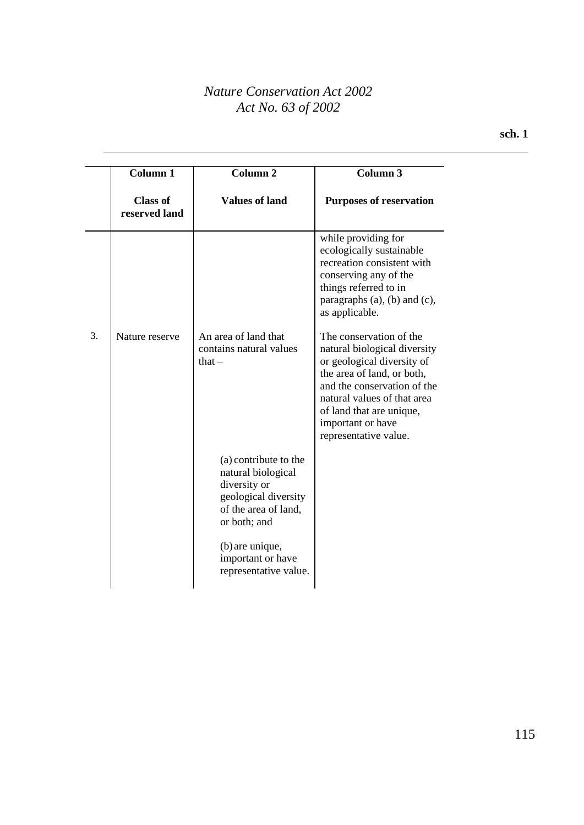|    | Column <sub>1</sub>              | Column <sub>2</sub>                                                                                                         | Column <sub>3</sub>                                                                                                                                                                                                                                         |
|----|----------------------------------|-----------------------------------------------------------------------------------------------------------------------------|-------------------------------------------------------------------------------------------------------------------------------------------------------------------------------------------------------------------------------------------------------------|
|    | <b>Class of</b><br>reserved land | <b>Values of land</b>                                                                                                       | <b>Purposes of reservation</b>                                                                                                                                                                                                                              |
|    |                                  |                                                                                                                             | while providing for<br>ecologically sustainable<br>recreation consistent with<br>conserving any of the<br>things referred to in<br>paragraphs $(a)$ , $(b)$ and $(c)$ ,<br>as applicable.                                                                   |
| 3. | Nature reserve                   | An area of land that<br>contains natural values<br>that $-$                                                                 | The conservation of the<br>natural biological diversity<br>or geological diversity of<br>the area of land, or both,<br>and the conservation of the<br>natural values of that area<br>of land that are unique,<br>important or have<br>representative value. |
|    |                                  | (a) contribute to the<br>natural biological<br>diversity or<br>geological diversity<br>of the area of land,<br>or both; and |                                                                                                                                                                                                                                                             |
|    |                                  | (b) are unique,<br>important or have<br>representative value.                                                               |                                                                                                                                                                                                                                                             |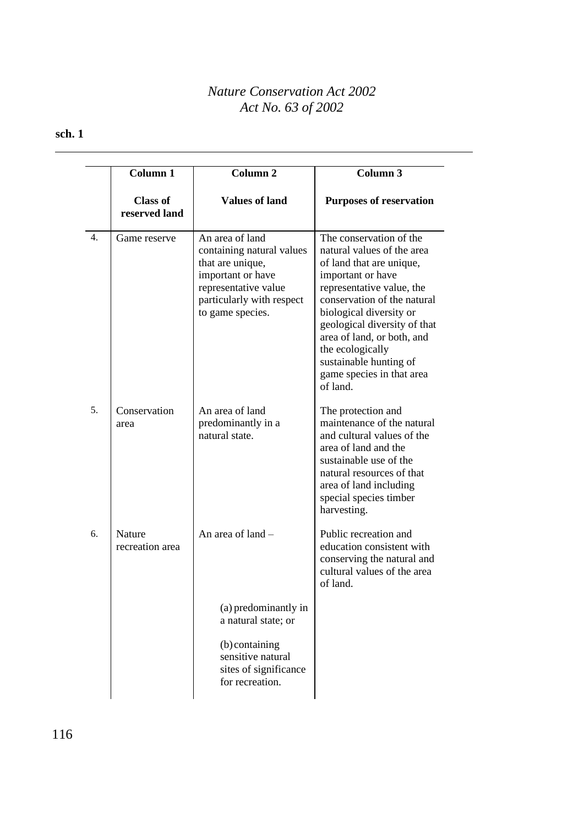|    | <b>Column 1</b>                  | Column <sub>2</sub>                                                                                                                                            | Column $\overline{3}$                                                                                                                                                                                                                                                                                                                              |
|----|----------------------------------|----------------------------------------------------------------------------------------------------------------------------------------------------------------|----------------------------------------------------------------------------------------------------------------------------------------------------------------------------------------------------------------------------------------------------------------------------------------------------------------------------------------------------|
|    | <b>Class of</b><br>reserved land | <b>Values of land</b>                                                                                                                                          | <b>Purposes of reservation</b>                                                                                                                                                                                                                                                                                                                     |
| 4. | Game reserve                     | An area of land<br>containing natural values<br>that are unique,<br>important or have<br>representative value<br>particularly with respect<br>to game species. | The conservation of the<br>natural values of the area<br>of land that are unique,<br>important or have<br>representative value, the<br>conservation of the natural<br>biological diversity or<br>geological diversity of that<br>area of land, or both, and<br>the ecologically<br>sustainable hunting of<br>game species in that area<br>of land. |
| 5. | Conservation<br>area             | An area of land<br>predominantly in a<br>natural state.                                                                                                        | The protection and<br>maintenance of the natural<br>and cultural values of the<br>area of land and the<br>sustainable use of the<br>natural resources of that<br>area of land including<br>special species timber<br>harvesting.                                                                                                                   |
| 6. | <b>Nature</b><br>recreation area | An area of land -                                                                                                                                              | Public recreation and<br>education consistent with<br>conserving the natural and<br>cultural values of the area<br>of land.                                                                                                                                                                                                                        |
|    |                                  | (a) predominantly in<br>a natural state; or                                                                                                                    |                                                                                                                                                                                                                                                                                                                                                    |
|    |                                  | (b) containing<br>sensitive natural<br>sites of significance<br>for recreation.                                                                                |                                                                                                                                                                                                                                                                                                                                                    |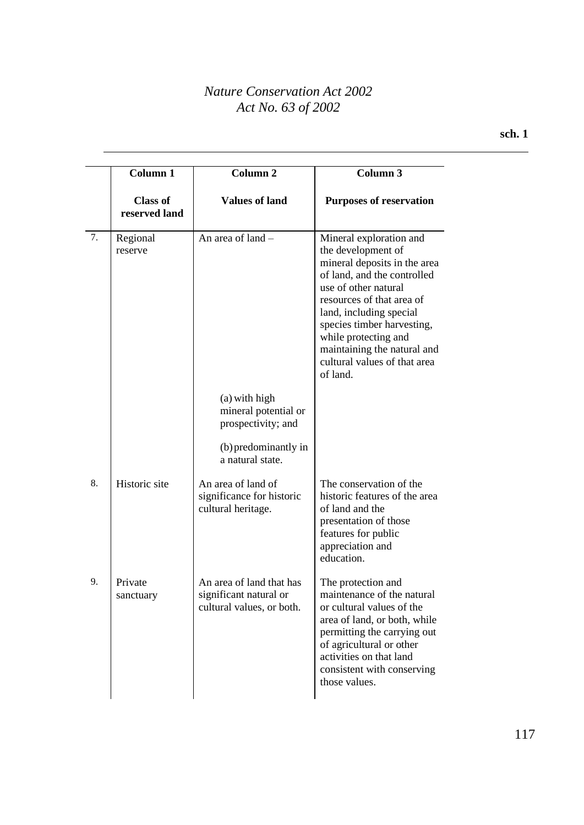|    | Column 1                         | Column <sub>2</sub>                                                             | Column $\overline{3}$                                                                                                                                                                                                                                                                                                         |
|----|----------------------------------|---------------------------------------------------------------------------------|-------------------------------------------------------------------------------------------------------------------------------------------------------------------------------------------------------------------------------------------------------------------------------------------------------------------------------|
|    | <b>Class of</b><br>reserved land | <b>Values of land</b>                                                           | <b>Purposes of reservation</b>                                                                                                                                                                                                                                                                                                |
| 7. | Regional<br>reserve              | An area of land -                                                               | Mineral exploration and<br>the development of<br>mineral deposits in the area<br>of land, and the controlled<br>use of other natural<br>resources of that area of<br>land, including special<br>species timber harvesting,<br>while protecting and<br>maintaining the natural and<br>cultural values of that area<br>of land. |
|    |                                  | (a) with high<br>mineral potential or<br>prospectivity; and                     |                                                                                                                                                                                                                                                                                                                               |
|    |                                  | (b) predominantly in<br>a natural state.                                        |                                                                                                                                                                                                                                                                                                                               |
| 8. | Historic site                    | An area of land of<br>significance for historic<br>cultural heritage.           | The conservation of the<br>historic features of the area<br>of land and the<br>presentation of those<br>features for public<br>appreciation and<br>education.                                                                                                                                                                 |
| 9. | Private<br>sanctuary             | An area of land that has<br>significant natural or<br>cultural values, or both. | The protection and<br>maintenance of the natural<br>or cultural values of the<br>area of land, or both, while<br>permitting the carrying out<br>of agricultural or other<br>activities on that land<br>consistent with conserving<br>those values.                                                                            |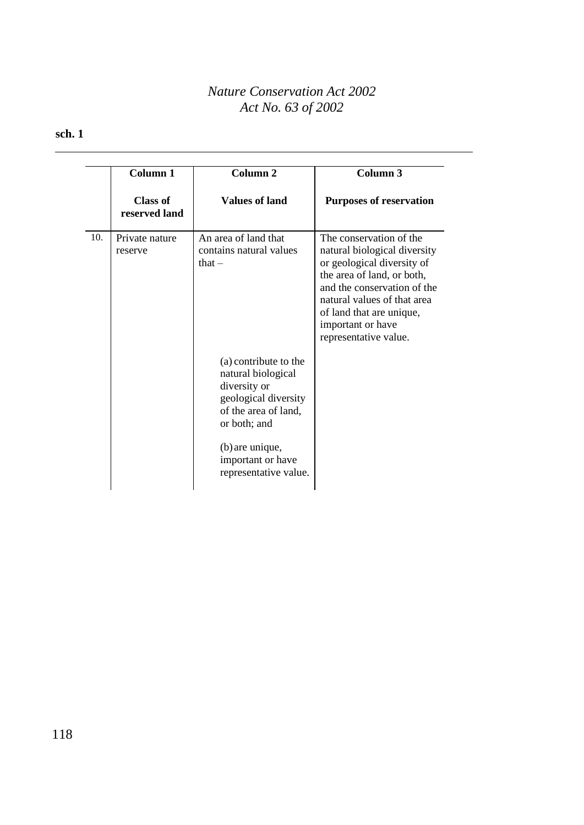|     | Column 1                  | Column <sub>2</sub>                                                                                                         | Column 3                                                                                                                                                                                                                                                    |
|-----|---------------------------|-----------------------------------------------------------------------------------------------------------------------------|-------------------------------------------------------------------------------------------------------------------------------------------------------------------------------------------------------------------------------------------------------------|
|     | Class of<br>reserved land | <b>Values of land</b>                                                                                                       | <b>Purposes of reservation</b>                                                                                                                                                                                                                              |
| 10. | Private nature<br>reserve | An area of land that<br>contains natural values<br>that $-$                                                                 | The conservation of the<br>natural biological diversity<br>or geological diversity of<br>the area of land, or both,<br>and the conservation of the<br>natural values of that area<br>of land that are unique,<br>important or have<br>representative value. |
|     |                           | (a) contribute to the<br>natural biological<br>diversity or<br>geological diversity<br>of the area of land,<br>or both; and |                                                                                                                                                                                                                                                             |
|     |                           | (b) are unique,<br>important or have<br>representative value.                                                               |                                                                                                                                                                                                                                                             |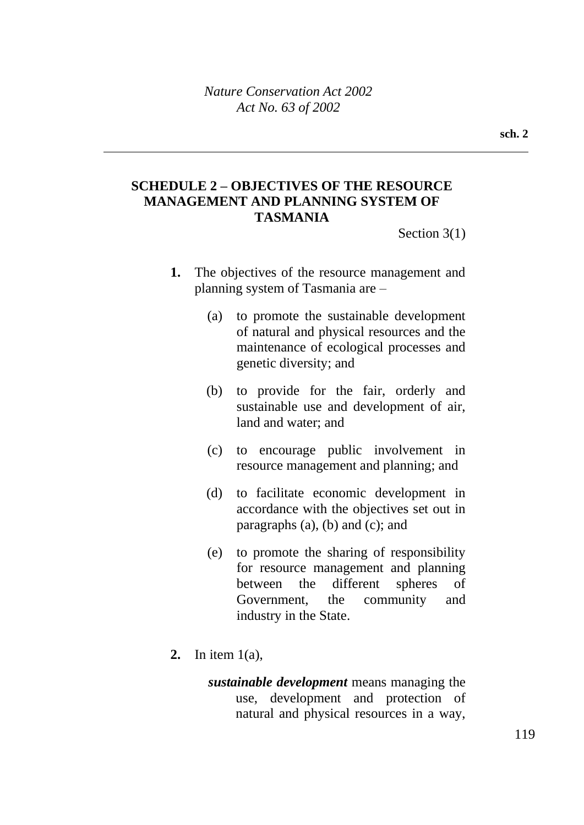## **SCHEDULE 2 – OBJECTIVES OF THE RESOURCE MANAGEMENT AND PLANNING SYSTEM OF TASMANIA**

Section 3(1)

- **1.** The objectives of the resource management and planning system of Tasmania are –
	- (a) to promote the sustainable development of natural and physical resources and the maintenance of ecological processes and genetic diversity; and
	- (b) to provide for the fair, orderly and sustainable use and development of air, land and water; and
	- (c) to encourage public involvement in resource management and planning; and
	- (d) to facilitate economic development in accordance with the objectives set out in paragraphs (a), (b) and (c); and
	- (e) to promote the sharing of responsibility for resource management and planning between the different spheres of Government, the community and industry in the State.
- **2.** In item 1(a),
	- *sustainable development* means managing the use, development and protection of natural and physical resources in a way,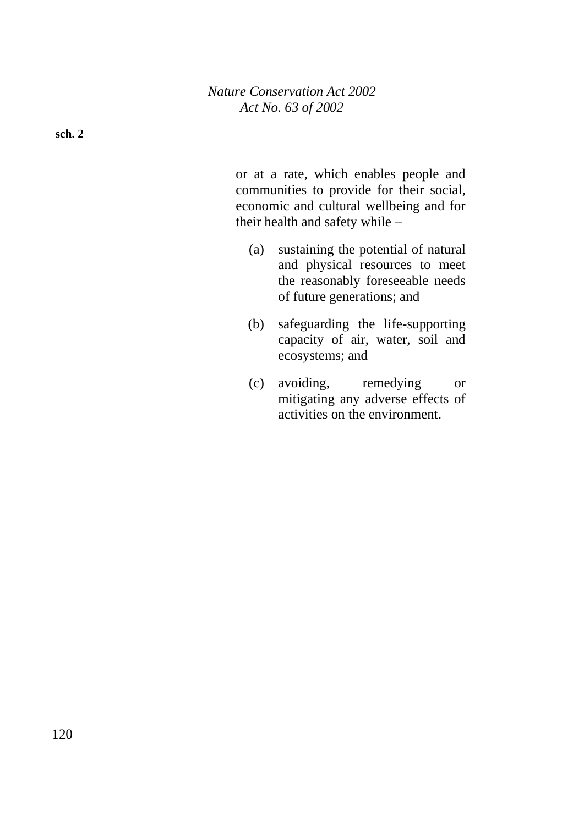**sch. 2**

or at a rate, which enables people and communities to provide for their social, economic and cultural wellbeing and for their health and safety while –

- (a) sustaining the potential of natural and physical resources to meet the reasonably foreseeable needs of future generations; and
- (b) safeguarding the life-supporting capacity of air, water, soil and ecosystems; and
- (c) avoiding, remedying or mitigating any adverse effects of activities on the environment.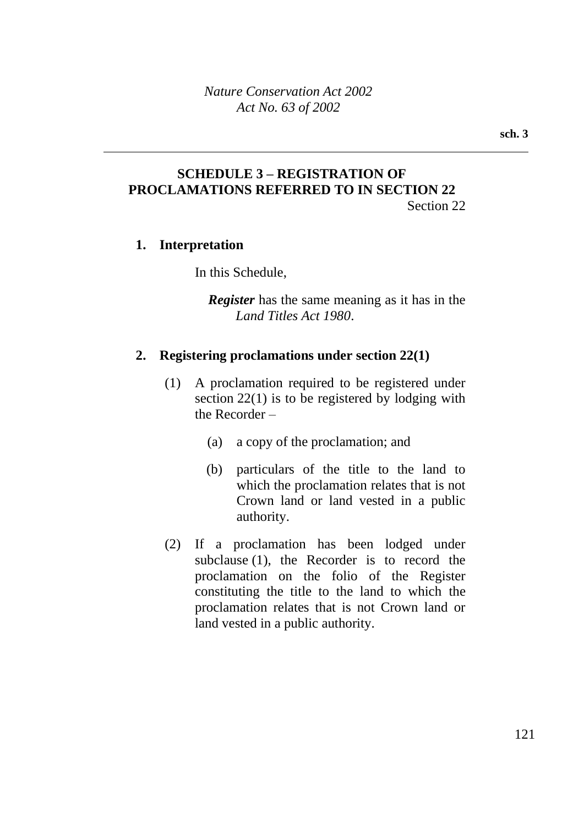### **SCHEDULE 3 – REGISTRATION OF PROCLAMATIONS REFERRED TO IN SECTION 22** Section 22

### **1. Interpretation**

In this Schedule,

*Register* has the same meaning as it has in the *Land Titles Act 1980*.

### **2. Registering proclamations under section 22(1)**

- (1) A proclamation required to be registered under section 22(1) is to be registered by lodging with the Recorder –
	- (a) a copy of the proclamation; and
	- (b) particulars of the title to the land to which the proclamation relates that is not Crown land or land vested in a public authority.
- (2) If a proclamation has been lodged under subclause (1), the Recorder is to record the proclamation on the folio of the Register constituting the title to the land to which the proclamation relates that is not Crown land or land vested in a public authority.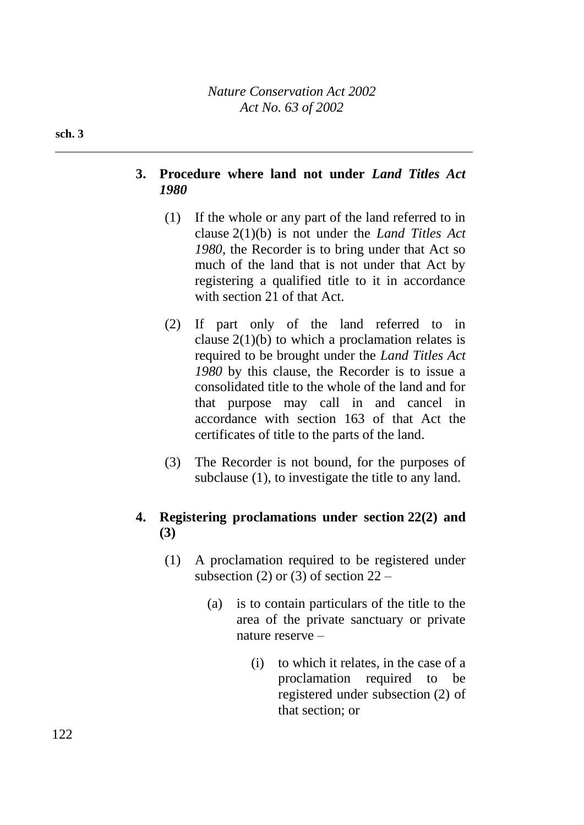#### **sch. 3**

## **3. Procedure where land not under** *Land Titles Act 1980*

- (1) If the whole or any part of the land referred to in clause 2(1)(b) is not under the *Land Titles Act 1980*, the Recorder is to bring under that Act so much of the land that is not under that Act by registering a qualified title to it in accordance with section 21 of that Act.
- (2) If part only of the land referred to in clause  $2(1)(b)$  to which a proclamation relates is required to be brought under the *Land Titles Act 1980* by this clause, the Recorder is to issue a consolidated title to the whole of the land and for that purpose may call in and cancel in accordance with section 163 of that Act the certificates of title to the parts of the land.
- (3) The Recorder is not bound, for the purposes of subclause (1), to investigate the title to any land.

## **4. Registering proclamations under section 22(2) and (3)**

- (1) A proclamation required to be registered under subsection (2) or (3) of section  $22 -$ 
	- (a) is to contain particulars of the title to the area of the private sanctuary or private nature reserve –
		- (i) to which it relates, in the case of a proclamation required to be registered under subsection (2) of that section; or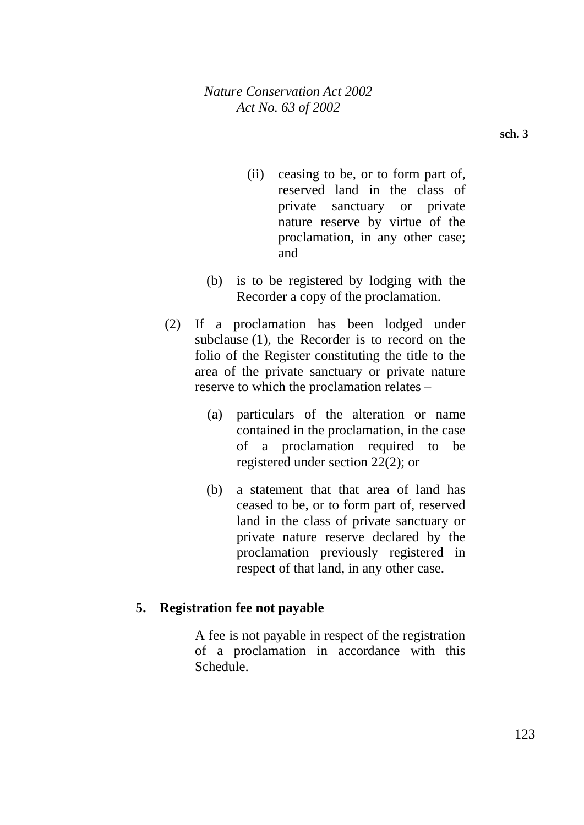- (ii) ceasing to be, or to form part of, reserved land in the class of private sanctuary or private nature reserve by virtue of the proclamation, in any other case; and
- (b) is to be registered by lodging with the Recorder a copy of the proclamation.
- (2) If a proclamation has been lodged under subclause (1), the Recorder is to record on the folio of the Register constituting the title to the area of the private sanctuary or private nature reserve to which the proclamation relates –
	- (a) particulars of the alteration or name contained in the proclamation, in the case of a proclamation required to be registered under section 22(2); or
	- (b) a statement that that area of land has ceased to be, or to form part of, reserved land in the class of private sanctuary or private nature reserve declared by the proclamation previously registered in respect of that land, in any other case.

## **5. Registration fee not payable**

A fee is not payable in respect of the registration of a proclamation in accordance with this Schedule.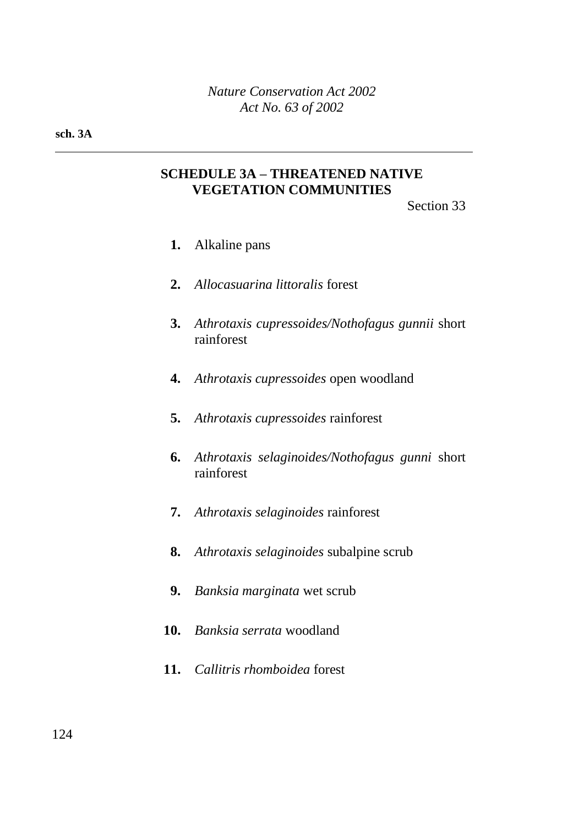#### **sch. 3A**

## **SCHEDULE 3A – THREATENED NATIVE VEGETATION COMMUNITIES**

Section 33

- **1.** Alkaline pans
- **2.** *Allocasuarina littoralis* forest
- **3.** *Athrotaxis cupressoides/Nothofagus gunnii* short rainforest
- **4.** *Athrotaxis cupressoides* open woodland
- **5.** *Athrotaxis cupressoides* rainforest
- **6.** *Athrotaxis selaginoides/Nothofagus gunni* short rainforest
- **7.** *Athrotaxis selaginoides* rainforest
- **8.** *Athrotaxis selaginoides* subalpine scrub
- **9.** *Banksia marginata* wet scrub
- **10.** *Banksia serrata* woodland
- **11.** *Callitris rhomboidea* forest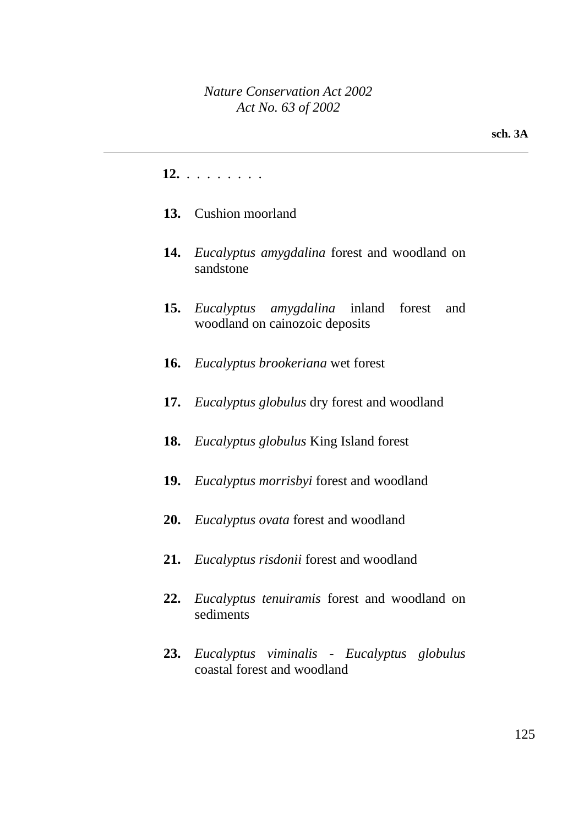### **12.** . . . . . . . .

- **13.** Cushion moorland
- **14.** *Eucalyptus amygdalina* forest and woodland on sandstone
- **15.** *Eucalyptus amygdalina* inland forest and woodland on cainozoic deposits
- **16.** *Eucalyptus brookeriana* wet forest
- **17.** *Eucalyptus globulus* dry forest and woodland
- **18.** *Eucalyptus globulus* King Island forest
- **19.** *Eucalyptus morrisbyi* forest and woodland
- **20.** *Eucalyptus ovata* forest and woodland
- **21.** *Eucalyptus risdonii* forest and woodland
- **22.** *Eucalyptus tenuiramis* forest and woodland on sediments
- **23.** *Eucalyptus viminalis - Eucalyptus globulus* coastal forest and woodland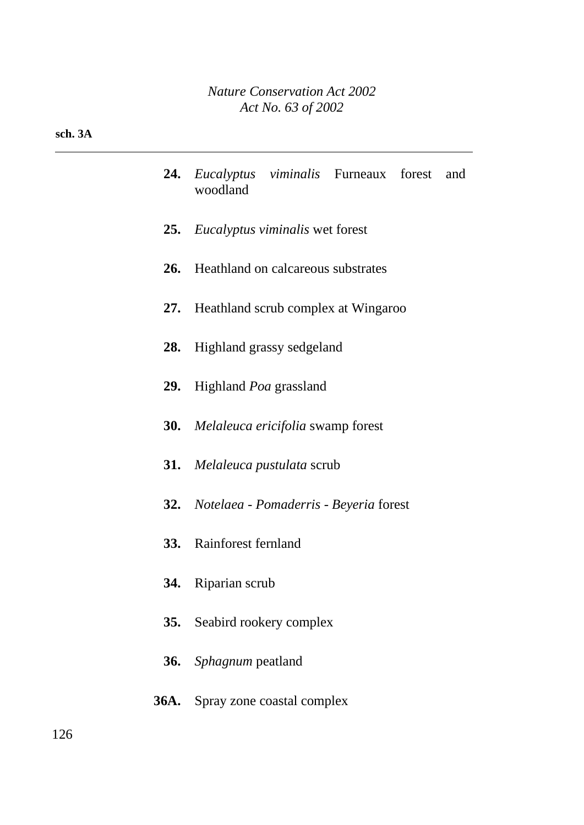| <b>24.</b> <i>Eucalyptus viminalis</i> Furneaux forest and<br>woodland |  |  |
|------------------------------------------------------------------------|--|--|
|                                                                        |  |  |

- **25.** *Eucalyptus viminalis* wet forest
- **26.** Heathland on calcareous substrates
- **27.** Heathland scrub complex at Wingaroo
- **28.** Highland grassy sedgeland
- **29.** Highland *Poa* grassland
- **30.** *Melaleuca ericifolia* swamp forest
- **31.** *Melaleuca pustulata* scrub
- **32.** *Notelaea - Pomaderris - Beyeria* forest
- **33.** Rainforest fernland
- **34.** Riparian scrub
- **35.** Seabird rookery complex
- **36.** *Sphagnum* peatland
- **36A.** Spray zone coastal complex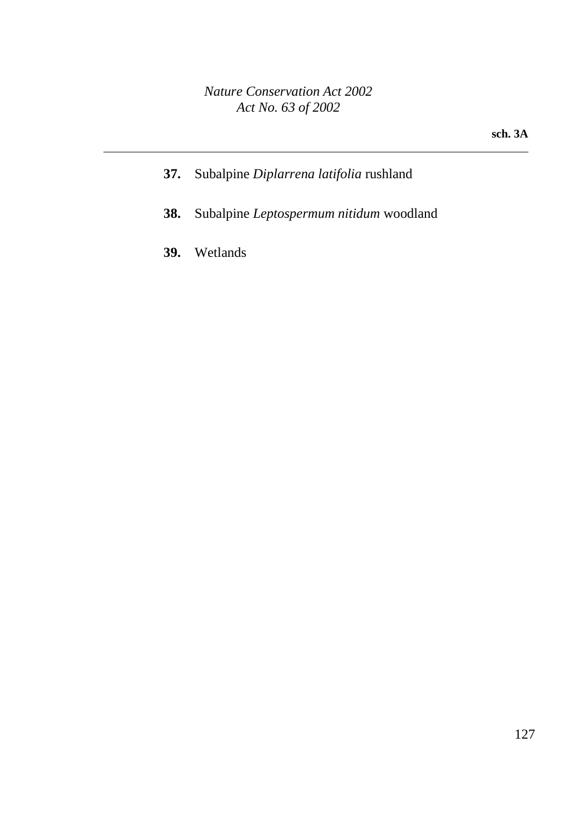**sch. 3A**

- **37.** Subalpine *Diplarrena latifolia* rushland
- **38.** Subalpine *Leptospermum nitidum* woodland
- **39.** Wetlands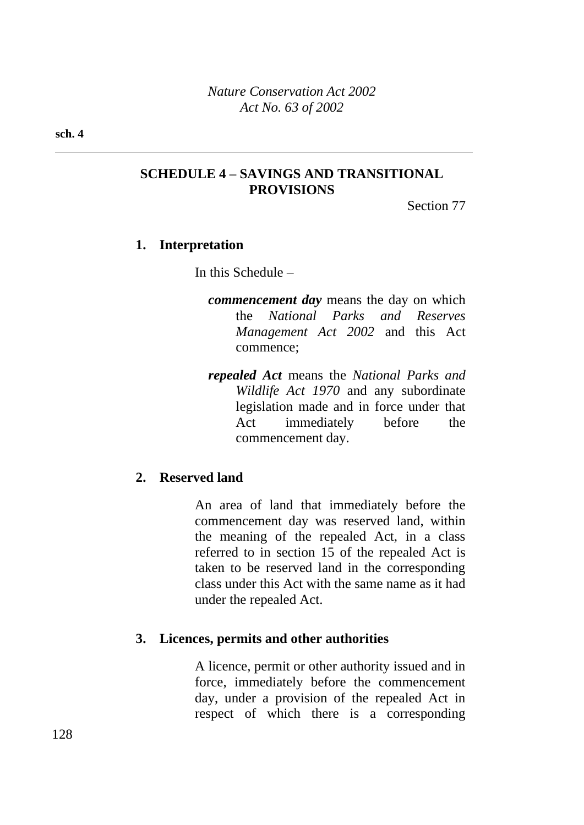## **SCHEDULE 4 – SAVINGS AND TRANSITIONAL PROVISIONS**

Section 77

## **1. Interpretation**

In this Schedule –

- *commencement day* means the day on which the *National Parks and Reserves Management Act 2002* and this Act commence;
- *repealed Act* means the *National Parks and Wildlife Act 1970* and any subordinate legislation made and in force under that Act immediately before the commencement day.

## **2. Reserved land**

An area of land that immediately before the commencement day was reserved land, within the meaning of the repealed Act, in a class referred to in section 15 of the repealed Act is taken to be reserved land in the corresponding class under this Act with the same name as it had under the repealed Act.

## **3. Licences, permits and other authorities**

A licence, permit or other authority issued and in force, immediately before the commencement day, under a provision of the repealed Act in respect of which there is a corresponding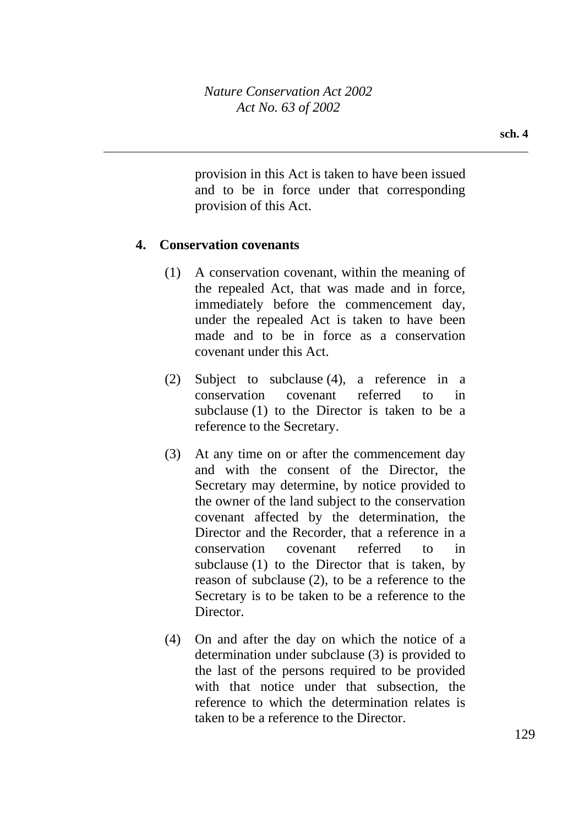provision in this Act is taken to have been issued and to be in force under that corresponding provision of this Act.

## **4. Conservation covenants**

- (1) A conservation covenant, within the meaning of the repealed Act, that was made and in force, immediately before the commencement day, under the repealed Act is taken to have been made and to be in force as a conservation covenant under this Act.
- (2) Subject to subclause (4), a reference in a conservation covenant referred to in subclause (1) to the Director is taken to be a reference to the Secretary.
- (3) At any time on or after the commencement day and with the consent of the Director, the Secretary may determine, by notice provided to the owner of the land subject to the conservation covenant affected by the determination, the Director and the Recorder, that a reference in a conservation covenant referred to in subclause (1) to the Director that is taken, by reason of subclause (2), to be a reference to the Secretary is to be taken to be a reference to the Director.
- (4) On and after the day on which the notice of a determination under subclause (3) is provided to the last of the persons required to be provided with that notice under that subsection, the reference to which the determination relates is taken to be a reference to the Director.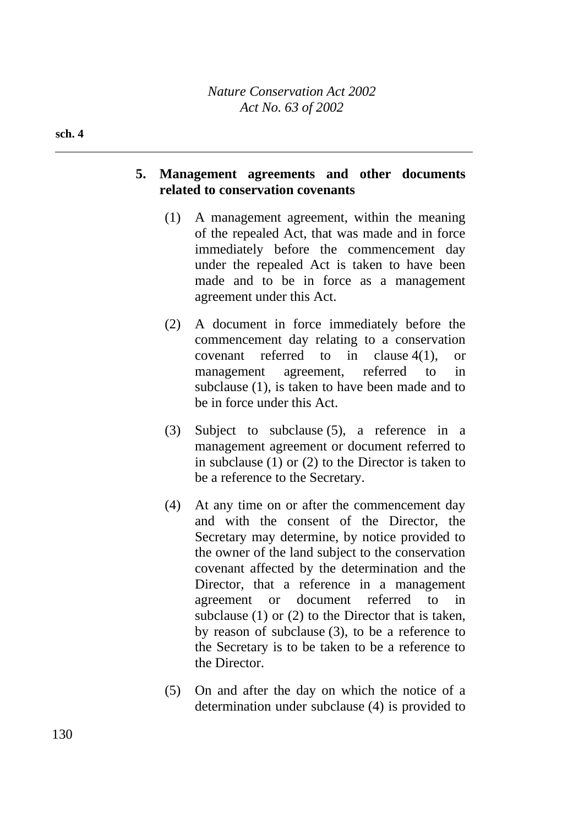#### **sch. 4**

## **5. Management agreements and other documents related to conservation covenants**

- (1) A management agreement, within the meaning of the repealed Act, that was made and in force immediately before the commencement day under the repealed Act is taken to have been made and to be in force as a management agreement under this Act.
- (2) A document in force immediately before the commencement day relating to a conservation covenant referred to in clause 4(1), or management agreement, referred to in subclause (1), is taken to have been made and to be in force under this Act.
- (3) Subject to subclause (5), a reference in a management agreement or document referred to in subclause (1) or (2) to the Director is taken to be a reference to the Secretary.
- (4) At any time on or after the commencement day and with the consent of the Director, the Secretary may determine, by notice provided to the owner of the land subject to the conservation covenant affected by the determination and the Director, that a reference in a management agreement or document referred to in subclause (1) or (2) to the Director that is taken, by reason of subclause (3), to be a reference to the Secretary is to be taken to be a reference to the Director.
- (5) On and after the day on which the notice of a determination under subclause (4) is provided to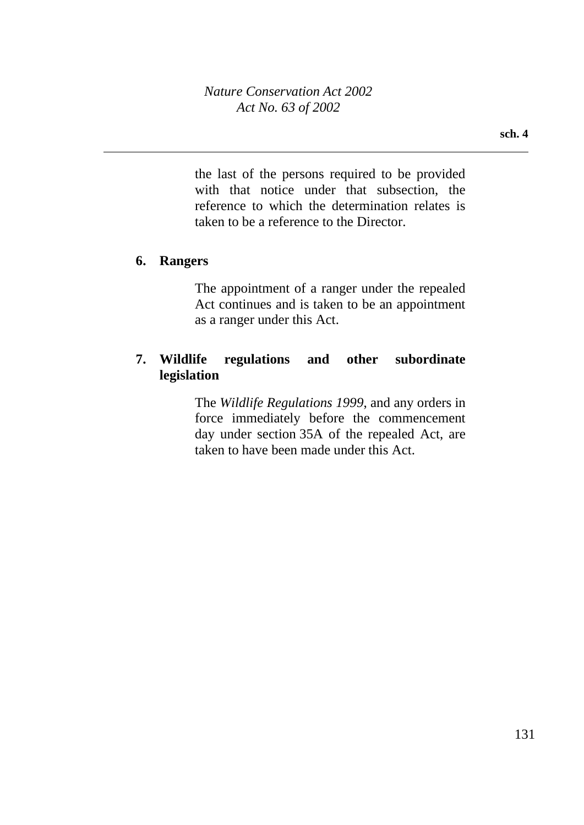the last of the persons required to be provided with that notice under that subsection, the reference to which the determination relates is taken to be a reference to the Director.

## **6. Rangers**

The appointment of a ranger under the repealed Act continues and is taken to be an appointment as a ranger under this Act.

## **7. Wildlife regulations and other subordinate legislation**

The *Wildlife Regulations 1999*, and any orders in force immediately before the commencement day under section 35A of the repealed Act, are taken to have been made under this Act.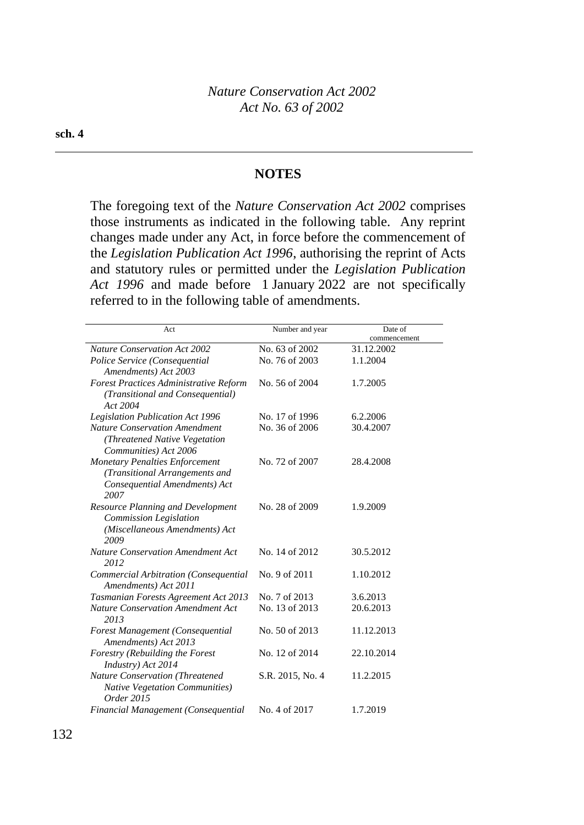#### **NOTES**

The foregoing text of the *Nature Conservation Act 2002* comprises those instruments as indicated in the following table. Any reprint changes made under any Act, in force before the commencement of the *Legislation Publication Act 1996*, authorising the reprint of Acts and statutory rules or permitted under the *Legislation Publication Act 1996* and made before 1 January 2022 are not specifically referred to in the following table of amendments.

| Act                                      | Number and year  | Date of      |
|------------------------------------------|------------------|--------------|
|                                          |                  | commencement |
| <b>Nature Conservation Act 2002</b>      | No. 63 of 2002   | 31.12.2002   |
| Police Service (Consequential            | No. 76 of 2003   | 1.1.2004     |
| Amendments) Act 2003                     |                  |              |
| Forest Practices Administrative Reform   | No. 56 of 2004   | 1.7.2005     |
| (Transitional and Consequential)         |                  |              |
| Act 2004                                 |                  |              |
| <b>Legislation Publication Act 1996</b>  | No. 17 of 1996   | 6.2.2006     |
| <b>Nature Conservation Amendment</b>     | No. 36 of 2006   | 30.4.2007    |
| (Threatened Native Vegetation            |                  |              |
| Communities) Act 2006                    |                  |              |
| <b>Monetary Penalties Enforcement</b>    | No. 72 of 2007   | 28.4.2008    |
| (Transitional Arrangements and           |                  |              |
| Consequential Amendments) Act            |                  |              |
| 2007                                     |                  |              |
| <b>Resource Planning and Development</b> | No. 28 of 2009   | 1.9.2009     |
| Commission Legislation                   |                  |              |
| (Miscellaneous Amendments) Act           |                  |              |
| 2009                                     |                  |              |
| <b>Nature Conservation Amendment Act</b> | No. 14 of 2012   | 30.5.2012    |
| 2012                                     |                  |              |
| Commercial Arbitration (Consequential    | No. 9 of 2011    | 1.10.2012    |
| Amendments) Act 2011                     |                  |              |
| Tasmanian Forests Agreement Act 2013     | No. 7 of 2013    | 3.6.2013     |
| Nature Conservation Amendment Act        | No. 13 of 2013   | 20.6.2013    |
| 2013                                     |                  |              |
| Forest Management (Consequential         | No. 50 of 2013   | 11.12.2013   |
| Amendments) Act 2013                     |                  |              |
| Forestry (Rebuilding the Forest          | No. 12 of 2014   | 22.10.2014   |
| Industry) Act 2014                       |                  |              |
| <b>Nature Conservation (Threatened</b>   | S.R. 2015, No. 4 | 11.2.2015    |
| <b>Native Vegetation Communities</b> )   |                  |              |
| Order 2015                               |                  |              |
| Financial Management (Consequential      | No. 4 of 2017    | 1.7.2019     |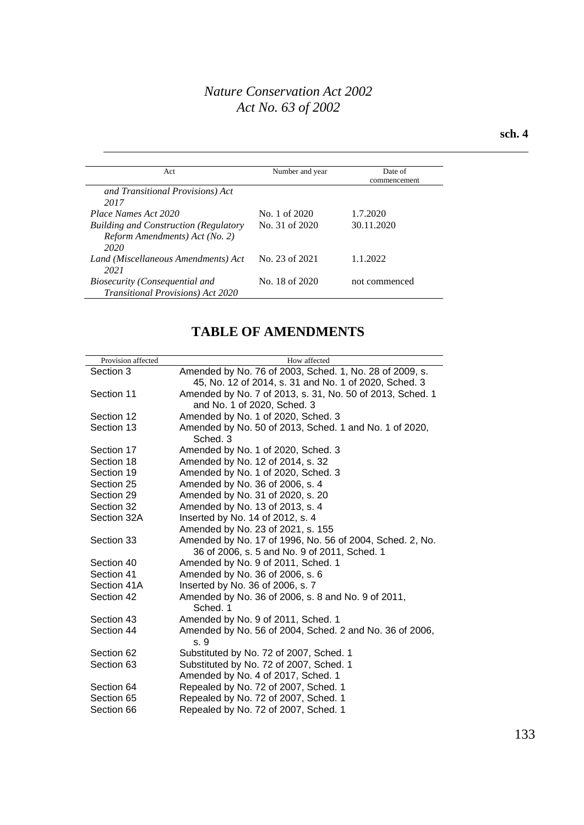#### **sch. 4**

| Act                                                                                    | Number and year | Date of<br>commencement |
|----------------------------------------------------------------------------------------|-----------------|-------------------------|
| and Transitional Provisions) Act<br>2017                                               |                 |                         |
| Place Names Act 2020                                                                   | No. 1 of 2020   | 1.7.2020                |
| <b>Building and Construction (Regulatory</b><br>Reform Amendments) Act (No. 2)<br>2020 | No. 31 of 2020  | 30.11.2020              |
| Land (Miscellaneous Amendments) Act<br>2021                                            | No. 23 of 2021  | 1.1.2022                |
| Biosecurity (Consequential and<br>Transitional Provisions) Act 2020                    | No. 18 of 2020  | not commenced           |

## **TABLE OF AMENDMENTS**

| Provision affected | How affected                                                      |
|--------------------|-------------------------------------------------------------------|
| Section 3          | Amended by No. 76 of 2003, Sched. 1, No. 28 of 2009, s.           |
|                    | 45, No. 12 of 2014, s. 31 and No. 1 of 2020, Sched. 3             |
| Section 11         | Amended by No. 7 of 2013, s. 31, No. 50 of 2013, Sched. 1         |
|                    | and No. 1 of 2020, Sched. 3                                       |
| Section 12         | Amended by No. 1 of 2020, Sched. 3                                |
| Section 13         | Amended by No. 50 of 2013, Sched. 1 and No. 1 of 2020,<br>Sched 3 |
| Section 17         | Amended by No. 1 of 2020, Sched. 3                                |
| Section 18         | Amended by No. 12 of 2014, s. 32                                  |
| Section 19         | Amended by No. 1 of 2020, Sched. 3                                |
| Section 25         | Amended by No. 36 of 2006, s. 4                                   |
| Section 29         | Amended by No. 31 of 2020, s. 20                                  |
| Section 32         | Amended by No. 13 of 2013, s. 4                                   |
| Section 32A        | Inserted by No. 14 of 2012, s. 4                                  |
|                    | Amended by No. 23 of 2021, s. 155                                 |
| Section 33         | Amended by No. 17 of 1996, No. 56 of 2004, Sched. 2, No.          |
|                    | 36 of 2006, s. 5 and No. 9 of 2011, Sched. 1                      |
| Section 40         | Amended by No. 9 of 2011, Sched. 1                                |
| Section 41         | Amended by No. 36 of 2006, s. 6                                   |
| Section 41A        | Inserted by No. 36 of 2006, s. 7                                  |
| Section 42         | Amended by No. 36 of 2006, s. 8 and No. 9 of 2011,<br>Sched. 1    |
| Section 43         | Amended by No. 9 of 2011, Sched. 1                                |
| Section 44         | Amended by No. 56 of 2004, Sched. 2 and No. 36 of 2006,<br>s. 9   |
| Section 62         | Substituted by No. 72 of 2007, Sched. 1                           |
| Section 63         | Substituted by No. 72 of 2007, Sched. 1                           |
|                    | Amended by No. 4 of 2017, Sched. 1                                |
| Section 64         | Repealed by No. 72 of 2007, Sched. 1                              |
| Section 65         | Repealed by No. 72 of 2007, Sched. 1                              |
| Section 66         | Repealed by No. 72 of 2007, Sched. 1                              |